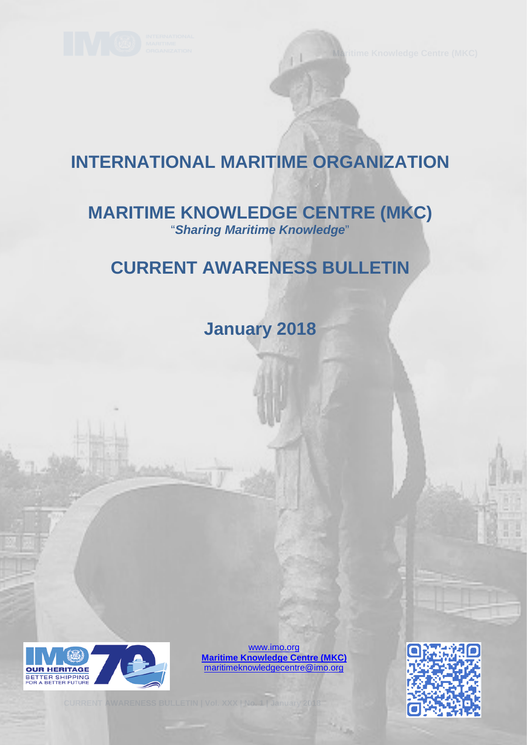

# **INTERNATIONAL MARITIME ORGANIZATION**

# **MARITIME KNOWLEDGE CENTRE (MKC)** "*Sharing Maritime Knowledge*"

# **CURRENT AWARENESS BULLETIN**

**January 2018** 



[www.imo.org](http://www.imo.org/) **[Maritime Knowledge Centre](http://www.imo.org/en/KnowledgeCentre/Pages/Default.aspx)** maritimeknowledg



**CURRENT AWARENESS BULLETIN | Vol. XXX | No. 1 | January 2018** 0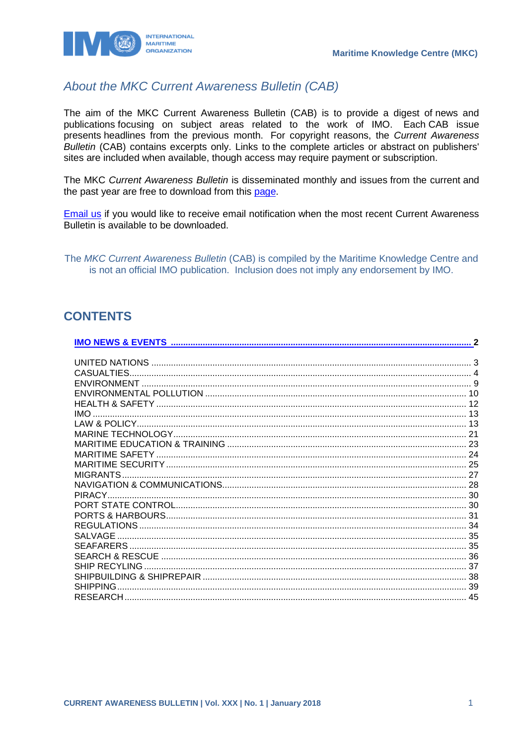

# About the MKC Current Awareness Bulletin (CAB)

The aim of the MKC Current Awareness Bulletin (CAB) is to provide a digest of news and publications focusing on subject areas related to the work of IMO. Each CAB issue presents headlines from the previous month. For copyright reasons, the Current Awareness Bulletin (CAB) contains excerpts only. Links to the complete articles or abstract on publishers' sites are included when available, though access may require payment or subscription.

The MKC Current Awareness Bulletin is disseminated monthly and issues from the current and the past year are free to download from this page.

**Email us** if you would like to receive email notification when the most recent Current Awareness Bulletin is available to be downloaded.

The MKC Current Awareness Bulletin (CAB) is compiled by the Maritime Knowledge Centre and is not an official IMO publication. Inclusion does not imply any endorsement by IMO.

# **CONTENTS**

| CASUALTIES.     |  |
|-----------------|--|
|                 |  |
|                 |  |
|                 |  |
|                 |  |
| <b>IMO</b>      |  |
|                 |  |
|                 |  |
|                 |  |
|                 |  |
|                 |  |
| <b>MIGRANTS</b> |  |
|                 |  |
| PIRACY          |  |
|                 |  |
|                 |  |
|                 |  |
| SAI VAGE        |  |
|                 |  |
|                 |  |
| SHIP RECYLING   |  |
|                 |  |
|                 |  |
|                 |  |
|                 |  |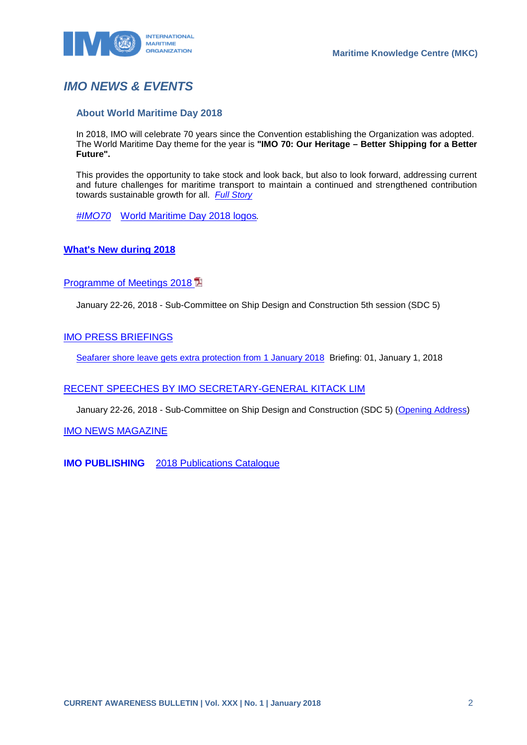

# <span id="page-2-0"></span>*IMO NEWS & EVENTS*

### **About World Maritime Day 2018**

In 2018, IMO will celebrate 70 years since the Convention establishing the Organization was adopted. The World Maritime Day theme for the year is **"IMO 70: Our Heritage – Better Shipping for a Better Future".**

This provides the opportunity to take stock and look back, but also to look forward, addressing current and future challenges for maritime transport to maintain a continued and strengthened contribution towards sustainable growth for all. *[Full Story](http://www.imo.org/en/About/Events/WorldMaritimeDay/Pages/WMD-2018.aspx)* 

*[#IMO70](https://twitter.com/hashtag/IMO70?src=hash)* [World Maritime Day 2018 logos](http://www.imo.org/en/About/Events/WorldMaritimeDay/Pages/World-Maritime-Day-2018-logos.aspx)*.*

# **[What's New during 2018](http://www.imo.org/en/MediaCentre/WhatsNew/Pages/Archive-2018.aspx)**

# [Programme of Meetings](http://www.imo.org/en/MediaCentre/MeetingSummaries/Documents/PROG-126-Rev.1%20-%20Programme%20Of%20Meetings%20For%202018%20%28Secretariat%29.pdf) 2018

January 22-26, 2018 - Sub-Committee on Ship Design and Construction 5th session (SDC 5)

# [IMO PRESS BRIEFINGS](http://www.imo.org/MediaCentre/PressBriefings/Pages/Home.aspx)

Seafarer [shore leave gets extra protection from 1 January 2018](http://www.imo.org/en/MediaCentre/PressBriefings/Pages/01-FALConvention.aspx) Briefing: 01, January 1, 2018

# [RECENT SPEECHES BY IMO SECRETARY-GENERAL KITACK LIM](http://www.imo.org/en/MediaCentre/SecretaryGeneral/SpeechesByTheSecretaryGeneral/Pages/Default.aspx)

January 22-26, 2018 - Sub-Committee on Ship Design and Construction (SDC 5) [\(Opening Address\)](http://www.imo.org/en/MediaCentre/SecretaryGeneral/Secretary-GeneralsSpeechesToMeetings/Pages/SDC-5-opening.aspx)

**[IMO NEWS MAGAZINE](http://www.imo.org/MediaCentre/MaritimeNewsMagazine/Pages/Home.aspx)** 

**IMO PUBLISHING** [2018 Publications Catalogue](https://indd.adobe.com/view/a21a12ad-3de5-42c2-86d4-6cf890ae7ac2)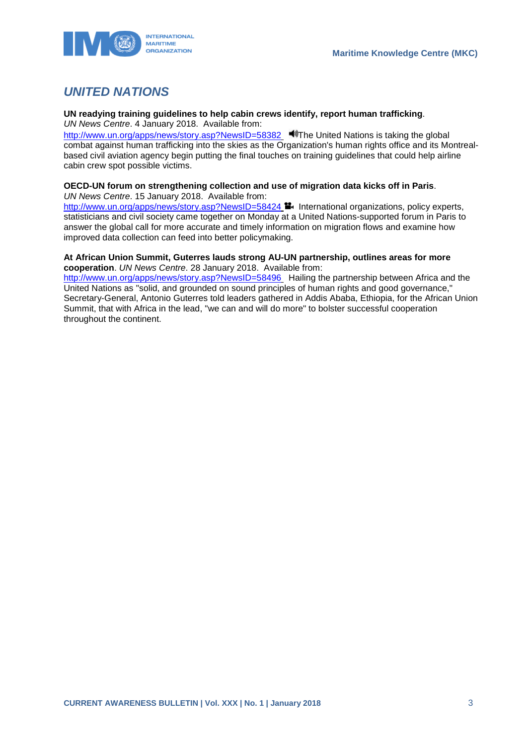

# <span id="page-3-0"></span>*UNITED NATIONS*

#### **UN readying training guidelines to help cabin crews identify, report human trafficking**. *UN News Centre*. 4 January 2018. Available from:

<http://www.un.org/apps/news/story.asp?NewsID=58382> <a>><a>Filt<br/>Pe United Nations is taking the global combat against human trafficking into the skies as the Organization's human rights office and its Montrealbased civil aviation agency begin putting the final touches on training guidelines that could help airline cabin crew spot possible victims.

#### **OECD-UN forum on strengthening collection and use of migration data kicks off in Paris**. *UN News Centre*. 15 January 2018. Available from:

<http://www.un.org/apps/news/story.asp?NewsID=58424> **¥** International organizations, policy experts, statisticians and civil society came together on Monday at a United Nations-supported forum in Paris to answer the global call for more accurate and timely information on migration flows and examine how improved data collection can feed into better policymaking.

### **At African Union Summit, Guterres lauds strong AU-UN partnership, outlines areas for more cooperation**. *UN News Centre*. 28 January 2018. Available from:

<http://www.un.org/apps/news/story.asp?NewsID=58496> Hailing the partnership between Africa and the United Nations as "solid, and grounded on sound principles of human rights and good governance," Secretary-General, Antonio Guterres told leaders gathered in Addis Ababa, Ethiopia, for the African Union Summit, that with Africa in the lead, "we can and will do more" to bolster successful cooperation throughout the continent.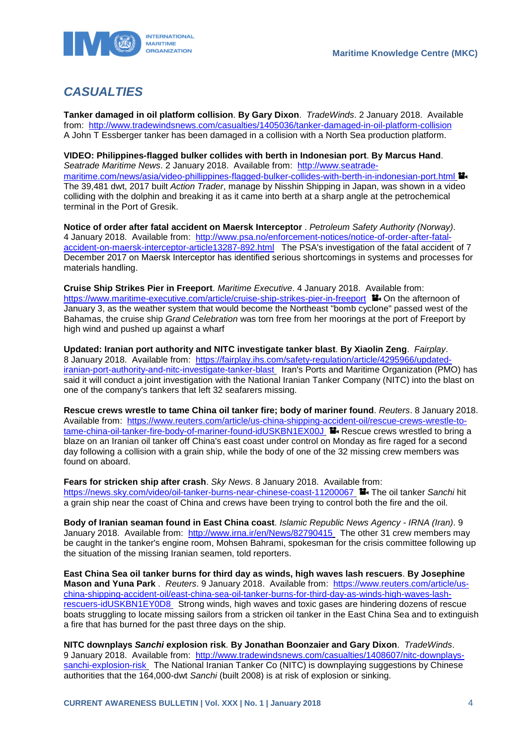

# <span id="page-4-0"></span>*CASUALTIES*

**Tanker damaged in oil platform collision**. **By Gary Dixon**. *TradeWinds*. 2 January 2018. Available from: <http://www.tradewindsnews.com/casualties/1405036/tanker-damaged-in-oil-platform-collision> A John T Essberger tanker has been damaged in a collision with a North Sea production platform.

**VIDEO: Philippines-flagged bulker collides with berth in Indonesian port**. **By Marcus Hand**. *Seatrade Maritime News*. 2 January 2018. Available from: [http://www.seatrade](http://www.seatrade-maritime.com/news/asia/video-phillippines-flagged-bulker-collides-with-berth-in-indonesian-port.html)[maritime.com/news/asia/video-phillippines-flagged-bulker-collides-with-berth-in-indonesian-port.html](http://www.seatrade-maritime.com/news/asia/video-phillippines-flagged-bulker-collides-with-berth-in-indonesian-port.html) The 39,481 dwt, 2017 built *Action Trader*, manage by Nisshin Shipping in Japan, was shown in a video colliding with the dolphin and breaking it as it came into berth at a sharp angle at the petrochemical terminal in the Port of Gresik.

**Notice of order after fatal accident on Maersk Interceptor** . *Petroleum Safety Authority (Norway)*. 4 January 2018. Available from: [http://www.psa.no/enforcement-notices/notice-of-order-after-fatal](http://www.psa.no/enforcement-notices/notice-of-order-after-fatal-accident-on-maersk-interceptor-article13287-892.html)[accident-on-maersk-interceptor-article13287-892.html](http://www.psa.no/enforcement-notices/notice-of-order-after-fatal-accident-on-maersk-interceptor-article13287-892.html) The PSA's investigation of the fatal accident of 7 December 2017 on Maersk Interceptor has identified serious shortcomings in systems and processes for materials handling.

**Cruise Ship Strikes Pier in Freeport**. *Maritime Executive*. 4 January 2018. Available from: <https://www.maritime-executive.com/article/cruise-ship-strikes-pier-in-freeport> $\mathbf{E}$  On the afternoon of January 3, as the weather system that would become the Northeast "bomb cyclone" passed west of the Bahamas, the cruise ship *Grand Celebration* was torn free from her moorings at the port of Freeport by high wind and pushed up against a wharf

**Updated: Iranian port authority and NITC investigate tanker blast**. **By Xiaolin Zeng**. *Fairplay*. 8 January 2018. Available from: [https://fairplay.ihs.com/safety-regulation/article/4295966/updated](https://fairplay.ihs.com/safety-regulation/article/4295966/updated-iranian-port-authority-and-nitc-investigate-tanker-blast)[iranian-port-authority-and-nitc-investigate-tanker-blast](https://fairplay.ihs.com/safety-regulation/article/4295966/updated-iranian-port-authority-and-nitc-investigate-tanker-blast) Iran's Ports and Maritime Organization (PMO) has said it will conduct a joint investigation with the National Iranian Tanker Company (NITC) into the blast on one of the company's tankers that left 32 seafarers missing.

**Rescue crews wrestle to tame China oil tanker fire; body of mariner found**. *Reuters*. 8 January 2018. Available from: [https://www.reuters.com/article/us-china-shipping-accident-oil/rescue-crews-wrestle-to](https://www.reuters.com/article/us-china-shipping-accident-oil/rescue-crews-wrestle-to-tame-china-oil-tanker-fire-body-of-mariner-found-idUSKBN1EX00J)[tame-china-oil-tanker-fire-body-of-mariner-found-idUSKBN1EX00J](https://www.reuters.com/article/us-china-shipping-accident-oil/rescue-crews-wrestle-to-tame-china-oil-tanker-fire-body-of-mariner-found-idUSKBN1EX00J) **E**. Rescue crews wrestled to bring a blaze on an Iranian oil tanker off China's east coast under control on Monday as fire raged for a second day following a collision with a grain ship, while the body of one of the 32 missing crew members was found on aboard.

**Fears for stricken ship after crash**. *Sky News*. 8 January 2018. Available from: <https://news.sky.com/video/oil-tanker-burns-near-chinese-coast-11200067> The oil tanker *Sanchi* hit a grain ship near the coast of China and crews have been trying to control both the fire and the oil.

**Body of Iranian seaman found in East China coast**. *Islamic Republic News Agency - IRNA (Iran)*. 9 January 2018. Available from: <http://www.irna.ir/en/News/82790415> The other 31 crew members may be caught in the tanker's engine room, Mohsen Bahrami, spokesman for the crisis committee following up the situation of the missing Iranian seamen, told reporters.

**East China Sea oil tanker burns for third day as winds, high waves lash rescuers**. **By Josephine Mason and Yuna Park** . *Reuters*. 9 January 2018. Available from: [https://www.reuters.com/article/us](https://www.reuters.com/article/us-china-shipping-accident-oil/east-china-sea-oil-tanker-burns-for-third-day-as-winds-high-waves-lash-rescuers-idUSKBN1EY0D8)[china-shipping-accident-oil/east-china-sea-oil-tanker-burns-for-third-day-as-winds-high-waves-lash](https://www.reuters.com/article/us-china-shipping-accident-oil/east-china-sea-oil-tanker-burns-for-third-day-as-winds-high-waves-lash-rescuers-idUSKBN1EY0D8)[rescuers-idUSKBN1EY0D8](https://www.reuters.com/article/us-china-shipping-accident-oil/east-china-sea-oil-tanker-burns-for-third-day-as-winds-high-waves-lash-rescuers-idUSKBN1EY0D8) Strong winds, high waves and toxic gases are hindering dozens of rescue boats struggling to locate missing sailors from a stricken oil tanker in the East China Sea and to extinguish a fire that has burned for the past three days on the ship.

**NITC downplays** *Sanchi* **explosion risk**. **By Jonathan Boonzaier and Gary Dixon**. *TradeWinds*. 9 January 2018. Available from: [http://www.tradewindsnews.com/casualties/1408607/nitc-downplays](http://www.tradewindsnews.com/casualties/1408607/nitc-downplays-sanchi-explosion-risk)[sanchi-explosion-risk](http://www.tradewindsnews.com/casualties/1408607/nitc-downplays-sanchi-explosion-risk) The National Iranian Tanker Co (NITC) is downplaying suggestions by Chinese authorities that the 164,000-dwt *Sanchi* (built 2008) is at risk of explosion or sinking.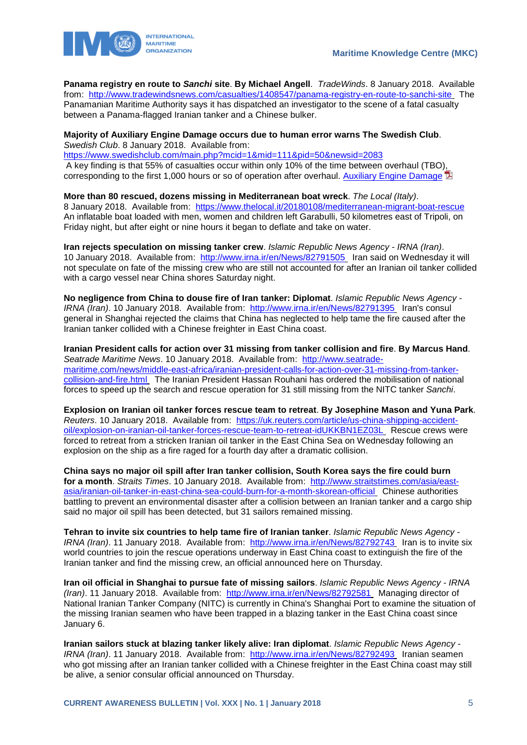

**Panama registry en route to** *Sanchi* **site**. **By Michael Angell**. *TradeWinds*. 8 January 2018. Available from: <http://www.tradewindsnews.com/casualties/1408547/panama-registry-en-route-to-sanchi-site> The Panamanian Maritime Authority says it has dispatched an investigator to the scene of a fatal casualty between a Panama-flagged Iranian tanker and a Chinese bulker.

#### **Majority of Auxiliary Engine Damage occurs due to human error warns The Swedish Club**. *Swedish Club*. 8 January 2018. Available from:

<https://www.swedishclub.com/main.php?mcid=1&mid=111&pid=50&newsid=2083> A key finding is that 55% of casualties occur within only 10% of the time between overhaul (TBO), corresponding to the first 1,000 hours or so of operation after overhaul. [Auxiliary Engine Damage](https://www.swedishclub.com/media_upload/files/Loss%20Prevention/aux-engine-SCREEN.pdf) <sup>[3]</sup>

**More than 80 rescued, dozens missing in Mediterranean boat wreck**. *The Local (Italy)*. 8 January 2018. Available from: <https://www.thelocal.it/20180108/mediterranean-migrant-boat-rescue> An inflatable boat loaded with men, women and children left Garabulli, 50 kilometres east of Tripoli, on Friday night, but after eight or nine hours it began to deflate and take on water.

**Iran rejects speculation on missing tanker crew**. *Islamic Republic News Agency - IRNA (Iran)*. 10 January 2018. Available from: <http://www.irna.ir/en/News/82791505> Iran said on Wednesdav it will not speculate on fate of the missing crew who are still not accounted for after an Iranian oil tanker collided with a cargo vessel near China shores Saturday night.

**No negligence from China to douse fire of Iran tanker: Diplomat**. *Islamic Republic News Agency - IRNA (Iran)*. 10 January 2018. Available from: <http://www.irna.ir/en/News/82791395> Iran's consul general in Shanghai rejected the claims that China has neglected to help tame the fire caused after the Iranian tanker collided with a Chinese freighter in East China coast.

**Iranian President calls for action over 31 missing from tanker collision and fire**. **By Marcus Hand**. *Seatrade Maritime News*. 10 January 2018. Available from: [http://www.seatrade](http://www.seatrade-maritime.com/news/middle-east-africa/iranian-president-calls-for-action-over-31-missing-from-tanker-collision-and-fire.html)[maritime.com/news/middle-east-africa/iranian-president-calls-for-action-over-31-missing-from-tanker](http://www.seatrade-maritime.com/news/middle-east-africa/iranian-president-calls-for-action-over-31-missing-from-tanker-collision-and-fire.html)[collision-and-fire.html](http://www.seatrade-maritime.com/news/middle-east-africa/iranian-president-calls-for-action-over-31-missing-from-tanker-collision-and-fire.html) The Iranian President Hassan Rouhani has ordered the mobilisation of national forces to speed up the search and rescue operation for 31 still missing from the NITC tanker *Sanchi*.

**Explosion on Iranian oil tanker forces rescue team to retreat**. **By Josephine Mason and Yuna Park**. *Reuters*. 10 January 2018. Available from: [https://uk.reuters.com/article/us-china-shipping-accident](https://uk.reuters.com/article/us-china-shipping-accident-oil/explosion-on-iranian-oil-tanker-forces-rescue-team-to-retreat-idUKKBN1EZ03L)[oil/explosion-on-iranian-oil-tanker-forces-rescue-team-to-retreat-idUKKBN1EZ03L](https://uk.reuters.com/article/us-china-shipping-accident-oil/explosion-on-iranian-oil-tanker-forces-rescue-team-to-retreat-idUKKBN1EZ03L) Rescue crews were forced to retreat from a stricken Iranian oil tanker in the East China Sea on Wednesday following an explosion on the ship as a fire raged for a fourth day after a dramatic collision.

**China says no major oil spill after Iran tanker collision, South Korea says the fire could burn for a month**. *Straits Times*. 10 January 2018. Available from: [http://www.straitstimes.com/asia/east](http://www.straitstimes.com/asia/east-asia/iranian-oil-tanker-in-east-china-sea-could-burn-for-a-month-skorean-official)[asia/iranian-oil-tanker-in-east-china-sea-could-burn-for-a-month-skorean-official](http://www.straitstimes.com/asia/east-asia/iranian-oil-tanker-in-east-china-sea-could-burn-for-a-month-skorean-official) Chinese authorities battling to prevent an environmental disaster after a collision between an Iranian tanker and a cargo ship said no major oil spill has been detected, but 31 sailors remained missing.

**Tehran to invite six countries to help tame fire of Iranian tanker**. *Islamic Republic News Agency - IRNA (Iran)*. 11 January 2018. Available from: <http://www.irna.ir/en/News/82792743> Iran is to invite six world countries to join the rescue operations underway in East China coast to extinguish the fire of the Iranian tanker and find the missing crew, an official announced here on Thursday.

**Iran oil official in Shanghai to pursue fate of missing sailors**. *Islamic Republic News Agency - IRNA (Iran)*. 11 January 2018. Available from: <http://www.irna.ir/en/News/82792581> Managing director of National Iranian Tanker Company (NITC) is currently in China's Shanghai Port to examine the situation of the missing Iranian seamen who have been trapped in a blazing tanker in the East China coast since January 6.

**Iranian sailors stuck at blazing tanker likely alive: Iran diplomat**. *Islamic Republic News Agency - IRNA (Iran)*. 11 January 2018. Available from: <http://www.irna.ir/en/News/82792493> Iranian seamen who got missing after an Iranian tanker collided with a Chinese freighter in the East China coast may still be alive, a senior consular official announced on Thursday.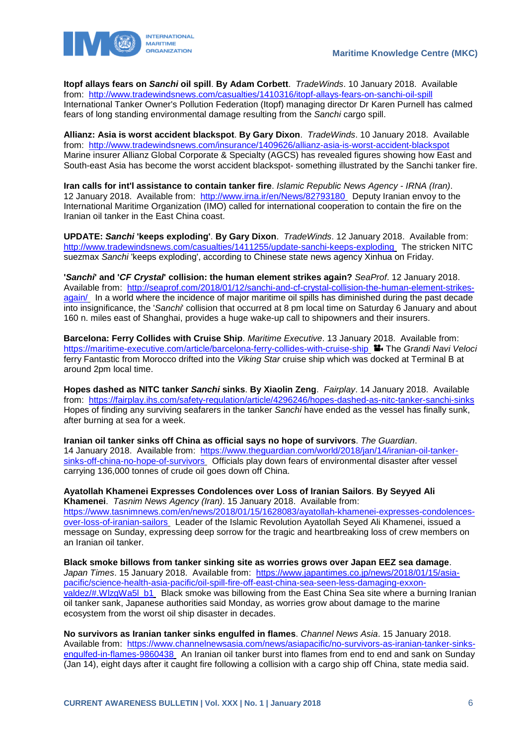

**Itopf allays fears on** *Sanchi* **oil spill**. **By Adam Corbett**. *TradeWinds*. 10 January 2018. Available from: [http://www.tradewindsnews.com/casualties/1410316/itopf-allays-fears-on-sanchi-oil-spill](http://www.tradewindsnews.com/casualties/1410316/itopf-allays-fears-on-sanchi-oil-spil)  International Tanker Owner's Pollution Federation (Itopf) managing director Dr Karen Purnell has calmed fears of long standing environmental damage resulting from the *Sanchi* cargo spill.

**Allianz: Asia is worst accident blackspot**. **By Gary Dixon**. *TradeWinds*. 10 January 2018. Available from: <http://www.tradewindsnews.com/insurance/1409626/allianz-asia-is-worst-accident-blackspot> Marine insurer Allianz Global Corporate & Specialty (AGCS) has revealed figures showing how East and South-east Asia has become the worst accident blackspot- something illustrated by the Sanchi tanker fire.

**Iran calls for int'l assistance to contain tanker fire**. *Islamic Republic News Agency - IRNA (Iran)*. 12 January 2018. Available from: <http://www.irna.ir/en/News/82793180> Deputy Iranian envoy to the International Maritime Organization (IMO) called for international cooperation to contain the fire on the Iranian oil tanker in the East China coast.

**UPDATE:** *Sanchi* **'keeps exploding'**. **By Gary Dixon**. *TradeWinds*. 12 January 2018. Available from: <http://www.tradewindsnews.com/casualties/1411255/update-sanchi-keeps-exploding> The stricken NITC suezmax *Sanchi* 'keeps exploding', according to Chinese state news agency Xinhua on Friday.

**'***Sanchi***' and '***CF Crystal***' collision: the human element strikes again?** *SeaProf*. 12 January 2018. Available from: [http://seaprof.com/2018/01/12/sanchi-and-cf-crystal-collision-the-human-element-strikes](http://seaprof.com/2018/01/12/sanchi-and-cf-crystal-collision-the-human-element-strikes-again/)[again/](http://seaprof.com/2018/01/12/sanchi-and-cf-crystal-collision-the-human-element-strikes-again/) In a world where the incidence of major maritime oil spills has diminished during the past decade into insignificance, the '*Sanchi*' collision that occurred at 8 pm local time on Saturday 6 January and about 160 n. miles east of Shanghai, provides a huge wake-up call to shipowners and their insurers.

**Barcelona: Ferry Collides with Cruise Ship**. *Maritime Executive*. 13 January 2018. Available from: <https://maritime-executive.com/article/barcelona-ferry-collides-with-cruise-ship> The *Grandi Navi Veloci* ferry Fantastic from Morocco drifted into the *Viking Star* cruise ship which was docked at Terminal B at around 2pm local time.

**Hopes dashed as NITC tanker** *Sanchi* **sinks**. **By Xiaolin Zeng**. *Fairplay*. 14 January 2018. Available from: <https://fairplay.ihs.com/safety-regulation/article/4296246/hopes-dashed-as-nitc-tanker-sanchi-sinks> Hopes of finding any surviving seafarers in the tanker *Sanchi* have ended as the vessel has finally sunk, after burning at sea for a week.

**Iranian oil tanker sinks off China as official says no hope of survivors**. *The Guardian*. 14 January 2018. Available from: [https://www.theguardian.com/world/2018/jan/14/iranian-oil-tanker](https://www.theguardian.com/world/2018/jan/14/iranian-oil-tanker-sinks-off-china-no-hope-of-survivors)[sinks-off-china-no-hope-of-survivors](https://www.theguardian.com/world/2018/jan/14/iranian-oil-tanker-sinks-off-china-no-hope-of-survivors) Officials play down fears of environmental disaster after vessel carrying 136,000 tonnes of crude oil goes down off China.

**Ayatollah Khamenei Expresses Condolences over Loss of Iranian Sailors**. **By Seyyed Ali Khamenei**. *Tasnim News Agency (Iran)*. 15 January 2018. Available from: [https://www.tasnimnews.com/en/news/2018/01/15/1628083/ayatollah-khamenei-expresses-condolences](https://www.tasnimnews.com/en/news/2018/01/15/1628083/ayatollah-khamenei-expresses-condolences-over-loss-of-iranian-sailors)[over-loss-of-iranian-sailors](https://www.tasnimnews.com/en/news/2018/01/15/1628083/ayatollah-khamenei-expresses-condolences-over-loss-of-iranian-sailors) Leader of the Islamic Revolution Ayatollah Seyed Ali Khamenei, issued a message on Sunday, expressing deep sorrow for the tragic and heartbreaking loss of crew members on an Iranian oil tanker.

**Black smoke billows from tanker sinking site as worries grows over Japan EEZ sea damage**. *Japan Times*. 15 January 2018. Available from: [https://www.japantimes.co.jp/news/2018/01/15/asia](https://www.japantimes.co.jp/news/2018/01/15/asia-pacific/science-health-asia-pacific/oil-spill-fire-off-east-china-sea-seen-less-damaging-exxon-valdez/#.WlzgWa5l_b1)[pacific/science-health-asia-pacific/oil-spill-fire-off-east-china-sea-seen-less-damaging-exxon](https://www.japantimes.co.jp/news/2018/01/15/asia-pacific/science-health-asia-pacific/oil-spill-fire-off-east-china-sea-seen-less-damaging-exxon-valdez/#.WlzgWa5l_b1)[valdez/#.WlzgWa5l\\_b1](https://www.japantimes.co.jp/news/2018/01/15/asia-pacific/science-health-asia-pacific/oil-spill-fire-off-east-china-sea-seen-less-damaging-exxon-valdez/#.WlzgWa5l_b1) Black smoke was billowing from the East China Sea site where a burning Iranian oil tanker sank, Japanese authorities said Monday, as worries grow about damage to the marine ecosystem from the worst oil ship disaster in decades.

**No survivors as Iranian tanker sinks engulfed in flames**. *Channel News Asia*. 15 January 2018. Available from: [https://www.channelnewsasia.com/news/asiapacific/no-survivors-as-iranian-tanker-sinks](https://www.channelnewsasia.com/news/asiapacific/no-survivors-as-iranian-tanker-sinks-engulfed-in-flames-9860438)[engulfed-in-flames-9860438](https://www.channelnewsasia.com/news/asiapacific/no-survivors-as-iranian-tanker-sinks-engulfed-in-flames-9860438) An Iranian oil tanker burst into flames from end to end and sank on Sunday (Jan 14), eight days after it caught fire following a collision with a cargo ship off China, state media said.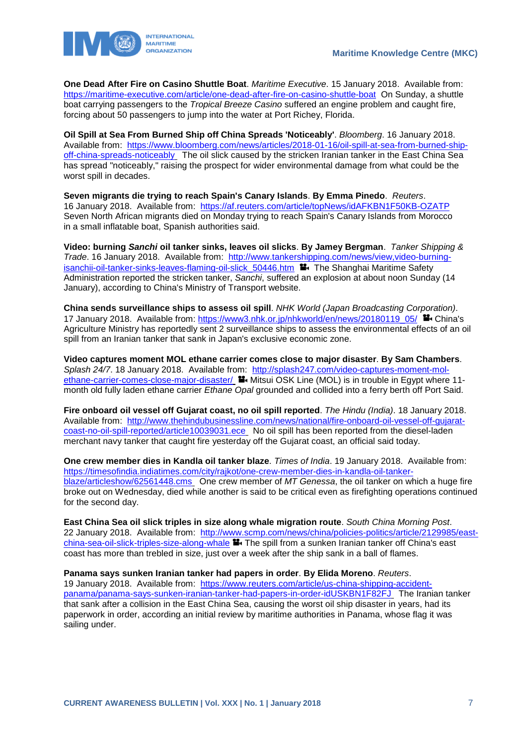

**One Dead After Fire on Casino Shuttle Boat**. *Maritime Executive*. 15 January 2018. Available from: <https://maritime-executive.com/article/one-dead-after-fire-on-casino-shuttle-boat>On Sunday, a shuttle boat carrying passengers to the *Tropical Breeze Casino* suffered an engine problem and caught fire, forcing about 50 passengers to jump into the water at Port Richey, Florida.

**Oil Spill at Sea From Burned Ship off China Spreads 'Noticeably'**. *Bloomberg*. 16 January 2018. Available from: [https://www.bloomberg.com/news/articles/2018-01-16/oil-spill-at-sea-from-burned-ship](https://www.bloomberg.com/news/articles/2018-01-16/oil-spill-at-sea-from-burned-ship-off-china-spreads-noticeably)[off-china-spreads-noticeably](https://www.bloomberg.com/news/articles/2018-01-16/oil-spill-at-sea-from-burned-ship-off-china-spreads-noticeably) The oil slick caused by the stricken Iranian tanker in the East China Sea has spread "noticeably," raising the prospect for wider environmental damage from what could be the worst spill in decades.

**Seven migrants die trying to reach Spain's Canary Islands**. **By Emma Pinedo**. *Reuters*. 16 January 2018. Available from: <https://af.reuters.com/article/topNews/idAFKBN1F50KB-OZATP> Seven North African migrants died on Monday trying to reach Spain's Canary Islands from Morocco in a small inflatable boat, Spanish authorities said.

**Video: burning** *Sanchi* **oil tanker sinks, leaves oil slicks**. **By Jamey Bergman**. *Tanker Shipping & Trade*. 16 January 2018. Available from: [http://www.tankershipping.com/news/view,video-burning](http://www.tankershipping.com/news/view,video-burning-isanchii-oil-tanker-sinks-leaves-flaming-oil-slick_50446.htm)isanchii-oil-tanker-sinks-leaves-flaming-oil-slick 50446.htm  $\blacksquare$  The Shanghai Maritime Safety Administration reported the stricken tanker, *Sanchi*, suffered an explosion at about noon Sunday (14 January), according to China's Ministry of Transport website.

**China sends surveillance ships to assess oil spill**. *NHK World (Japan Broadcasting Corporation)*. 17 January 2018. Available from: [https://www3.nhk.or.jp/nhkworld/en/news/20180119\\_05/](https://www3.nhk.or.jp/nhkworld/en/news/20180119_05/) <sup>12</sup> China's Agriculture Ministry has reportedly sent 2 surveillance ships to assess the environmental effects of an oil spill from an Iranian tanker that sank in Japan's exclusive economic zone.

**Video captures moment MOL ethane carrier comes close to major disaster**. **By Sam Chambers**. *Splash 24/7*. 18 January 2018. Available from: [http://splash247.com/video-captures-moment-mol](http://splash247.com/video-captures-moment-mol-ethane-carrier-comes-close-major-disaster/)[ethane-carrier-comes-close-major-disaster/](http://splash247.com/video-captures-moment-mol-ethane-carrier-comes-close-major-disaster/) Mitsui OSK Line (MOL) is in trouble in Egypt where 11 month old fully laden ethane carrier *Ethane Opal* grounded and collided into a ferry berth off Port Said.

**Fire onboard oil vessel off Gujarat coast, no oil spill reported**. *The Hindu (India)*. 18 January 2018. Available from: [http://www.thehindubusinessline.com/news/national/fire-onboard-oil-vessel-off-gujarat](http://www.thehindubusinessline.com/news/national/fire-onboard-oil-vessel-off-gujarat-coast-no-oil-spill-reported/article10039031.ece)[coast-no-oil-spill-reported/article10039031.ece](http://www.thehindubusinessline.com/news/national/fire-onboard-oil-vessel-off-gujarat-coast-no-oil-spill-reported/article10039031.ece) No oil spill has been reported from the diesel-laden merchant navy tanker that caught fire yesterday off the Gujarat coast, an official said today.

**One crew member dies in Kandla oil tanker blaze**. *Times of India*. 19 January 2018. Available from: [https://timesofindia.indiatimes.com/city/rajkot/one-crew-member-dies-in-kandla-oil-tanker](https://timesofindia.indiatimes.com/city/rajkot/one-crew-member-dies-in-kandla-oil-tanker-blaze/articleshow/62561448.cms)[blaze/articleshow/62561448.cms](https://timesofindia.indiatimes.com/city/rajkot/one-crew-member-dies-in-kandla-oil-tanker-blaze/articleshow/62561448.cms) One crew member of *MT Genessa*, the oil tanker on which a huge fire broke out on Wednesday, died while another is said to be critical even as firefighting operations continued for the second day.

**East China Sea oil slick triples in size along whale migration route**. *South China Morning Post*. 22 January 2018. Available from: [http://www.scmp.com/news/china/policies-politics/article/2129985/east](http://www.scmp.com/news/china/policies-politics/article/2129985/east-china-sea-oil-slick-triples-size-along-whale)[china-sea-oil-slick-triples-size-along-whale](http://www.scmp.com/news/china/policies-politics/article/2129985/east-china-sea-oil-slick-triples-size-along-whale) <sup>1</sup>. The spill from a sunken Iranian tanker off China's east coast has more than trebled in size, just over a week after the ship sank in a ball of flames.

**Panama says sunken Iranian tanker had papers in order**. **By Elida Moreno**. *Reuters*. 19 January 2018. Available from: [https://www.reuters.com/article/us-china-shipping-accident](https://www.reuters.com/article/us-china-shipping-accident-panama/panama-says-sunken-iranian-tanker-had-papers-in-order-idUSKBN1F82FJ)[panama/panama-says-sunken-iranian-tanker-had-papers-in-order-idUSKBN1F82FJ](https://www.reuters.com/article/us-china-shipping-accident-panama/panama-says-sunken-iranian-tanker-had-papers-in-order-idUSKBN1F82FJ) The Iranian tanker that sank after a collision in the East China Sea, causing the worst oil ship disaster in years, had its paperwork in order, according an initial review by maritime authorities in Panama, whose flag it was sailing under.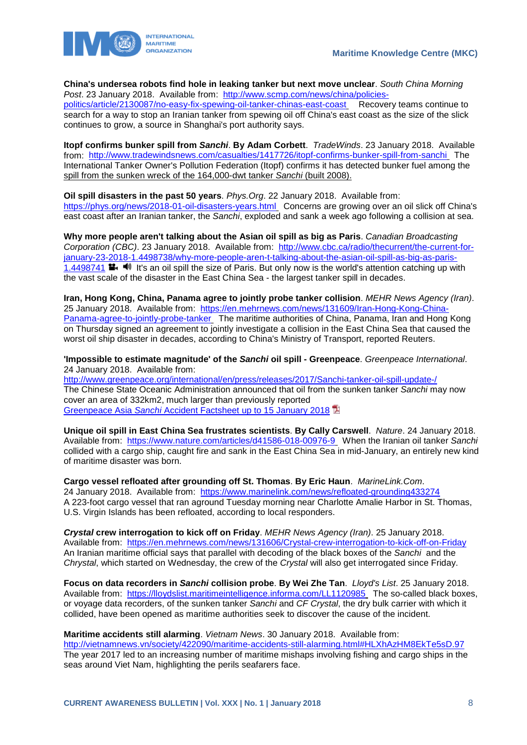

**China's undersea robots find hole in leaking tanker but next move unclear**. *South China Morning Post*. 23 January 2018. Available from: [http://www.scmp.com/news/china/policies-](http://www.scmp.com/news/china/policies-politics/article/2130087/no-easy-fix-spewing-oil-tanker-chinas-east-coast)

[politics/article/2130087/no-easy-fix-spewing-oil-tanker-chinas-east-coast](http://www.scmp.com/news/china/policies-politics/article/2130087/no-easy-fix-spewing-oil-tanker-chinas-east-coast) Recovery teams continue to search for a way to stop an Iranian tanker from spewing oil off China's east coast as the size of the slick continues to grow, a source in Shanghai's port authority says.

**Itopf confirms bunker spill from** *Sanchi*. **By Adam Corbett**. *TradeWinds*. 23 January 2018. Available from: <http://www.tradewindsnews.com/casualties/1417726/itopf-confirms-bunker-spill-from-sanchi> The International Tanker Owner's Pollution Federation (Itopf) confirms it has detected bunker fuel among the spill from the sunken wreck of the 164,000-dwt tanker *Sanchi* (built 2008).

**Oil spill disasters in the past 50 years**. *Phys.Org*. 22 January 2018. Available from:

<https://phys.org/news/2018-01-oil-disasters-years.html> Concerns are growing over an oil slick off China's east coast after an Iranian tanker, the *Sanchi*, exploded and sank a week ago following a collision at sea.

**Why more people aren't talking about the Asian oil spill as big as Paris**. *Canadian Broadcasting Corporation (CBC)*. 23 January 2018. Available from: [http://www.cbc.ca/radio/thecurrent/the-current-for](http://www.cbc.ca/radio/thecurrent/the-current-for-january-23-2018-1.4498738/why-more-people-aren-t-talking-about-the-asian-oil-spill-as-big-as-paris-1.4498741)[january-23-2018-1.4498738/why-more-people-aren-t-talking-about-the-asian-oil-spill-as-big-as-paris-](http://www.cbc.ca/radio/thecurrent/the-current-for-january-23-2018-1.4498738/why-more-people-aren-t-talking-about-the-asian-oil-spill-as-big-as-paris-1.4498741)[1.4498741](http://www.cbc.ca/radio/thecurrent/the-current-for-january-23-2018-1.4498738/why-more-people-aren-t-talking-about-the-asian-oil-spill-as-big-as-paris-1.4498741)  $\blacksquare$   $\blacksquare$  It's an oil spill the size of Paris. But only now is the world's attention catching up with the vast scale of the disaster in the East China Sea - the largest tanker spill in decades.

**Iran, Hong Kong, China, Panama agree to jointly probe tanker collision**. *MEHR News Agency (Iran)*. 25 January 2018. Available from: [https://en.mehrnews.com/news/131609/Iran-Hong-Kong-China-](https://en.mehrnews.com/news/131609/Iran-Hong-Kong-China-Panama-agree-to-jointly-probe-tanker)[Panama-agree-to-jointly-probe-tanker](https://en.mehrnews.com/news/131609/Iran-Hong-Kong-China-Panama-agree-to-jointly-probe-tanker) The maritime authorities of China, Panama, Iran and Hong Kong on Thursday signed an agreement to jointly investigate a collision in the East China Sea that caused the worst oil ship disaster in decades, according to China's Ministry of Transport, reported Reuters.

**'Impossible to estimate magnitude' of the** *Sanchi* **oil spill - Greenpeace**. *Greenpeace International*. 24 January 2018. Available from:

<http://www.greenpeace.org/international/en/press/releases/2017/Sanchi-tanker-oil-spill-update-/> The Chinese State Oceanic Administration announced that oil from the sunken tanker *Sanchi* may now cover an area of 332km2, much larger than previously reported Greenpeace Asia *Sanchi* [Accident Factsheet up to 15 January 2018](http://www.greenpeace.org/eastasia/PageFiles/299371/Sanchi%20oil%20tanker%20collision/Sanchi%20oil%20tanker%20collision%20-%20Greenpeace%20East%20Asia%20factsheet.pdf)

**Unique oil spill in East China Sea frustrates scientists**. **By Cally Carswell**. *Nature*. 24 January 2018. Available from: <https://www.nature.com/articles/d41586-018-00976-9> When the Iranian oil tanker *Sanchi*  collided with a cargo ship, caught fire and sank in the East China Sea in mid-January, an entirely new kind of maritime disaster was born.

**Cargo vessel refloated after grounding off St. Thomas**. **By Eric Haun**. *MarineLink.Com*. 24 January 2018. Available from: <https://www.marinelink.com/news/refloated-grounding433274> A 223-foot cargo vessel that ran aground Tuesday morning near Charlotte Amalie Harbor in St. Thomas, U.S. Virgin Islands has been refloated, according to local responders.

*Crystal* **crew interrogation to kick off on Friday**. *MEHR News Agency (Iran)*. 25 January 2018. Available from: <https://en.mehrnews.com/news/131606/Crystal-crew-interrogation-to-kick-off-on-Friday> An Iranian maritime official says that parallel with decoding of the black boxes of the *Sanchi* and the *Chrystal*, which started on Wednesday, the crew of the *Crystal* will also get interrogated since Friday.

**Focus on data recorders in** *Sanchi* **collision probe**. **By Wei Zhe Tan**. *Lloyd's List*. 25 January 2018. Available from: <https://lloydslist.maritimeintelligence.informa.com/LL1120985>The so-called black boxes, or voyage data recorders, of the sunken tanker *Sanchi* and *CF Crystal*, the dry bulk carrier with which it collided, have been opened as maritime authorities seek to discover the cause of the incident.

**Maritime accidents still alarming**. *Vietnam News*. 30 January 2018. Available from:

<http://vietnamnews.vn/society/422090/maritime-accidents-still-alarming.html#HLXhAzHM8EkTe5sD.97> The year 2017 led to an increasing number of maritime mishaps involving fishing and cargo ships in the seas around Viet Nam, highlighting the perils seafarers face.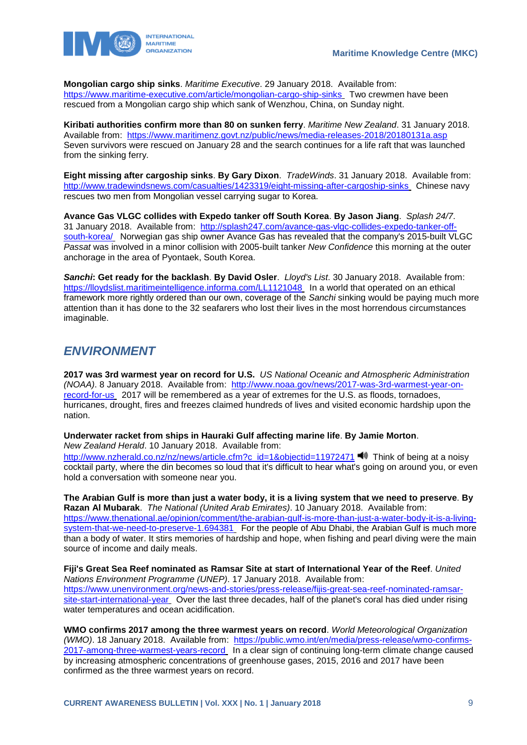

**Mongolian cargo ship sinks**. *Maritime Executive*. 29 January 2018. Available from: <https://www.maritime-executive.com/article/mongolian-cargo-ship-sinks> Two crewmen have been rescued from a Mongolian cargo ship which sank of Wenzhou, China, on Sunday night.

**Kiribati authorities confirm more than 80 on sunken ferry**. *Maritime New Zealand*. 31 January 2018. Available from: <https://www.maritimenz.govt.nz/public/news/media-releases-2018/20180131a.asp> Seven survivors were rescued on January 28 and the search continues for a life raft that was launched from the sinking ferry.

**Eight missing after cargoship sinks**. **By Gary Dixon**. *TradeWinds*. 31 January 2018. Available from: <http://www.tradewindsnews.com/casualties/1423319/eight-missing-after-cargoship-sinks> Chinese navy rescues two men from Mongolian vessel carrying sugar to Korea.

**Avance Gas VLGC collides with Expedo tanker off South Korea**. **By Jason Jiang**. *Splash 24/7*. 31 January 2018. Available from: [http://splash247.com/avance-gas-vlgc-collides-expedo-tanker-off](http://splash247.com/avance-gas-vlgc-collides-expedo-tanker-off-south-korea/)[south-korea/](http://splash247.com/avance-gas-vlgc-collides-expedo-tanker-off-south-korea/) Norwegian gas ship owner Avance Gas has revealed that the company's 2015-built VLGC *Passat* was involved in a minor collision with 2005-built tanker *New Confidence* this morning at the outer anchorage in the area of Pyontaek, South Korea.

*Sanchi***: Get ready for the backlash**. **By David Osler**. *Lloyd's List*. 30 January 2018. Available from: <https://lloydslist.maritimeintelligence.informa.com/LL1121048> In a world that operated on an ethical framework more rightly ordered than our own, coverage of the *Sanchi* sinking would be paying much more attention than it has done to the 32 seafarers who lost their lives in the most horrendous circumstances imaginable.

# <span id="page-9-0"></span>*ENVIRONMENT*

**2017 was 3rd warmest year on record for U.S.** *US National Oceanic and Atmospheric Administration (NOAA)*. 8 January 2018. Available from: [http://www.noaa.gov/news/2017-was-3rd-warmest-year-on](http://www.noaa.gov/news/2017-was-3rd-warmest-year-on-record-for-us)[record-for-us](http://www.noaa.gov/news/2017-was-3rd-warmest-year-on-record-for-us) 2017 will be remembered as a year of extremes for the U.S. as floods, tornadoes, hurricanes, drought, fires and freezes claimed hundreds of lives and visited economic hardship upon the nation.

**Underwater racket from ships in Hauraki Gulf affecting marine life**. **By Jamie Morton**. *New Zealand Herald*. 10 January 2018. Available from:

[http://www.nzherald.co.nz/nz/news/article.cfm?c\\_id=1&objectid=11972471](http://www.nzherald.co.nz/nz/news/article.cfm?c_id=1&objectid=11972471) <sup>4</sup> Think of being at a noisy cocktail party, where the din becomes so loud that it's difficult to hear what's going on around you, or even hold a conversation with someone near you.

**The Arabian Gulf is more than just a water body, it is a living system that we need to preserve**. **By Razan Al Mubarak**. *The National (United Arab Emirates)*. 10 January 2018. Available from: [https://www.thenational.ae/opinion/comment/the-arabian-gulf-is-more-than-just-a-water-body-it-is-a-living](https://www.thenational.ae/opinion/comment/the-arabian-gulf-is-more-than-just-a-water-body-it-is-a-living-system-that-we-need-to-preserve-1.694381)[system-that-we-need-to-preserve-1.694381](https://www.thenational.ae/opinion/comment/the-arabian-gulf-is-more-than-just-a-water-body-it-is-a-living-system-that-we-need-to-preserve-1.694381) For the people of Abu Dhabi, the Arabian Gulf is much more than a body of water. It stirs memories of hardship and hope, when fishing and pearl diving were the main source of income and daily meals.

**Fiji's Great Sea Reef nominated as Ramsar Site at start of International Year of the Reef**. *United Nations Environment Programme (UNEP)*. 17 January 2018. Available from: [https://www.unenvironment.org/news-and-stories/press-release/fijis-great-sea-reef-nominated-ramsar](https://www.unenvironment.org/news-and-stories/press-release/fijis-great-sea-reef-nominated-ramsar-site-start-international-year)[site-start-international-year](https://www.unenvironment.org/news-and-stories/press-release/fijis-great-sea-reef-nominated-ramsar-site-start-international-year) Over the last three decades, half of the planet's coral has died under rising water temperatures and ocean acidification.

**WMO confirms 2017 among the three warmest years on record**. *World Meteorological Organization (WMO)*. 18 January 2018. Available from: [https://public.wmo.int/en/media/press-release/wmo-confirms-](https://public.wmo.int/en/media/press-release/wmo-confirms-2017-among-three-warmest-years-record)[2017-among-three-warmest-years-record](https://public.wmo.int/en/media/press-release/wmo-confirms-2017-among-three-warmest-years-record) In a clear sign of continuing long-term climate change caused by increasing atmospheric concentrations of greenhouse gases, 2015, 2016 and 2017 have been confirmed as the three warmest years on record.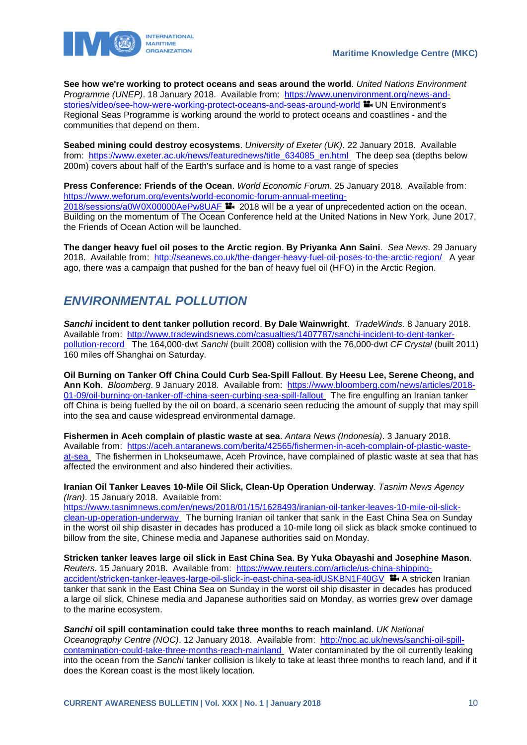

**See how we're working to protect oceans and seas around the world**. *United Nations Environment Programme (UNEP)*. 18 January 2018. Available from: [https://www.unenvironment.org/news-and](https://www.unenvironment.org/news-and-stories/video/see-how-were-working-protect-oceans-and-seas-around-world)[stories/video/see-how-were-working-protect-oceans-and-seas-around-world](https://www.unenvironment.org/news-and-stories/video/see-how-were-working-protect-oceans-and-seas-around-world) UN Environment's Regional Seas Programme is working around the world to protect oceans and coastlines - and the communities that depend on them.

**Seabed mining could destroy ecosystems**. *University of Exeter (UK)*. 22 January 2018. Available from: [https://www.exeter.ac.uk/news/featurednews/title\\_634085\\_en.html](https://www.exeter.ac.uk/news/featurednews/title_634085_en.html) The deep sea (depths below 200m) covers about half of the Earth's surface and is home to a vast range of species

**Press Conference: Friends of the Ocean**. *World Economic Forum*. 25 January 2018. Available from: [https://www.weforum.org/events/world-economic-forum-annual-meeting-](https://www.weforum.org/events/world-economic-forum-annual-meeting-2018/sessions/a0W0X00000AePw8UAF)[2018/sessions/a0W0X00000AePw8UAF](https://www.weforum.org/events/world-economic-forum-annual-meeting-2018/sessions/a0W0X00000AePw8UAF) 2018 will be a year of unprecedented action on the ocean. Building on the momentum of The Ocean Conference held at the United Nations in New York, June 2017, the Friends of Ocean Action will be launched.

**The danger heavy fuel oil poses to the Arctic region**. **By Priyanka Ann Saini**. *Sea News*. 29 January 2018. Available from: <http://seanews.co.uk/the-danger-heavy-fuel-oil-poses-to-the-arctic-region/> A year ago, there was a campaign that pushed for the ban of heavy fuel oil (HFO) in the Arctic Region.

# <span id="page-10-0"></span>*ENVIRONMENTAL POLLUTION*

*Sanchi* **incident to dent tanker pollution record**. **By Dale Wainwright**. *TradeWinds*. 8 January 2018. Available from: [http://www.tradewindsnews.com/casualties/1407787/sanchi-incident-to-dent-tanker](http://www.tradewindsnews.com/casualties/1407787/sanchi-incident-to-dent-tanker-pollution-record)[pollution-record](http://www.tradewindsnews.com/casualties/1407787/sanchi-incident-to-dent-tanker-pollution-record) The 164,000-dwt *Sanchi* (built 2008) collision with the 76,000-dwt *CF Crystal* (built 2011) 160 miles off Shanghai on Saturday.

**Oil Burning on Tanker Off China Could Curb Sea-Spill Fallout**. **By Heesu Lee, Serene Cheong, and Ann Koh**. *Bloomberg*. 9 January 2018. Available from: [https://www.bloomberg.com/news/articles/2018-](https://www.bloomberg.com/news/articles/2018-01-09/oil-burning-on-tanker-off-china-seen-curbing-sea-spill-fallout) [01-09/oil-burning-on-tanker-off-china-seen-curbing-sea-spill-fallout](https://www.bloomberg.com/news/articles/2018-01-09/oil-burning-on-tanker-off-china-seen-curbing-sea-spill-fallout) The fire engulfing an Iranian tanker off China is being fuelled by the oil on board, a scenario seen reducing the amount of supply that may spill into the sea and cause widespread environmental damage.

**Fishermen in Aceh complain of plastic waste at sea**. *Antara News (Indonesia)*. 3 January 2018. Available from: [https://aceh.antaranews.com/berita/42565/fishermen-in-aceh-complain-of-plastic-waste](https://aceh.antaranews.com/berita/42565/fishermen-in-aceh-complain-of-plastic-waste-at-sea)[at-sea](https://aceh.antaranews.com/berita/42565/fishermen-in-aceh-complain-of-plastic-waste-at-sea) The fishermen in Lhokseumawe, Aceh Province, have complained of plastic waste at sea that has affected the environment and also hindered their activities.

**Iranian Oil Tanker Leaves 10-Mile Oil Slick, Clean-Up Operation Underway**. *Tasnim News Agency (Iran)*. 15 January 2018. Available from:

[https://www.tasnimnews.com/en/news/2018/01/15/1628493/iranian-oil-tanker-leaves-10-mile-oil-slick](https://www.tasnimnews.com/en/news/2018/01/15/1628493/iranian-oil-tanker-leaves-10-mile-oil-slick-clean-up-operation-underway)[clean-up-operation-underway](https://www.tasnimnews.com/en/news/2018/01/15/1628493/iranian-oil-tanker-leaves-10-mile-oil-slick-clean-up-operation-underway) The burning Iranian oil tanker that sank in the East China Sea on Sunday in the worst oil ship disaster in decades has produced a 10-mile long oil slick as black smoke continued to billow from the site, Chinese media and Japanese authorities said on Monday.

**Stricken tanker leaves large oil slick in East China Sea**. **By Yuka Obayashi and Josephine Mason**. *Reuters*. 15 January 2018. Available from: [https://www.reuters.com/article/us-china-shipping](https://www.reuters.com/article/us-china-shipping-accident/stricken-tanker-leaves-large-oil-slick-in-east-china-sea-idUSKBN1F40GV)[accident/stricken-tanker-leaves-large-oil-slick-in-east-china-sea-idUSKBN1F40GV](https://www.reuters.com/article/us-china-shipping-accident/stricken-tanker-leaves-large-oil-slick-in-east-china-sea-idUSKBN1F40GV) <sup>1</sup> A stricken Iranian tanker that sank in the East China Sea on Sunday in the worst oil ship disaster in decades has produced a large oil slick, Chinese media and Japanese authorities said on Monday, as worries grew over damage to the marine ecosystem.

*Sanchi* **oil spill contamination could take three months to reach mainland**. *UK National Oceanography Centre (NOC)*. 12 January 2018. Available from: [http://noc.ac.uk/news/sanchi-oil-spill](http://noc.ac.uk/news/sanchi-oil-spill-contamination-could-take-three-months-reach-mainland)[contamination-could-take-three-months-reach-mainland](http://noc.ac.uk/news/sanchi-oil-spill-contamination-could-take-three-months-reach-mainland) Water contaminated by the oil currently leaking into the ocean from the *Sanchi* tanker collision is likely to take at least three months to reach land, and if it does the Korean coast is the most likely location.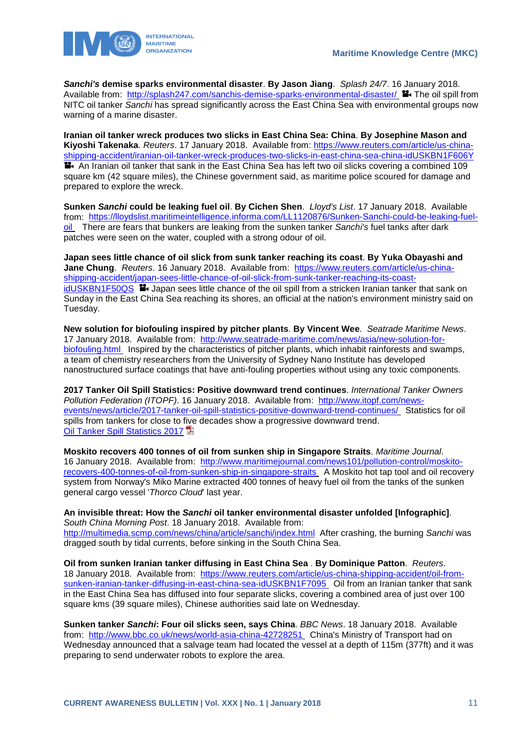

*Sanchi's* **demise sparks environmental disaster**. **By Jason Jiang**. *Splash 24/7*. 16 January 2018. Available from: <http://splash247.com/sanchis-demise-sparks-environmental-disaster/> The oil spill from NITC oil tanker *Sanchi* has spread significantly across the East China Sea with environmental groups now warning of a marine disaster.

**Iranian oil tanker wreck produces two slicks in East China Sea: China**. **By Josephine Mason and Kiyoshi Takenaka**. *Reuters*. 17 January 2018. Available from: [https://www.reuters.com/article/us-china](https://www.reuters.com/article/us-china-shipping-accident/iranian-oil-tanker-wreck-produces-two-slicks-in-east-china-sea-china-idUSKBN1F606Y)[shipping-accident/iranian-oil-tanker-wreck-produces-two-slicks-in-east-china-sea-china-idUSKBN1F606Y](https://www.reuters.com/article/us-china-shipping-accident/iranian-oil-tanker-wreck-produces-two-slicks-in-east-china-sea-china-idUSKBN1F606Y)  An Iranian oil tanker that sank in the East China Sea has left two oil slicks covering a combined 109 square km (42 square miles), the Chinese government said, as maritime police scoured for damage and prepared to explore the wreck.

**Sunken** *Sanchi* **could be leaking fuel oil**. **By Cichen Shen**. *Lloyd's List*. 17 January 2018. Available from: [https://lloydslist.maritimeintelligence.informa.com/LL1120876/Sunken-Sanchi-could-be-leaking-fuel](https://lloydslist.maritimeintelligence.informa.com/LL1120876/Sunken-Sanchi-could-be-leaking-fuel-oil)[oil](https://lloydslist.maritimeintelligence.informa.com/LL1120876/Sunken-Sanchi-could-be-leaking-fuel-oil) There are fears that bunkers are leaking from the sunken tanker *Sanchi's* fuel tanks after dark patches were seen on the water, coupled with a strong odour of oil.

**Japan sees little chance of oil slick from sunk tanker reaching its coast**. **By Yuka Obayashi and Jane Chung**. *Reuters*. 16 January 2018. Available from: [https://www.reuters.com/article/us-china](https://www.reuters.com/article/us-china-shipping-accident/japan-sees-little-chance-of-oil-slick-from-sunk-tanker-reaching-its-coast-idUSKBN1F50QS)[shipping-accident/japan-sees-little-chance-of-oil-slick-from-sunk-tanker-reaching-its-coast](https://www.reuters.com/article/us-china-shipping-accident/japan-sees-little-chance-of-oil-slick-from-sunk-tanker-reaching-its-coast-idUSKBN1F50QS)[idUSKBN1F50QS](https://www.reuters.com/article/us-china-shipping-accident/japan-sees-little-chance-of-oil-slick-from-sunk-tanker-reaching-its-coast-idUSKBN1F50QS)  $\blacksquare$  Japan sees little chance of the oil spill from a stricken Iranian tanker that sank on Sunday in the East China Sea reaching its shores, an official at the nation's environment ministry said on Tuesday.

**New solution for biofouling inspired by pitcher plants**. **By Vincent Wee**. *Seatrade Maritime News*. 17 January 2018. Available from: [http://www.seatrade-maritime.com/news/asia/new-solution-for](http://www.seatrade-maritime.com/news/asia/new-solution-for-biofouling.html)[biofouling.html](http://www.seatrade-maritime.com/news/asia/new-solution-for-biofouling.html) Inspired by the characteristics of pitcher plants, which inhabit rainforests and swamps, a team of chemistry researchers from the University of Sydney Nano Institute has developed nanostructured surface coatings that have anti-fouling properties without using any toxic components.

**2017 Tanker Oil Spill Statistics: Positive downward trend continues**. *International Tanker Owners Pollution Federation (ITOPF)*. 16 January 2018. Available from: [http://www.itopf.com/news](http://www.itopf.com/news-events/news/article/2017-tanker-oil-spill-statistics-positive-downward-trend-continues/)[events/news/article/2017-tanker-oil-spill-statistics-positive-downward-trend-continues/](http://www.itopf.com/news-events/news/article/2017-tanker-oil-spill-statistics-positive-downward-trend-continues/) Statistics for oil spills from tankers for close to five decades show a progressive downward trend. [Oil Tanker Spill Statistics 2017](http://www.itopf.com/knowledge-resources/data-statistics/statistics/)

**Moskito recovers 400 tonnes of oil from sunken ship in Singapore Straits**. *Maritime Journal*. 16 January 2018. Available from: [http://www.maritimejournal.com/news101/pollution-control/moskito](http://www.maritimejournal.com/news101/pollution-control/moskito-recovers-400-tonnes-of-oil-from-sunken-ship-in-singapore-straits)[recovers-400-tonnes-of-oil-from-sunken-ship-in-singapore-straits](http://www.maritimejournal.com/news101/pollution-control/moskito-recovers-400-tonnes-of-oil-from-sunken-ship-in-singapore-straits) A Moskito hot tap tool and oil recovery system from Norway's Miko Marine extracted 400 tonnes of heavy fuel oil from the tanks of the sunken general cargo vessel '*Thorco Cloud*' last year.

**An invisible threat: How the** *Sanchi* **oil tanker environmental disaster unfolded [Infographic]**. *South China Morning Post*. 18 January 2018. Available from: <http://multimedia.scmp.com/news/china/article/sanchi/index.html> After crashing, the burning *Sanchi* was dragged south by tidal currents, before sinking in the South China Sea.

**Oil from sunken Iranian tanker diffusing in East China Sea** . **By Dominique Patton**. *Reuters*. 18 January 2018. Available from: [https://www.reuters.com/article/us-china-shipping-accident/oil-from](https://www.reuters.com/article/us-china-shipping-accident/oil-from-sunken-iranian-tanker-diffusing-in-east-china-sea-idUSKBN1F7095)[sunken-iranian-tanker-diffusing-in-east-china-sea-idUSKBN1F7095](https://www.reuters.com/article/us-china-shipping-accident/oil-from-sunken-iranian-tanker-diffusing-in-east-china-sea-idUSKBN1F7095) Oil from an Iranian tanker that sank in the East China Sea has diffused into four separate slicks, covering a combined area of just over 100 square kms (39 square miles), Chinese authorities said late on Wednesday.

**Sunken tanker** *Sanchi***: Four oil slicks seen, says China**. *BBC News*. 18 January 2018. Available from: <http://www.bbc.co.uk/news/world-asia-china-42728251> China's Ministry of Transport had on Wednesday announced that a salvage team had located the vessel at a depth of 115m (377ft) and it was preparing to send underwater robots to explore the area.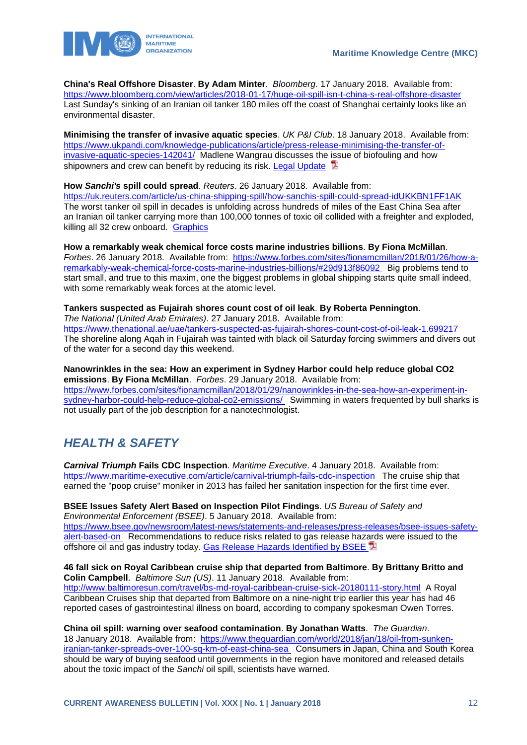

**China's Real Offshore Disaster**. **By Adam Minter**. *Bloomberg*. 17 January 2018. Available from: <https://www.bloomberg.com/view/articles/2018-01-17/huge-oil-spill-isn-t-china-s-real-offshore-disaster> Last Sunday's sinking of an Iranian oil tanker 180 miles off the coast of Shanghai certainly looks like an environmental disaster.

**Minimising the transfer of invasive aquatic species**. *UK P&I Club*. 18 January 2018. Available from: [https://www.ukpandi.com/knowledge-publications/article/press-release-minimising-the-transfer-of](https://www.ukpandi.com/knowledge-publications/article/press-release-minimising-the-transfer-of-invasive-aquatic-species-142041/)[invasive-aquatic-species-142041/](https://www.ukpandi.com/knowledge-publications/article/press-release-minimising-the-transfer-of-invasive-aquatic-species-142041/) Madlene Wangrau discusses the issue of biofouling and how shipowners and crew can benefit by reducing its risk. Legal Update

**How** *Sanchi's* **spill could spread**. *Reuters*. 26 January 2018. Available from:

<https://uk.reuters.com/article/us-china-shipping-spill/how-sanchis-spill-could-spread-idUKKBN1FF1AK> The worst tanker oil spill in decades is unfolding across hundreds of miles of the East China Sea after an Iranian oil tanker carrying more than 100,000 tonnes of toxic oil collided with a freighter and exploded, killing all 32 crew onboard. [Graphics](http://fingfx.thomsonreuters.com/gfx/rngs/CHINA-SHIPPING-SPILL/010060NC166/index.html)

**How a remarkably weak chemical force costs marine industries billions**. **By Fiona McMillan**. *Forbes*. 26 January 2018. Available from: [https://www.forbes.com/sites/fionamcmillan/2018/01/26/how-a](https://www.forbes.com/sites/fionamcmillan/2018/01/26/how-a-remarkably-weak-chemical-force-costs-marine-industries-billions/#29d913f86092)[remarkably-weak-chemical-force-costs-marine-industries-billions/#29d913f86092](https://www.forbes.com/sites/fionamcmillan/2018/01/26/how-a-remarkably-weak-chemical-force-costs-marine-industries-billions/#29d913f86092) Big problems tend to start small, and true to this maxim, one the biggest problems in global shipping starts quite small indeed, with some remarkably weak forces at the atomic level.

### **Tankers suspected as Fujairah shores count cost of oil leak**. **By Roberta Pennington**. *The National (United Arab Emirates)*. 27 January 2018. Available from: <https://www.thenational.ae/uae/tankers-suspected-as-fujairah-shores-count-cost-of-oil-leak-1.699217> The shoreline along Aqah in Fujairah was tainted with black oil Saturday forcing swimmers and divers out

of the water for a second day this weekend.

**Nanowrinkles in the sea: How an experiment in Sydney Harbor could help reduce global CO2 emissions**. **By Fiona McMillan**. *Forbes*. 29 January 2018. Available from: [https://www.forbes.com/sites/fionamcmillan/2018/01/29/nanowrinkles-in-the-sea-how-an-experiment-in](https://www.forbes.com/sites/fionamcmillan/2018/01/29/nanowrinkles-in-the-sea-how-an-experiment-in-sydney-harbor-could-help-reduce-global-co2-emissions/)[sydney-harbor-could-help-reduce-global-co2-emissions/](https://www.forbes.com/sites/fionamcmillan/2018/01/29/nanowrinkles-in-the-sea-how-an-experiment-in-sydney-harbor-could-help-reduce-global-co2-emissions/) Swimming in waters frequented by bull sharks is not usually part of the job description for a nanotechnologist.

# <span id="page-12-0"></span>*HEALTH & SAFETY*

*Carnival Triumph* **Fails CDC Inspection**. *Maritime Executive*. 4 January 2018. Available from: <https://www.maritime-executive.com/article/carnival-triumph-fails-cdc-inspection> The cruise ship that earned the "poop cruise" moniker in 2013 has failed her sanitation inspection for the first time ever.

**BSEE Issues Safety Alert Based on Inspection Pilot Findings**. *US Bureau of Safety and Environmental Enforcement (BSEE)*. 5 January 2018. Available from: [https://www.bsee.gov/newsroom/latest-news/statements-and-releases/press-releases/bsee-issues-safety](https://www.bsee.gov/newsroom/latest-news/statements-and-releases/press-releases/bsee-issues-safety-alert-based-on)[alert-based-on](https://www.bsee.gov/newsroom/latest-news/statements-and-releases/press-releases/bsee-issues-safety-alert-based-on) Recommendations to reduce risks related to gas release hazards were issued to the offshore oil and gas industry today. [Gas Release Hazards Identified by BSEE](https://www.bsee.gov/sites/bsee.gov/files/safety-alerts/safety-alert-328-gas-release-hazards-identified-by-bsee.pdf) <sup>1</sup>4

**46 fall sick on Royal Caribbean cruise ship that departed from Baltimore**. **By Brittany Britto and Colin Campbell**. *Baltimore Sun (US)*. 11 January 2018. Available from: <http://www.baltimoresun.com/travel/bs-md-royal-caribbean-cruise-sick-20180111-story.html>A Royal Caribbean Cruises ship that departed from Baltimore on a nine-night trip earlier this year has had 46 reported cases of gastrointestinal illness on board, according to company spokesman Owen Torres.

**China oil spill: warning over seafood contamination**. **By Jonathan Watts**. *The Guardian*. 18 January 2018. Available from: [https://www.theguardian.com/world/2018/jan/18/oil-from-sunken](https://www.theguardian.com/world/2018/jan/18/oil-from-sunken-iranian-tanker-spreads-over-100-sq-km-of-east-china-sea)[iranian-tanker-spreads-over-100-sq-km-of-east-china-sea](https://www.theguardian.com/world/2018/jan/18/oil-from-sunken-iranian-tanker-spreads-over-100-sq-km-of-east-china-sea) Consumers in Japan, China and South Korea should be wary of buying seafood until governments in the region have monitored and released details about the toxic impact of the *Sanchi* oil spill, scientists have warned.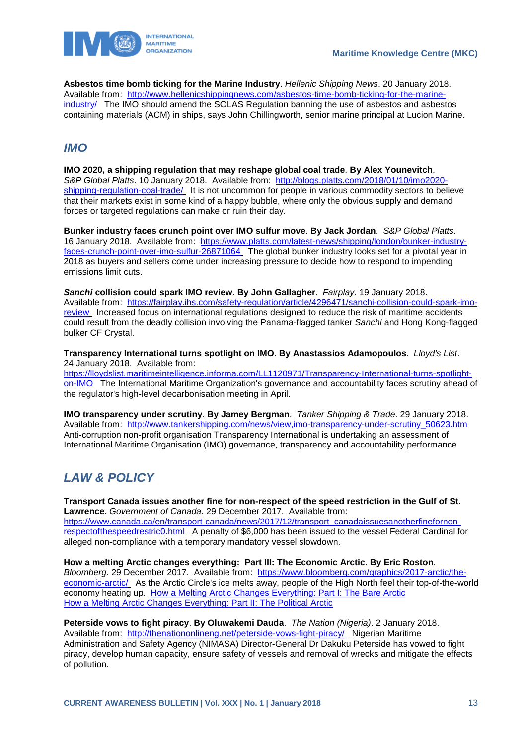

**Asbestos time bomb ticking for the Marine Industry**. *Hellenic Shipping News*. 20 January 2018. Available from: [http://www.hellenicshippingnews.com/asbestos-time-bomb-ticking-for-the-marine](http://www.hellenicshippingnews.com/asbestos-time-bomb-ticking-for-the-marine-industry/)[industry/](http://www.hellenicshippingnews.com/asbestos-time-bomb-ticking-for-the-marine-industry/) The IMO should amend the SOLAS Regulation banning the use of asbestos and asbestos containing materials (ACM) in ships, says John Chillingworth, senior marine principal at Lucion Marine.

# <span id="page-13-0"></span>*IMO*

**IMO 2020, a shipping regulation that may reshape global coal trade**. **By Alex Younevitch**. *S&P Global Platts*. 10 January 2018. Available from: [http://blogs.platts.com/2018/01/10/imo2020](http://blogs.platts.com/2018/01/10/imo2020-shipping-regulation-coal-trade/) [shipping-regulation-coal-trade/](http://blogs.platts.com/2018/01/10/imo2020-shipping-regulation-coal-trade/) It is not uncommon for people in various commodity sectors to believe that their markets exist in some kind of a happy bubble, where only the obvious supply and demand forces or targeted regulations can make or ruin their day.

**Bunker industry faces crunch point over IMO sulfur move**. **By Jack Jordan**. *S&P Global Platts*. 16 January 2018. Available from: [https://www.platts.com/latest-news/shipping/london/bunker-industry](https://www.platts.com/latest-news/shipping/london/bunker-industry-faces-crunch-point-over-imo-sulfur-26871064)[faces-crunch-point-over-imo-sulfur-26871064](https://www.platts.com/latest-news/shipping/london/bunker-industry-faces-crunch-point-over-imo-sulfur-26871064) The global bunker industry looks set for a pivotal year in 2018 as buyers and sellers come under increasing pressure to decide how to respond to impending emissions limit cuts.

*Sanchi* **collision could spark IMO review**. **By John Gallagher**. *Fairplay*. 19 January 2018. Available from: [https://fairplay.ihs.com/safety-regulation/article/4296471/sanchi-collision-could-spark-imo](https://fairplay.ihs.com/safety-regulation/article/4296471/sanchi-collision-could-spark-imo-review)[review](https://fairplay.ihs.com/safety-regulation/article/4296471/sanchi-collision-could-spark-imo-review) Increased focus on international regulations designed to reduce the risk of maritime accidents could result from the deadly collision involving the Panama-flagged tanker *Sanchi* and Hong Kong-flagged bulker CF Crystal.

**Transparency International turns spotlight on IMO**. **By Anastassios Adamopoulos**. *Lloyd's List*. 24 January 2018. Available from:

[https://lloydslist.maritimeintelligence.informa.com/LL1120971/Transparency-International-turns-spotlight](https://lloydslist.maritimeintelligence.informa.com/LL1120971/Transparency-International-turns-spotlight-on-IMO)[on-IMO](https://lloydslist.maritimeintelligence.informa.com/LL1120971/Transparency-International-turns-spotlight-on-IMO) The International Maritime Organization's governance and accountability faces scrutiny ahead of the regulator's high-level decarbonisation meeting in April.

**IMO transparency under scrutiny**. **By Jamey Bergman**. *Tanker Shipping & Trade*. 29 January 2018. Available from: [http://www.tankershipping.com/news/view,imo-transparency-under-scrutiny\\_50623.htm](http://www.tankershipping.com/news/view,imo-transparency-under-scrutiny_50623.htm)  Anti-corruption non-profit organisation Transparency International is undertaking an assessment of International Maritime Organisation (IMO) governance, transparency and accountability performance.

# <span id="page-13-1"></span>*LAW & POLICY*

**Transport Canada issues another fine for non-respect of the speed restriction in the Gulf of St. Lawrence**. *Government of Canada*. 29 December 2017. Available from: [https://www.canada.ca/en/transport-canada/news/2017/12/transport\\_canadaissuesanotherfinefornon](https://www.canada.ca/en/transport-canada/news/2017/12/transport_canadaissuesanotherfinefornon-respectofthespeedrestric0.html)[respectofthespeedrestric0.html](https://www.canada.ca/en/transport-canada/news/2017/12/transport_canadaissuesanotherfinefornon-respectofthespeedrestric0.html) A penalty of \$6,000 has been issued to the vessel Federal Cardinal for alleged non-compliance with a temporary mandatory vessel slowdown.

**How a melting Arctic changes everything: Part III: The Economic Arctic**. **By Eric Roston**. *Bloomberg*. 29 December 2017. Available from: [https://www.bloomberg.com/graphics/2017-arctic/the](https://www.bloomberg.com/graphics/2017-arctic/the-economic-arctic/)[economic-arctic/](https://www.bloomberg.com/graphics/2017-arctic/the-economic-arctic/) As the Arctic Circle's ice melts away, people of the High North feel their top-of-the-world economy heating up. [How a Melting Arctic Changes Everything: Part I: The Bare Arctic](https://www.bloomberg.com/graphics/2017-arctic/)  [How a Melting Arctic Changes Everything: Part II: The Political Arctic](https://www.bloomberg.com/graphics/2017-arctic/the-political-arctic/)

**Peterside vows to fight piracy**. **By Oluwakemi Dauda**. *The Nation (Nigeria)*. 2 January 2018. Available from: <http://thenationonlineng.net/peterside-vows-fight-piracy/> Nigerian Maritime Administration and Safety Agency (NIMASA) Director-General Dr Dakuku Peterside has vowed to fight piracy, develop human capacity, ensure safety of vessels and removal of wrecks and mitigate the effects of pollution.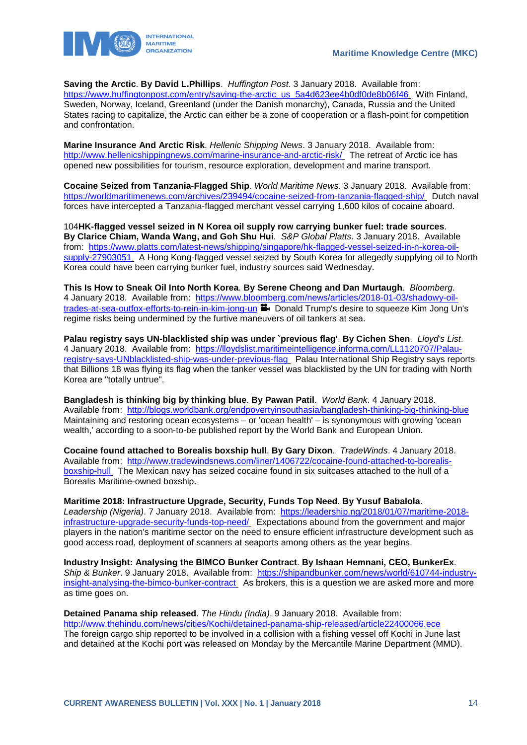

**Saving the Arctic**. **By David L.Phillips**. *Huffington Post*. 3 January 2018. Available from: [https://www.huffingtonpost.com/entry/saving-the-arctic\\_us\\_5a4d623ee4b0df0de8b06f46](https://www.huffingtonpost.com/entry/saving-the-arctic_us_5a4d623ee4b0df0de8b06f46) With Finland, Sweden, Norway, Iceland, Greenland (under the Danish monarchy), Canada, Russia and the United States racing to capitalize, the Arctic can either be a zone of cooperation or a flash-point for competition and confrontation.

**Marine Insurance And Arctic Risk**. *Hellenic Shipping News*. 3 January 2018. Available from: <http://www.hellenicshippingnews.com/marine-insurance-and-arctic-risk/> The retreat of Arctic ice has opened new possibilities for tourism, resource exploration, development and marine transport.

**Cocaine Seized from Tanzania-Flagged Ship**. *World Maritime News*. 3 January 2018. Available from: <https://worldmaritimenews.com/archives/239494/cocaine-seized-from-tanzania-flagged-ship/> Dutch naval forces have intercepted a Tanzania-flagged merchant vessel carrying 1,600 kilos of cocaine aboard.

104**HK-flagged vessel seized in N Korea oil supply row carrying bunker fuel: trade sources**. **By Clarice Chiam, Wanda Wang, and Goh Shu Hui**. *S&P Global Platts*. 3 January 2018. Available from: [https://www.platts.com/latest-news/shipping/singapore/hk-flagged-vessel-seized-in-n-korea-oil](https://www.platts.com/latest-news/shipping/singapore/hk-flagged-vessel-seized-in-n-korea-oil-supply-27903051)[supply-27903051](https://www.platts.com/latest-news/shipping/singapore/hk-flagged-vessel-seized-in-n-korea-oil-supply-27903051) A Hong Kong-flagged vessel seized by South Korea for allegedly supplying oil to North Korea could have been carrying bunker fuel, industry sources said Wednesday.

**This Is How to Sneak Oil Into North Korea**. **By Serene Cheong and Dan Murtaugh**. *Bloomberg*. 4 January 2018. Available from: [https://www.bloomberg.com/news/articles/2018-01-03/shadowy-oil](https://www.bloomberg.com/news/articles/2018-01-03/shadowy-oil-trades-at-sea-outfox-efforts-to-rein-in-kim-jong-un)[trades-at-sea-outfox-efforts-to-rein-in-kim-jong-un](https://www.bloomberg.com/news/articles/2018-01-03/shadowy-oil-trades-at-sea-outfox-efforts-to-rein-in-kim-jong-un) Donald Trump's desire to squeeze Kim Jong Un's regime risks being undermined by the furtive maneuvers of oil tankers at sea.

**Palau registry says UN-blacklisted ship was under `previous flag'**. **By Cichen Shen**. *Lloyd's List*. 4 January 2018. Available from: [https://lloydslist.maritimeintelligence.informa.com/LL1120707/Palau](https://lloydslist.maritimeintelligence.informa.com/LL1120707/Palau-registry-says-UNblacklisted-ship-was-under-previous-flag)[registry-says-UNblacklisted-ship-was-under-previous-flag](https://lloydslist.maritimeintelligence.informa.com/LL1120707/Palau-registry-says-UNblacklisted-ship-was-under-previous-flag) Palau International Ship Registry says reports that Billions 18 was flying its flag when the tanker vessel was blacklisted by the UN for trading with North Korea are "totally untrue".

**Bangladesh is thinking big by thinking blue**. **By Pawan Patil**. *World Bank*. 4 January 2018. Available from: <http://blogs.worldbank.org/endpovertyinsouthasia/bangladesh-thinking-big-thinking-blue> Maintaining and restoring ocean ecosystems – or 'ocean health' – is synonymous with growing 'ocean wealth,' according to a soon-to-be published report by the World Bank and European Union.

**Cocaine found attached to Borealis boxship hull**. **By Gary Dixon**. *TradeWinds*. 4 January 2018. Available from: [http://www.tradewindsnews.com/liner/1406722/cocaine-found-attached-to-borealis](http://www.tradewindsnews.com/liner/1406722/cocaine-found-attached-to-borealis-boxship-hull)[boxship-hull](http://www.tradewindsnews.com/liner/1406722/cocaine-found-attached-to-borealis-boxship-hull) The Mexican navy has seized cocaine found in six suitcases attached to the hull of a Borealis Maritime-owned boxship.

**Maritime 2018: Infrastructure Upgrade, Security, Funds Top Need**. **By Yusuf Babalola**. *Leadership (Nigeria)*. 7 January 2018. Available from: [https://leadership.ng/2018/01/07/maritime-2018](https://leadership.ng/2018/01/07/maritime-2018-infrastructure-upgrade-security-funds-top-need/) [infrastructure-upgrade-security-funds-top-need/](https://leadership.ng/2018/01/07/maritime-2018-infrastructure-upgrade-security-funds-top-need/) Expectations abound from the government and major players in the nation's maritime sector on the need to ensure efficient infrastructure development such as good access road, deployment of scanners at seaports among others as the year begins.

**Industry Insight: Analysing the BIMCO Bunker Contract**. **By Ishaan Hemnani, CEO, BunkerEx**. *Ship & Bunker*. 9 January 2018. Available from: [https://shipandbunker.com/news/world/610744-industry](https://shipandbunker.com/news/world/610744-industry-insight-analysing-the-bimco-bunker-contract)[insight-analysing-the-bimco-bunker-contract](https://shipandbunker.com/news/world/610744-industry-insight-analysing-the-bimco-bunker-contract) As brokers, this is a question we are asked more and more as time goes on.

**Detained Panama ship released**. *The Hindu (India)*. 9 January 2018. Available from: <http://www.thehindu.com/news/cities/Kochi/detained-panama-ship-released/article22400066.ece> The foreign cargo ship reported to be involved in a collision with a fishing vessel off Kochi in June last and detained at the Kochi port was released on Monday by the Mercantile Marine Department (MMD).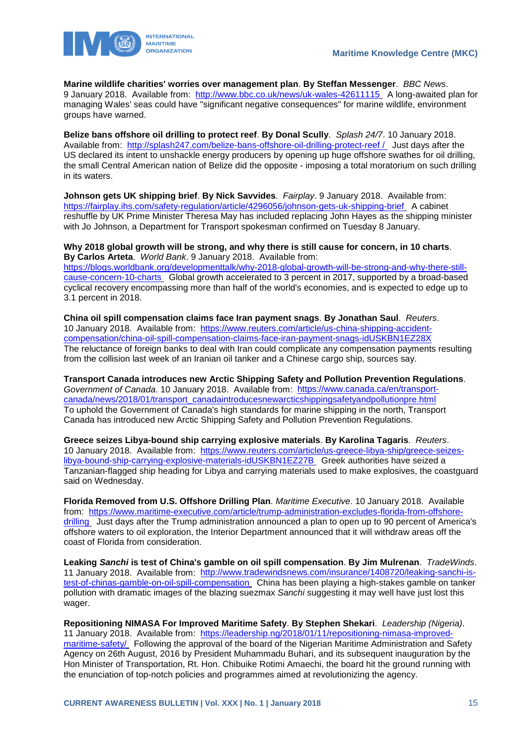



**Marine wildlife charities' worries over management plan**. **By Steffan Messenger**. *BBC News*. 9 January 2018. Available from: <http://www.bbc.co.uk/news/uk-wales-42611115> A long-awaited plan for managing Wales' seas could have "significant negative consequences" for marine wildlife, environment groups have warned.

**Belize bans offshore oil drilling to protect reef**. **By Donal Scully**. *Splash 24/7*. 10 January 2018. Available from: [http://splash247.com/belize-bans-offshore-oil-drilling-protect-reef /](http://splash247.com/belize-bans-offshore-oil-drilling-protect-reef%20/) Just days after the US declared its intent to unshackle energy producers by opening up huge offshore swathes for oil drilling, the small Central American nation of Belize did the opposite - imposing a total moratorium on such drilling in its waters.

**Johnson gets UK shipping brief**. **By Nick Savvides**. *Fairplay*. 9 January 2018. Available from: <https://fairplay.ihs.com/safety-regulation/article/4296056/johnson-gets-uk-shipping-brief> A cabinet reshuffle by UK Prime Minister Theresa May has included replacing John Hayes as the shipping minister with Jo Johnson, a Department for Transport spokesman confirmed on Tuesday 8 January.

**Why 2018 global growth will be strong, and why there is still cause for concern, in 10 charts**. **By Carlos Arteta**. *World Bank*. 9 January 2018. Available from: [https://blogs.worldbank.org/developmenttalk/why-2018-global-growth-will-be-strong-and-why-there-still-](https://blogs.worldbank.org/developmenttalk/why-2018-global-growth-will-be-strong-and-why-there-still-cause-concern-10-charts)

[cause-concern-10-charts](https://blogs.worldbank.org/developmenttalk/why-2018-global-growth-will-be-strong-and-why-there-still-cause-concern-10-charts) Global growth accelerated to 3 percent in 2017, supported by a broad-based cyclical recovery encompassing more than half of the world's economies, and is expected to edge up to 3.1 percent in 2018.

**China oil spill compensation claims face Iran payment snags**. **By Jonathan Saul**. *Reuters*. 10 January 2018. Available from: [https://www.reuters.com/article/us-china-shipping-accident](https://www.reuters.com/article/us-china-shipping-accident-compensation/china-oil-spill-compensation-claims-face-iran-payment-snags-idUSKBN1EZ28X)[compensation/china-oil-spill-compensation-claims-face-iran-payment-snags-idUSKBN1EZ28X](https://www.reuters.com/article/us-china-shipping-accident-compensation/china-oil-spill-compensation-claims-face-iran-payment-snags-idUSKBN1EZ28X) The reluctance of foreign banks to deal with Iran could complicate any compensation payments resulting from the collision last week of an Iranian oil tanker and a Chinese cargo ship, sources say.

**Transport Canada introduces new Arctic Shipping Safety and Pollution Prevention Regulations**. *Government of Canada*. 10 January 2018. Available from: [https://www.canada.ca/en/transport](https://www.canada.ca/en/transport-canada/news/2018/01/transport_canadaintroducesnewarcticshippingsafetyandpollutionpre.html)[canada/news/2018/01/transport\\_canadaintroducesnewarcticshippingsafetyandpollutionpre.html](https://www.canada.ca/en/transport-canada/news/2018/01/transport_canadaintroducesnewarcticshippingsafetyandpollutionpre.html) To uphold the Government of Canada's high standards for marine shipping in the north, Transport Canada has introduced new Arctic Shipping Safety and Pollution Prevention Regulations.

**Greece seizes Libya-bound ship carrying explosive materials**. **By Karolina Tagaris**. *Reuters*. 10 January 2018. Available from: [https://www.reuters.com/article/us-greece-libya-ship/greece-seizes](https://www.reuters.com/article/us-greece-libya-ship/greece-seizes-libya-bound-ship-carrying-explosive-materials-idUSKBN1EZ27B)[libya-bound-ship-carrying-explosive-materials-idUSKBN1EZ27B](https://www.reuters.com/article/us-greece-libya-ship/greece-seizes-libya-bound-ship-carrying-explosive-materials-idUSKBN1EZ27B) Greek authorities have seized a Tanzanian-flagged ship heading for Libya and carrying materials used to make explosives, the coastguard said on Wednesday.

**Florida Removed from U.S. Offshore Drilling Plan**. *Maritime Executive*. 10 January 2018. Available from: [https://www.maritime-executive.com/article/trump-administration-excludes-florida-from-offshore](https://www.maritime-executive.com/article/trump-administration-excludes-florida-from-offshore-drilling)[drilling](https://www.maritime-executive.com/article/trump-administration-excludes-florida-from-offshore-drilling) Just days after the Trump administration announced a plan to open up to 90 percent of America's offshore waters to oil exploration, the Interior Department announced that it will withdraw areas off the coast of Florida from consideration.

**Leaking** *Sanchi* **is test of China's gamble on oil spill compensation**. **By Jim Mulrenan**. *TradeWinds*. 11 January 2018. Available from: [http://www.tradewindsnews.com/insurance/1408720/leaking-sanchi-is](http://www.tradewindsnews.com/insurance/1408720/leaking-sanchi-is-test-of-chinas-gamble-on-oil-spill-compensation)[test-of-chinas-gamble-on-oil-spill-compensation](http://www.tradewindsnews.com/insurance/1408720/leaking-sanchi-is-test-of-chinas-gamble-on-oil-spill-compensation) China has been playing a high-stakes gamble on tanker pollution with dramatic images of the blazing suezmax *Sanchi* suggesting it may well have just lost this wager.

**Repositioning NIMASA For Improved Maritime Safety**. **By Stephen Shekari**. *Leadership (Nigeria)*. 11 January 2018. Available from: [https://leadership.ng/2018/01/11/repositioning-nimasa-improved](https://leadership.ng/2018/01/11/repositioning-nimasa-improved-maritime-safety/)[maritime-safety/](https://leadership.ng/2018/01/11/repositioning-nimasa-improved-maritime-safety/) Following the approval of the board of the Nigerian Maritime Administration and Safety Agency on 26th August, 2016 by President Muhammadu Buhari, and its subsequent inauguration by the Hon Minister of Transportation, Rt. Hon. Chibuike Rotimi Amaechi, the board hit the ground running with the enunciation of top-notch policies and programmes aimed at revolutionizing the agency.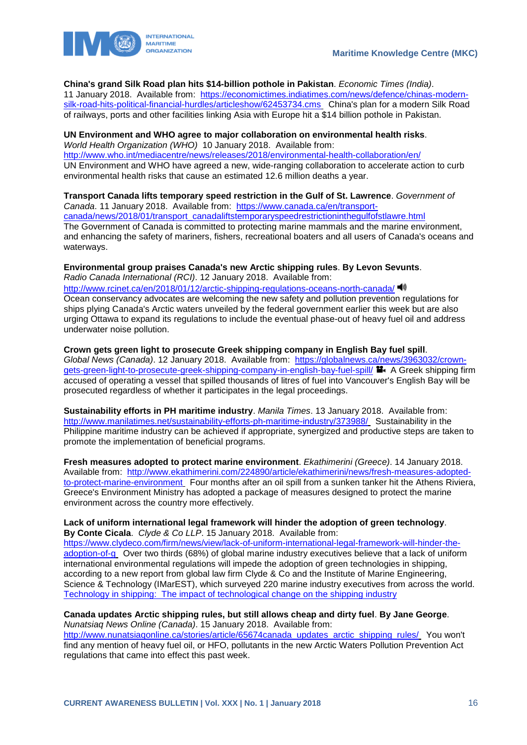

### **China's grand Silk Road plan hits \$14-billion pothole in Pakistan**. *Economic Times (India)*.

11 January 2018. Available from: [https://economictimes.indiatimes.com/news/defence/chinas-modern](https://economictimes.indiatimes.com/news/defence/chinas-modern-silk-road-hits-political-financial-hurdles/articleshow/62453734.cms)[silk-road-hits-political-financial-hurdles/articleshow/62453734.cms](https://economictimes.indiatimes.com/news/defence/chinas-modern-silk-road-hits-political-financial-hurdles/articleshow/62453734.cms) China's plan for a modern Silk Road of railways, ports and other facilities linking Asia with Europe hit a \$14 billion pothole in Pakistan.

### **UN Environment and WHO agree to major collaboration on environmental health risks**.

*World Health Organization (WHO)* 10 January 2018. Available from: <http://www.who.int/mediacentre/news/releases/2018/environmental-health-collaboration/en/> UN Environment and WHO have agreed a new, wide-ranging collaboration to accelerate action to curb environmental health risks that cause an estimated 12.6 million deaths a year.

**Transport Canada lifts temporary speed restriction in the Gulf of St. Lawrence**. *Government of Canada*. 11 January 2018. Available from: [https://www.canada.ca/en/transport](https://www.canada.ca/en/transport-canada/news/2018/01/transport_canadaliftstemporaryspeedrestrictioninthegulfofstlawre.html)[canada/news/2018/01/transport\\_canadaliftstemporaryspeedrestrictioninthegulfofstlawre.html](https://www.canada.ca/en/transport-canada/news/2018/01/transport_canadaliftstemporaryspeedrestrictioninthegulfofstlawre.html) The Government of Canada is committed to protecting marine mammals and the marine environment, and enhancing the safety of mariners, fishers, recreational boaters and all users of Canada's oceans and waterways.

### **Environmental group praises Canada's new Arctic shipping rules**. **By Levon Sevunts**. *Radio Canada International (RCI)*. 12 January 2018. Available from:

<http://www.rcinet.ca/en/2018/01/12/arctic-shipping-regulations-oceans-north-canada/> Ocean conservancy advocates are welcoming the new safety and pollution prevention regulations for ships plying Canada's Arctic waters unveiled by the federal government earlier this week but are also urging Ottawa to expand its regulations to include the eventual phase-out of heavy fuel oil and address underwater noise pollution.

### **Crown gets green light to prosecute Greek shipping company in English Bay fuel spill**.

*Global News (Canada)*. 12 January 2018. Available from: [https://globalnews.ca/news/3963032/crown](https://globalnews.ca/news/3963032/crown-gets-green-light-to-prosecute-greek-shipping-company-in-english-bay-fuel-spill/)[gets-green-light-to-prosecute-greek-shipping-company-in-english-bay-fuel-spill/](https://globalnews.ca/news/3963032/crown-gets-green-light-to-prosecute-greek-shipping-company-in-english-bay-fuel-spill/) A Greek shipping firm accused of operating a vessel that spilled thousands of litres of fuel into Vancouver's English Bay will be prosecuted regardless of whether it participates in the legal proceedings.

**Sustainability efforts in PH maritime industry**. *Manila Times*. 13 January 2018. Available from: <http://www.manilatimes.net/sustainability-efforts-ph-maritime-industry/373988/> Sustainability in the Philippine maritime industry can be achieved if appropriate, synergized and productive steps are taken to promote the implementation of beneficial programs.

**Fresh measures adopted to protect marine environment**. *Ekathimerini (Greece)*. 14 January 2018. Available from: [http://www.ekathimerini.com/224890/article/ekathimerini/news/fresh-measures-adopted](http://www.ekathimerini.com/224890/article/ekathimerini/news/fresh-measures-adopted-to-protect-marine-environment)[to-protect-marine-environment](http://www.ekathimerini.com/224890/article/ekathimerini/news/fresh-measures-adopted-to-protect-marine-environment) Four months after an oil spill from a sunken tanker hit the Athens Riviera, Greece's Environment Ministry has adopted a package of measures designed to protect the marine environment across the country more effectively.

### **Lack of uniform international legal framework will hinder the adoption of green technology**. **By Conte Cicala**. *Clyde & Co LLP*. 15 January 2018. Available from:

[https://www.clydeco.com/firm/news/view/lack-of-uniform-international-legal-framework-will-hinder-the](https://www.clydeco.com/firm/news/view/lack-of-uniform-international-legal-framework-will-hinder-the-adoption-of-g)[adoption-of-g](https://www.clydeco.com/firm/news/view/lack-of-uniform-international-legal-framework-will-hinder-the-adoption-of-g) Over two thirds (68%) of global marine industry executives believe that a lack of uniform international environmental regulations will impede the adoption of green technologies in shipping, according to a new report from global law firm Clyde & Co and the Institute of Marine Engineering, Science & Technology (IMarEST), which surveyed 220 marine industry executives from across the world. [Technology in shipping: The impact of technological change on the shipping industry](https://online.flippingbook.com/view/1037246/)

#### **Canada updates Arctic shipping rules, but still allows cheap and dirty fuel**. **By Jane George**. *Nunatsiaq News Online (Canada)*. 15 January 2018. Available from:

[http://www.nunatsiaqonline.ca/stories/article/65674canada\\_updates\\_arctic\\_shipping\\_rules/](http://www.nunatsiaqonline.ca/stories/article/65674canada_updates_arctic_shipping_rules/) You won't find any mention of heavy fuel oil, or HFO, pollutants in the new Arctic Waters Pollution Prevention Act regulations that came into effect this past week.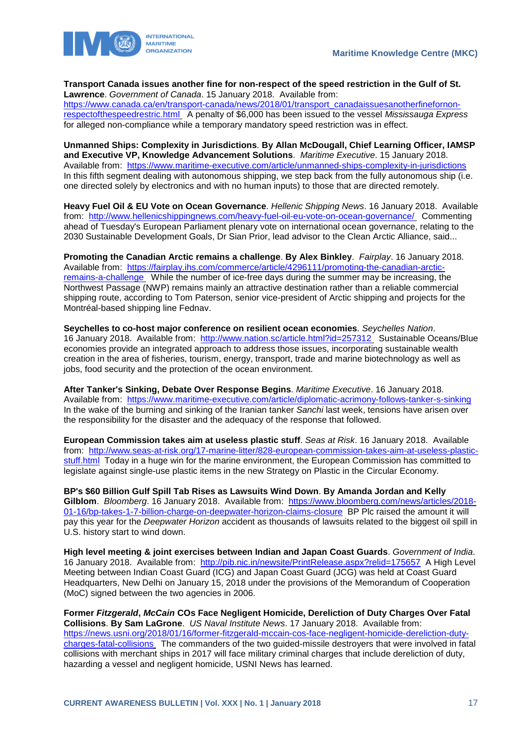

# **Transport Canada issues another fine for non-respect of the speed restriction in the Gulf of St.**

**Lawrence**. *Government of Canada*. 15 January 2018. Available from:

[https://www.canada.ca/en/transport-canada/news/2018/01/transport\\_canadaissuesanotherfinefornon](https://www.canada.ca/en/transport-canada/news/2018/01/transport_canadaissuesanotherfinefornon-respectofthespeedrestric.html)[respectofthespeedrestric.html](https://www.canada.ca/en/transport-canada/news/2018/01/transport_canadaissuesanotherfinefornon-respectofthespeedrestric.html) A penalty of \$6,000 has been issued to the vessel *Mississauga Express* for alleged non-compliance while a temporary mandatory speed restriction was in effect.

**Unmanned Ships: Complexity in Jurisdictions**. **By Allan McDougall, Chief Learning Officer, IAMSP and Executive VP, Knowledge Advancement Solutions**. *Maritime Executive*. 15 January 2018. Available from: <https://www.maritime-executive.com/article/unmanned-ships-complexity-in-jurisdictions> In this fifth segment dealing with autonomous shipping, we step back from the fully autonomous ship (i.e. one directed solely by electronics and with no human inputs) to those that are directed remotely.

**Heavy Fuel Oil & EU Vote on Ocean Governance**. *Hellenic Shipping News*. 16 January 2018. Available from: <http://www.hellenicshippingnews.com/heavy-fuel-oil-eu-vote-on-ocean-governance/>Commenting ahead of Tuesday's European Parliament plenary vote on international ocean governance, relating to the 2030 Sustainable Development Goals, Dr Sian Prior, lead advisor to the Clean Arctic Alliance, said...

**Promoting the Canadian Arctic remains a challenge**. **By Alex Binkley**. *Fairplay*. 16 January 2018. Available from: [https://fairplay.ihs.com/commerce/article/4296111/promoting-the-canadian-arctic](https://fairplay.ihs.com/commerce/article/4296111/promoting-the-canadian-arctic-remains-a-challenge)[remains-a-challenge](https://fairplay.ihs.com/commerce/article/4296111/promoting-the-canadian-arctic-remains-a-challenge) While the number of ice-free days during the summer may be increasing, the Northwest Passage (NWP) remains mainly an attractive destination rather than a reliable commercial shipping route, according to Tom Paterson, senior vice-president of Arctic shipping and projects for the Montréal-based shipping line Fednav.

**Seychelles to co-host major conference on resilient ocean economies**. *Seychelles Nation*. 16 January 2018. Available from: <http://www.nation.sc/article.html?id=257312> Sustainable Oceans/Blue economies provide an integrated approach to address those issues, incorporating sustainable wealth creation in the area of fisheries, tourism, energy, transport, trade and marine biotechnology as well as jobs, food security and the protection of the ocean environment.

**After Tanker's Sinking, Debate Over Response Begins**. *Maritime Executive*. 16 January 2018. Available from: <https://www.maritime-executive.com/article/diplomatic-acrimony-follows-tanker-s-sinking> In the wake of the burning and sinking of the Iranian tanker *Sanchi* last week, tensions have arisen over the responsibility for the disaster and the adequacy of the response that followed.

**European Commission takes aim at useless plastic stuff**. *Seas at Risk*. 16 January 2018. Available from: [http://www.seas-at-risk.org/17-marine-litter/828-european-commission-takes-aim-at-useless-plastic](http://www.seas-at-risk.org/17-marine-litter/828-european-commission-takes-aim-at-useless-plastic-stuff.html)[stuff.html](http://www.seas-at-risk.org/17-marine-litter/828-european-commission-takes-aim-at-useless-plastic-stuff.html) Today in a huge win for the marine environment, the European Commission has committed to legislate against single-use plastic items in the new Strategy on Plastic in the Circular Economy.

**BP's \$60 Billion Gulf Spill Tab Rises as Lawsuits Wind Down**. **By Amanda Jordan and Kelly Gilblom**. *Bloomberg*. 16 January 2018. Available from: [https://www.bloomberg.com/news/articles/2018-](https://www.bloomberg.com/news/articles/2018-01-16/bp-takes-1-7-billion-charge-on-deepwater-horizon-claims-closure) [01-16/bp-takes-1-7-billion-charge-on-deepwater-horizon-claims-closure](https://www.bloomberg.com/news/articles/2018-01-16/bp-takes-1-7-billion-charge-on-deepwater-horizon-claims-closure) BP Plc raised the amount it will pay this year for the *Deepwater Horizon* accident as thousands of lawsuits related to the biggest oil spill in U.S. history start to wind down.

**High level meeting & joint exercises between Indian and Japan Coast Guards**. *Government of India*. 16 January 2018. Available from: <http://pib.nic.in/newsite/PrintRelease.aspx?relid=175657>A High Level Meeting between Indian Coast Guard (ICG) and Japan Coast Guard (JCG) was held at Coast Guard Headquarters, New Delhi on January 15, 2018 under the provisions of the Memorandum of Cooperation (MoC) signed between the two agencies in 2006.

**Former** *Fitzgerald***,** *McCain* **COs Face Negligent Homicide, Dereliction of Duty Charges Over Fatal Collisions**. **By Sam LaGrone**. *US Naval Institute News*. 17 January 2018. Available from: [https://news.usni.org/2018/01/16/former-fitzgerald-mccain-cos-face-negligent-homicide-dereliction-duty](https://news.usni.org/2018/01/16/former-fitzgerald-mccain-cos-face-negligent-homicide-dereliction-duty-charges-fatal-collisions)[charges-fatal-collisions](https://news.usni.org/2018/01/16/former-fitzgerald-mccain-cos-face-negligent-homicide-dereliction-duty-charges-fatal-collisions) The commanders of the two guided-missile destroyers that were involved in fatal collisions with merchant ships in 2017 will face military criminal charges that include dereliction of duty, hazarding a vessel and negligent homicide, USNI News has learned.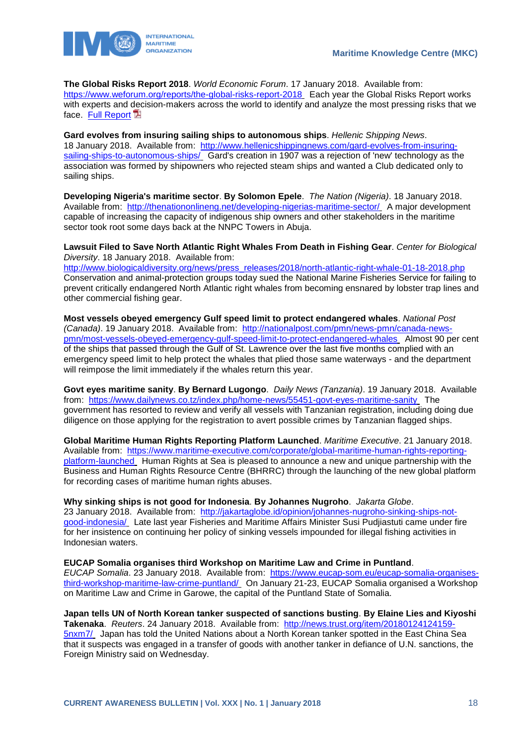**The Global Risks Report 2018**. *World Economic Forum*. 17 January 2018. Available from: <https://www.weforum.org/reports/the-global-risks-report-2018> Each year the Global Risks Report works with experts and decision-makers across the world to identify and analyze the most pressing risks that we face. [Full Report](http://www3.weforum.org/docs/WEF_GRR18_Report.pdf) 74

**Gard evolves from insuring sailing ships to autonomous ships**. *Hellenic Shipping News*. 18 January 2018. Available from: [http://www.hellenicshippingnews.com/gard-evolves-from-insuring](http://www.hellenicshippingnews.com/gard-evolves-from-insuring-sailing-ships-to-autonomous-ships/)[sailing-ships-to-autonomous-ships/](http://www.hellenicshippingnews.com/gard-evolves-from-insuring-sailing-ships-to-autonomous-ships/) Gard's creation in 1907 was a rejection of 'new' technology as the association was formed by shipowners who rejected steam ships and wanted a Club dedicated only to sailing ships.

**Developing Nigeria's maritime sector**. **By Solomon Epele**. *The Nation (Nigeria)*. 18 January 2018. Available from:<http://thenationonlineng.net/developing-nigerias-maritime-sector/> A major development capable of increasing the capacity of indigenous ship owners and other stakeholders in the maritime sector took root some days back at the NNPC Towers in Abuja.

**Lawsuit Filed to Save North Atlantic Right Whales From Death in Fishing Gear**. *Center for Biological Diversity*. 18 January 2018. Available from:

[http://www.biologicaldiversity.org/news/press\\_releases/2018/north-atlantic-right-whale-01-18-2018.php](http://www.biologicaldiversity.org/news/press_releases/2018/north-atlantic-right-whale-01-18-2018.php) Conservation and animal-protection groups today sued the National Marine Fisheries Service for failing to prevent critically endangered North Atlantic right whales from becoming ensnared by lobster trap lines and other commercial fishing gear.

**Most vessels obeyed emergency Gulf speed limit to protect endangered whales**. *National Post (Canada)*. 19 January 2018. Available from: [http://nationalpost.com/pmn/news-pmn/canada-news](http://nationalpost.com/pmn/news-pmn/canada-news-pmn/most-vessels-obeyed-emergency-gulf-speed-limit-to-protect-endangered-whales)[pmn/most-vessels-obeyed-emergency-gulf-speed-limit-to-protect-endangered-whales](http://nationalpost.com/pmn/news-pmn/canada-news-pmn/most-vessels-obeyed-emergency-gulf-speed-limit-to-protect-endangered-whales) Almost 90 per cent of the ships that passed through the Gulf of St. Lawrence over the last five months complied with an emergency speed limit to help protect the whales that plied those same waterways - and the department will reimpose the limit immediately if the whales return this year.

**Govt eyes maritime sanity**. **By Bernard Lugongo**. *Daily News (Tanzania)*. 19 January 2018. Available from: <https://www.dailynews.co.tz/index.php/home-news/55451-govt-eyes-maritime-sanity> The government has resorted to review and verify all vessels with Tanzanian registration, including doing due diligence on those applying for the registration to avert possible crimes by Tanzanian flagged ships.

**Global Maritime Human Rights Reporting Platform Launched**. *Maritime Executive*. 21 January 2018. Available from: [https://www.maritime-executive.com/corporate/global-maritime-human-rights-reporting](https://www.maritime-executive.com/corporate/global-maritime-human-rights-reporting-platform-launched)[platform-launched](https://www.maritime-executive.com/corporate/global-maritime-human-rights-reporting-platform-launched) Human Rights at Sea is pleased to announce a new and unique partnership with the Business and Human Rights Resource Centre (BHRRC) through the launching of the new global platform for recording cases of maritime human rights abuses.

**Why sinking ships is not good for Indonesia**. **By Johannes Nugroho**. *Jakarta Globe*. 23 January 2018. Available from: [http://jakartaglobe.id/opinion/johannes-nugroho-sinking-ships-not](http://jakartaglobe.id/opinion/johannes-nugroho-sinking-ships-not-good-indonesia/)[good-indonesia/](http://jakartaglobe.id/opinion/johannes-nugroho-sinking-ships-not-good-indonesia/) Late last year Fisheries and Maritime Affairs Minister Susi Pudjiastuti came under fire for her insistence on continuing her policy of sinking vessels impounded for illegal fishing activities in Indonesian waters.

**EUCAP Somalia organises third Workshop on Maritime Law and Crime in Puntland**.

*EUCAP Somalia*. 23 January 2018. Available from: [https://www.eucap-som.eu/eucap-somalia-organises](https://www.eucap-som.eu/eucap-somalia-organises-third-workshop-maritime-law-crime-puntland/)[third-workshop-maritime-law-crime-puntland/](https://www.eucap-som.eu/eucap-somalia-organises-third-workshop-maritime-law-crime-puntland/) On January 21-23, EUCAP Somalia organised a Workshop on Maritime Law and Crime in Garowe, the capital of the Puntland State of Somalia.

**Japan tells UN of North Korean tanker suspected of sanctions busting**. **By Elaine Lies and Kiyoshi Takenaka**. *Reuters*. 24 January 2018. Available from: [http://news.trust.org/item/20180124124159-](http://news.trust.org/item/20180124124159-5nxm7/) [5nxm7/](http://news.trust.org/item/20180124124159-5nxm7/) Japan has told the United Nations about a North Korean tanker spotted in the East China Sea that it suspects was engaged in a transfer of goods with another tanker in defiance of U.N. sanctions, the Foreign Ministry said on Wednesday.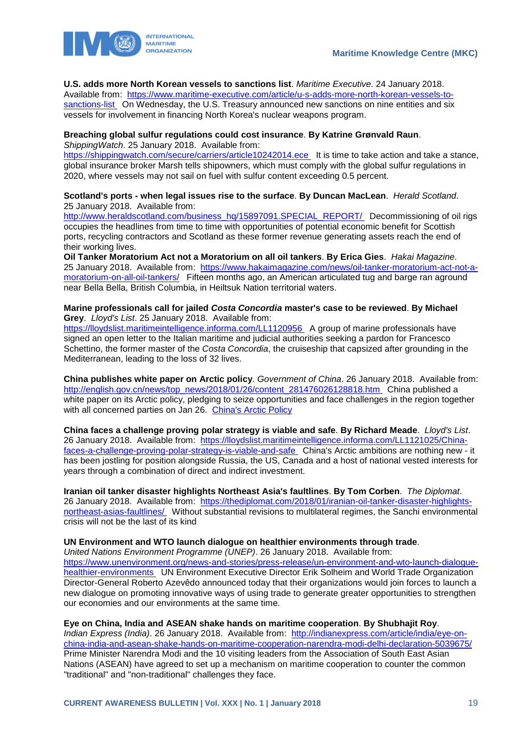

### **U.S. adds more North Korean vessels to sanctions list**. *Maritime Executive*. 24 January 2018.

Available from: [https://www.maritime-executive.com/article/u-s-adds-more-north-korean-vessels-to](https://www.maritime-executive.com/article/u-s-adds-more-north-korean-vessels-to-sanctions-list)[sanctions-list](https://www.maritime-executive.com/article/u-s-adds-more-north-korean-vessels-to-sanctions-list) On Wednesday, the U.S. Treasury announced new sanctions on nine entities and six vessels for involvement in financing North Korea's nuclear weapons program.

#### **Breaching global sulfur regulations could cost insurance**. **By Katrine Grønvald Raun**. *ShippingWatch*. 25 January 2018. Available from:

<https://shippingwatch.com/secure/carriers/article10242014.ece> It is time to take action and take a stance, global insurance broker Marsh tells shipowners, which must comply with the global sulfur regulations in 2020, where vessels may not sail on fuel with sulfur content exceeding 0.5 percent.

### **Scotland's ports - when legal issues rise to the surface**. **By Duncan MacLean**. *Herald Scotland*. 25 January 2018. Available from:

[http://www.heraldscotland.com/business\\_hq/15897091.SPECIAL\\_REPORT/](http://www.heraldscotland.com/business_hq/15897091.SPECIAL_REPORT/) Decommissioning of oil rigs occupies the headlines from time to time with opportunities of potential economic benefit for Scottish ports, recycling contractors and Scotland as these former revenue generating assets reach the end of their working lives.

**Oil Tanker Moratorium Act not a Moratorium on all oil tankers**. **By Erica Gies**. *Hakai Magazine*. 25 January 2018. Available from: [https://www.hakaimagazine.com/news/oil-tanker-moratorium-act-not-a](https://www.hakaimagazine.com/news/oil-tanker-moratorium-act-not-a-moratorium-on-all-oil-tankers/)[moratorium-on-all-oil-tankers/](https://www.hakaimagazine.com/news/oil-tanker-moratorium-act-not-a-moratorium-on-all-oil-tankers/) Fifteen months ago, an American articulated tug and barge ran aground near Bella Bella, British Columbia, in Heiltsuk Nation territorial waters.

#### **Marine professionals call for jailed** *Costa Concordia* **master's case to be reviewed**. **By Michael Grey**. *Lloyd's List*. 25 January 2018. Available from:

<https://lloydslist.maritimeintelligence.informa.com/LL1120956> A group of marine professionals have signed an open letter to the Italian maritime and judicial authorities seeking a pardon for Francesco Schettino, the former master of the *Costa Concordia*, the cruiseship that capsized after grounding in the Mediterranean, leading to the loss of 32 lives.

**China publishes white paper on Arctic policy**. *Government of China*. 26 January 2018. Available from: [http://english.gov.cn/news/top\\_news/2018/01/26/content\\_281476026128818.htm](http://english.gov.cn/news/top_news/2018/01/26/content_281476026128818.htm) China published a white paper on its Arctic policy, pledging to seize opportunities and face challenges in the region together with all concerned parties on Jan 26. [China's Arctic Policy](http://english.scio.gov.cn/2018-01/26/content_50313403.htm)

**China faces a challenge proving polar strategy is viable and safe**. **By Richard Meade**. *Lloyd's List*. 26 January 2018. Available from: [https://lloydslist.maritimeintelligence.informa.com/LL1121025/China](https://lloydslist.maritimeintelligence.informa.com/LL1121025/China-faces-a-challenge-proving-polar-strategy-is-viable-and-safe)[faces-a-challenge-proving-polar-strategy-is-viable-and-safe](https://lloydslist.maritimeintelligence.informa.com/LL1121025/China-faces-a-challenge-proving-polar-strategy-is-viable-and-safe) China's Arctic ambitions are nothing new - it has been jostling for position alongside Russia, the US, Canada and a host of national vested interests for years through a combination of direct and indirect investment.

**Iranian oil tanker disaster highlights Northeast Asia's faultlines**. **By Tom Corben**. *The Diplomat*. 26 January 2018. Available from: [https://thediplomat.com/2018/01/iranian-oil-tanker-disaster-highlights](https://thediplomat.com/2018/01/iranian-oil-tanker-disaster-highlights-northeast-asias-faultlines/)[northeast-asias-faultlines/](https://thediplomat.com/2018/01/iranian-oil-tanker-disaster-highlights-northeast-asias-faultlines/) Without substantial revisions to multilateral regimes, the Sanchi environmental crisis will not be the last of its kind

### **UN Environment and WTO launch dialogue on healthier environments through trade**.

*United Nations Environment Programme (UNEP)*. 26 January 2018. Available from: [https://www.unenvironment.org/news-and-stories/press-release/un-environment-and-wto-launch-dialogue](https://www.unenvironment.org/news-and-stories/press-release/un-environment-and-wto-launch-dialogue-healthier-environments)[healthier-environments](https://www.unenvironment.org/news-and-stories/press-release/un-environment-and-wto-launch-dialogue-healthier-environments) UN Environment Executive Director Erik Solheim and World Trade Organization Director-General Roberto Azevêdo announced today that their organizations would join forces to launch a new dialogue on promoting innovative ways of using trade to generate greater opportunities to strengthen our economies and our environments at the same time.

### **Eye on China, India and ASEAN shake hands on maritime cooperation**. **By Shubhajit Roy**.

*Indian Express (India)*. 26 January 2018. Available from: [http://indianexpress.com/article/india/eye-on](http://indianexpress.com/article/india/eye-on-china-india-and-asean-shake-hands-on-maritime-cooperation-narendra-modi-delhi-declaration-5039675/)[china-india-and-asean-shake-hands-on-maritime-cooperation-narendra-modi-delhi-declaration-5039675/](http://indianexpress.com/article/india/eye-on-china-india-and-asean-shake-hands-on-maritime-cooperation-narendra-modi-delhi-declaration-5039675/) Prime Minister Narendra Modi and the 10 visiting leaders from the Association of South East Asian Nations (ASEAN) have agreed to set up a mechanism on maritime cooperation to counter the common "traditional" and "non-traditional" challenges they face.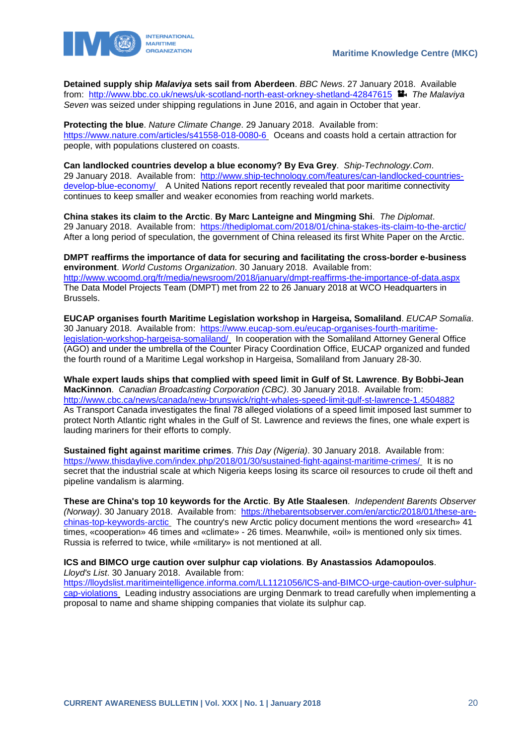

**Detained supply ship** *Malaviya* **sets sail from Aberdeen**. *BBC News*. 27 January 2018. Available from: [http://www.bbc.co.uk/news/uk-scotland-north-east-orkney-shetland-42847615](http://www.bbc.co.uk/news/uk-scotland-north-east-orkney-shetland-42847615T) *The Malaviya Seven* was seized under shipping regulations in June 2016, and again in October that year.

**Protecting the blue**. *Nature Climate Change*. 29 January 2018. Available from: <https://www.nature.com/articles/s41558-018-0080-6> Oceans and coasts hold a certain attraction for people, with populations clustered on coasts.

**Can landlocked countries develop a blue economy? By Eva Grey**. *Ship-Technology.Com*. 29 January 2018. Available from: [http://www.ship-technology.com/features/can-landlocked-countries](http://www.ship-technology.com/features/can-landlocked-countries-develop-blue-economy/)[develop-blue-economy/](http://www.ship-technology.com/features/can-landlocked-countries-develop-blue-economy/) A United Nations report recently revealed that poor maritime connectivity continues to keep smaller and weaker economies from reaching world markets.

**China stakes its claim to the Arctic**. **By Marc Lanteigne and Mingming Shi**. *The Diplomat*. 29 January 2018. Available from: <https://thediplomat.com/2018/01/china-stakes-its-claim-to-the-arctic/> After a long period of speculation, the government of China released its first White Paper on the Arctic.

**DMPT reaffirms the importance of data for securing and facilitating the cross-border e-business environment**. *World Customs Organization*. 30 January 2018. Available from: <http://www.wcoomd.org/fr/media/newsroom/2018/january/dmpt-reaffirms-the-importance-of-data.aspx> The Data Model Projects Team (DMPT) met from 22 to 26 January 2018 at WCO Headquarters in Brussels.

**EUCAP organises fourth Maritime Legislation workshop in Hargeisa, Somaliland**. *EUCAP Somalia*. 30 January 2018. Available from: [https://www.eucap-som.eu/eucap-organises-fourth-maritime](https://www.eucap-som.eu/eucap-organises-fourth-maritime-legislation-workshop-hargeisa-somaliland/)[legislation-workshop-hargeisa-somaliland/](https://www.eucap-som.eu/eucap-organises-fourth-maritime-legislation-workshop-hargeisa-somaliland/) In cooperation with the Somaliland Attorney General Office (AGO) and under the umbrella of the Counter Piracy Coordination Office, EUCAP organized and funded the fourth round of a Maritime Legal workshop in Hargeisa, Somaliland from January 28-30.

**Whale expert lauds ships that complied with speed limit in Gulf of St. Lawrence**. **By Bobbi-Jean MacKinnon**. *Canadian Broadcasting Corporation (CBC)*. 30 January 2018. Available from: <http://www.cbc.ca/news/canada/new-brunswick/right-whales-speed-limit-gulf-st-lawrence-1.4504882> As Transport Canada investigates the final 78 alleged violations of a speed limit imposed last summer to protect North Atlantic right whales in the Gulf of St. Lawrence and reviews the fines, one whale expert is lauding mariners for their efforts to comply.

**Sustained fight against maritime crimes**. *This Day (Nigeria)*. 30 January 2018. Available from: <https://www.thisdaylive.com/index.php/2018/01/30/sustained-fight-against-maritime-crimes/> It is no secret that the industrial scale at which Nigeria keeps losing its scarce oil resources to crude oil theft and pipeline vandalism is alarming.

**These are China's top 10 keywords for the Arctic**. **By Atle Staalesen**. *Independent Barents Observer (Norway)*. 30 January 2018. Available from: [https://thebarentsobserver.com/en/arctic/2018/01/these-are](https://thebarentsobserver.com/en/arctic/2018/01/these-are-chinas-top-keywords-arctic)[chinas-top-keywords-arctic](https://thebarentsobserver.com/en/arctic/2018/01/these-are-chinas-top-keywords-arctic) The country's new Arctic policy document mentions the word «research» 41 times, «cooperation» 46 times and «climate» - 26 times. Meanwhile, «oil» is mentioned only six times. Russia is referred to twice, while «military» is not mentioned at all.

#### **ICS and BIMCO urge caution over sulphur cap violations**. **By Anastassios Adamopoulos**. *Lloyd's List*. 30 January 2018. Available from:

[https://lloydslist.maritimeintelligence.informa.com/LL1121056/ICS-and-BIMCO-urge-caution-over-sulphur](https://lloydslist.maritimeintelligence.informa.com/LL1121056/ICS-and-BIMCO-urge-caution-over-sulphur-cap-violations)[cap-violations](https://lloydslist.maritimeintelligence.informa.com/LL1121056/ICS-and-BIMCO-urge-caution-over-sulphur-cap-violations) Leading industry associations are urging Denmark to tread carefully when implementing a proposal to name and shame shipping companies that violate its sulphur cap.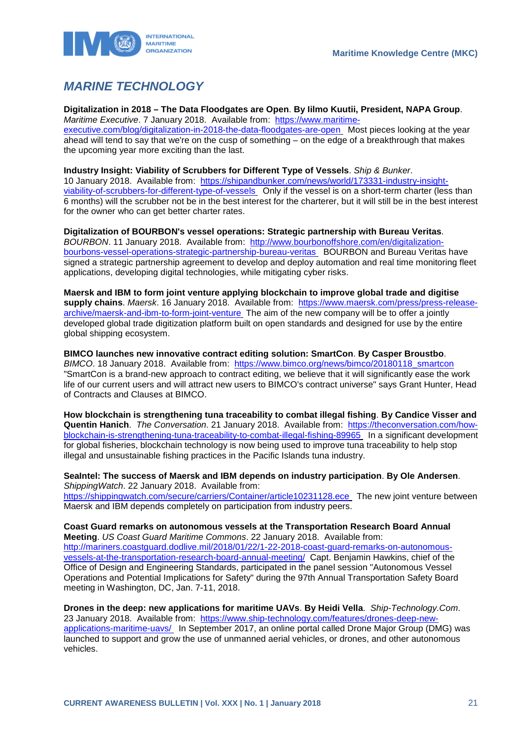

# <span id="page-21-0"></span>*MARINE TECHNOLOGY*

# **Digitalization in 2018 – The Data Floodgates are Open**. **By Iilmo Kuutii, President, NAPA Group**. *Maritime Executive*. 7 January 2018. Available from: [https://www.maritime](https://www.maritime-executive.com/blog/digitalization-in-2018-the-data-floodgates-are-open)[executive.com/blog/digitalization-in-2018-the-data-floodgates-are-open](https://www.maritime-executive.com/blog/digitalization-in-2018-the-data-floodgates-are-open) Most pieces looking at the year

ahead will tend to say that we're on the cusp of something – on the edge of a breakthrough that makes the upcoming year more exciting than the last.

### **Industry Insight: Viability of Scrubbers for Different Type of Vessels**. *Ship & Bunker*.

10 January 2018. Available from: [https://shipandbunker.com/news/world/173331-industry-insight](https://shipandbunker.com/news/world/173331-industry-insight-viability-of-scrubbers-for-different-type-of-vessels)[viability-of-scrubbers-for-different-type-of-vessels](https://shipandbunker.com/news/world/173331-industry-insight-viability-of-scrubbers-for-different-type-of-vessels) Only if the vessel is on a short-term charter (less than 6 months) will the scrubber not be in the best interest for the charterer, but it will still be in the best interest for the owner who can get better charter rates.

**Digitalization of BOURBON's vessel operations: Strategic partnership with Bureau Veritas**. *BOURBON*. 11 January 2018. Available from: [http://www.bourbonoffshore.com/en/digitalization](http://www.bourbonoffshore.com/en/digitalization-bourbons-vessel-operations-strategic-partnership-bureau-veritas)[bourbons-vessel-operations-strategic-partnership-bureau-veritas](http://www.bourbonoffshore.com/en/digitalization-bourbons-vessel-operations-strategic-partnership-bureau-veritas) BOURBON and Bureau Veritas have signed a strategic partnership agreement to develop and deploy automation and real time monitoring fleet applications, developing digital technologies, while mitigating cyber risks.

**Maersk and IBM to form joint venture applying blockchain to improve global trade and digitise supply chains**. *Maersk*. 16 January 2018. Available from: [https://www.maersk.com/press/press-release](https://www.maersk.com/press/press-release-archive/maersk-and-ibm-to-form-joint-venture)[archive/maersk-and-ibm-to-form-joint-venture](https://www.maersk.com/press/press-release-archive/maersk-and-ibm-to-form-joint-venture) The aim of the new company will be to offer a jointly developed global trade digitization platform built on open standards and designed for use by the entire global shipping ecosystem.

## **BIMCO launches new innovative contract editing solution: SmartCon**. **By Casper Broustbo**.

*BIMCO*. 18 January 2018. Available from: [https://www.bimco.org/news/bimco/20180118\\_smartcon](https://www.bimco.org/news/bimco/20180118_smartcon) "SmartCon is a brand-new approach to contract editing, we believe that it will significantly ease the work life of our current users and will attract new users to BIMCO's contract universe" says Grant Hunter, Head of Contracts and Clauses at BIMCO.

**How blockchain is strengthening tuna traceability to combat illegal fishing**. **By Candice Visser and Quentin Hanich**. *The Conversation*. 21 January 2018. Available from: [https://theconversation.com/how](https://theconversation.com/how-blockchain-is-strengthening-tuna-traceability-to-combat-illegal-fishing-89965)[blockchain-is-strengthening-tuna-traceability-to-combat-illegal-fishing-89965](https://theconversation.com/how-blockchain-is-strengthening-tuna-traceability-to-combat-illegal-fishing-89965) In a significant development for global fisheries, blockchain technology is now being used to improve tuna traceability to help stop illegal and unsustainable fishing practices in the Pacific Islands tuna industry.

**SeaIntel: The success of Maersk and IBM depends on industry participation**. **By Ole Andersen**. *ShippingWatch*. 22 January 2018. Available from:

<https://shippingwatch.com/secure/carriers/Container/article10231128.ece> The new joint venture between Maersk and IBM depends completely on participation from industry peers.

**Coast Guard remarks on autonomous vessels at the Transportation Research Board Annual Meeting**. *US Coast Guard Maritime Commons*. 22 January 2018. Available from: [http://mariners.coastguard.dodlive.mil/2018/01/22/1-22-2018-coast-guard-remarks-on-autonomous](http://mariners.coastguard.dodlive.mil/2018/01/22/1-22-2018-coast-guard-remarks-on-autonomous-vessels-at-the-transportation-research-board-annual-meeting/)[vessels-at-the-transportation-research-board-annual-meeting/](http://mariners.coastguard.dodlive.mil/2018/01/22/1-22-2018-coast-guard-remarks-on-autonomous-vessels-at-the-transportation-research-board-annual-meeting/) Capt. Benjamin Hawkins, chief of the Office of Design and Engineering Standards, participated in the panel session "Autonomous Vessel Operations and Potential Implications for Safety" during the 97th Annual Transportation Safety Board meeting in Washington, DC, Jan. 7-11, 2018.

**Drones in the deep: new applications for maritime UAVs**. **By Heidi Vella**. *Ship-Technology.Com*. 23 January 2018. Available from: [https://www.ship-technology.com/features/drones-deep-new](https://www.ship-technology.com/features/drones-deep-new-applications-maritime-uavs/)[applications-maritime-uavs/](https://www.ship-technology.com/features/drones-deep-new-applications-maritime-uavs/) In September 2017, an online portal called Drone Major Group (DMG) was launched to support and grow the use of unmanned aerial vehicles, or drones, and other autonomous vehicles.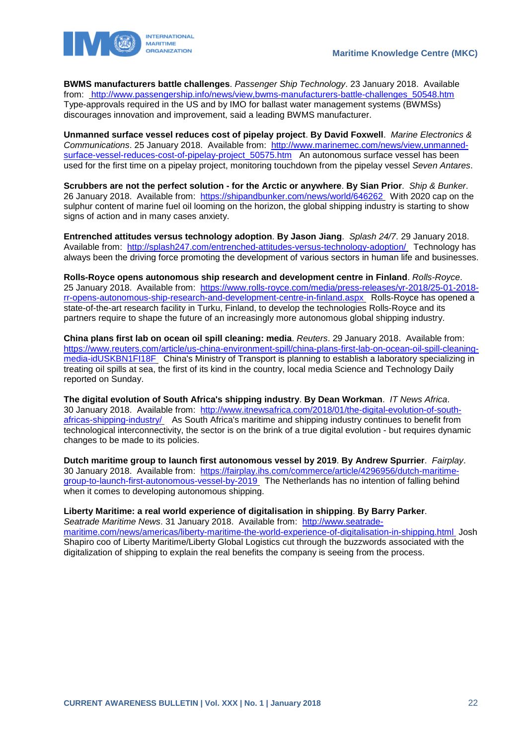

**BWMS manufacturers battle challenges**. *Passenger Ship Technology*. 23 January 2018. Available from: [http://www.passengership.info/news/view,bwms-manufacturers-battle-challenges\\_50548.htm](http://www.passengership.info/news/view,bwms-manufacturers-battle-challenges_50548.htm)  Type-approvals required in the US and by IMO for ballast water management systems (BWMSs) discourages innovation and improvement, said a leading BWMS manufacturer.

**Unmanned surface vessel reduces cost of pipelay project**. **By David Foxwell**. *Marine Electronics & Communications*. 25 January 2018. Available from: [http://www.marinemec.com/news/view,unmanned](http://www.marinemec.com/news/view,unmanned-surface-vessel-reduces-cost-of-pipelay-project_50575.htm)[surface-vessel-reduces-cost-of-pipelay-project\\_50575.htm](http://www.marinemec.com/news/view,unmanned-surface-vessel-reduces-cost-of-pipelay-project_50575.htm) An autonomous surface vessel has been used for the first time on a pipelay project, monitoring touchdown from the pipelay vessel *Seven Antares*.

**Scrubbers are not the perfect solution - for the Arctic or anywhere**. **By Sian Prior**. *Ship & Bunker*. 26 January 2018. Available from: <https://shipandbunker.com/news/world/646262> With 2020 cap on the sulphur content of marine fuel oil looming on the horizon, the global shipping industry is starting to show signs of action and in many cases anxiety.

**Entrenched attitudes versus technology adoption**. **By Jason Jiang**. *Splash 24/7*. 29 January 2018. Available from: <http://splash247.com/entrenched-attitudes-versus-technology-adoption/> Technology has always been the driving force promoting the development of various sectors in human life and businesses.

**Rolls-Royce opens autonomous ship research and development centre in Finland**. *Rolls-Royce*. 25 January 2018. Available from: [https://www.rolls-royce.com/media/press-releases/yr-2018/25-01-2018](https://www.rolls-royce.com/media/press-releases/yr-2018/25-01-2018-rr-opens-autonomous-ship-research-and-development-centre-in-finland.aspx) [rr-opens-autonomous-ship-research-and-development-centre-in-finland.aspx](https://www.rolls-royce.com/media/press-releases/yr-2018/25-01-2018-rr-opens-autonomous-ship-research-and-development-centre-in-finland.aspx) Rolls-Royce has opened a state-of-the-art research facility in Turku, Finland, to develop the technologies Rolls-Royce and its partners require to shape the future of an increasingly more autonomous global shipping industry.

**China plans first lab on ocean oil spill cleaning: media**. *Reuters*. 29 January 2018. Available from: [https://www.reuters.com/article/us-china-environment-spill/china-plans-first-lab-on-ocean-oil-spill-cleaning](https://www.reuters.com/article/us-china-environment-spill/china-plans-first-lab-on-ocean-oil-spill-cleaning-media-idUSKBN1FI18F)[media-idUSKBN1FI18F](https://www.reuters.com/article/us-china-environment-spill/china-plans-first-lab-on-ocean-oil-spill-cleaning-media-idUSKBN1FI18F) China's Ministry of Transport is planning to establish a laboratory specializing in treating oil spills at sea, the first of its kind in the country, local media Science and Technology Daily reported on Sunday.

**The digital evolution of South Africa's shipping industry**. **By Dean Workman**. *IT News Africa*. 30 January 2018. Available from: [http://www.itnewsafrica.com/2018/01/the-digital-evolution-of-south](http://www.itnewsafrica.com/2018/01/the-digital-evolution-of-south-africas-shipping-industry/)[africas-shipping-industry/](http://www.itnewsafrica.com/2018/01/the-digital-evolution-of-south-africas-shipping-industry/) As South Africa's maritime and shipping industry continues to benefit from technological interconnectivity, the sector is on the brink of a true digital evolution - but requires dynamic changes to be made to its policies.

**Dutch maritime group to launch first autonomous vessel by 2019**. **By Andrew Spurrier**. *Fairplay*. 30 January 2018. Available from: [https://fairplay.ihs.com/commerce/article/4296956/dutch-maritime](https://fairplay.ihs.com/commerce/article/4296956/dutch-maritime-group-to-launch-first-autonomous-vessel-by-2019)[group-to-launch-first-autonomous-vessel-by-2019](https://fairplay.ihs.com/commerce/article/4296956/dutch-maritime-group-to-launch-first-autonomous-vessel-by-2019) The Netherlands has no intention of falling behind when it comes to developing autonomous shipping.

### **Liberty Maritime: a real world experience of digitalisation in shipping**. **By Barry Parker**.

*Seatrade Maritime News*. 31 January 2018. Available from: [http://www.seatrade](http://www.seatrade-maritime.com/news/americas/liberty-maritime-the-world-experience-of-digitalisation-in-shipping.html)[maritime.com/news/americas/liberty-maritime-the-world-experience-of-digitalisation-in-shipping.html](http://www.seatrade-maritime.com/news/americas/liberty-maritime-the-world-experience-of-digitalisation-in-shipping.html) Josh Shapiro coo of Liberty Maritime/Liberty Global Logistics cut through the buzzwords associated with the digitalization of shipping to explain the real benefits the company is seeing from the process.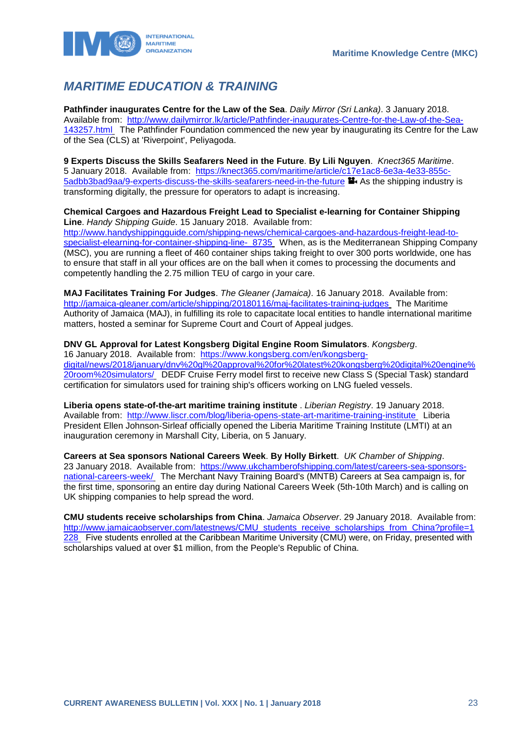

# <span id="page-23-0"></span>*MARITIME EDUCATION & TRAINING*

**Pathfinder inaugurates Centre for the Law of the Sea**. *Daily Mirror (Sri Lanka)*. 3 January 2018. Available from: [http://www.dailymirror.lk/article/Pathfinder-inaugurates-Centre-for-the-Law-of-the-Sea-](http://www.dailymirror.lk/article/Pathfinder-inaugurates-Centre-for-the-Law-of-the-Sea-143257.html)[143257.html](http://www.dailymirror.lk/article/Pathfinder-inaugurates-Centre-for-the-Law-of-the-Sea-143257.html) The Pathfinder Foundation commenced the new year by inaugurating its Centre for the Law of the Sea (CLS) at 'Riverpoint', Peliyagoda.

**9 Experts Discuss the Skills Seafarers Need in the Future**. **By Lili Nguyen**. *Knect365 Maritime*. 5 January 2018. Available from: [https://knect365.com/maritime/article/c17e1ac8-6e3a-4e33-855c-](https://knect365.com/maritime/article/c17e1ac8-6e3a-4e33-855c-5adbb3bad9aa/9-experts-discuss-the-skills-seafarers-need-in-the-future)[5adbb3bad9aa/9-experts-discuss-the-skills-seafarers-need-in-the-future](https://knect365.com/maritime/article/c17e1ac8-6e3a-4e33-855c-5adbb3bad9aa/9-experts-discuss-the-skills-seafarers-need-in-the-future) <sup>1</sup>. As the shipping industry is transforming digitally, the pressure for operators to adapt is increasing.

### **Chemical Cargoes and Hazardous Freight Lead to Specialist e-learning for Container Shipping Line**. *Handy Shipping Guide*. 15 January 2018. Available from:

[http://www.handyshippingguide.com/shipping-news/chemical-cargoes-and-hazardous-freight-lead-to](http://www.handyshippingguide.com/shipping-news/chemical-cargoes-and-hazardous-freight-lead-to-specialist-elearning-for-container-shipping-line-_8735)[specialist-elearning-for-container-shipping-line-\\_8735](http://www.handyshippingguide.com/shipping-news/chemical-cargoes-and-hazardous-freight-lead-to-specialist-elearning-for-container-shipping-line-_8735) When, as is the Mediterranean Shipping Company (MSC), you are running a fleet of 460 container ships taking freight to over 300 ports worldwide, one has to ensure that staff in all your offices are on the ball when it comes to processing the documents and competently handling the 2.75 million TEU of cargo in your care.

**MAJ Facilitates Training For Judges**. *The Gleaner (Jamaica)*. 16 January 2018. Available from: <http://jamaica-gleaner.com/article/shipping/20180116/maj-facilitates-training-judges> The Maritime Authority of Jamaica (MAJ), in fulfilling its role to capacitate local entities to handle international maritime matters, hosted a seminar for Supreme Court and Court of Appeal judges.

## **DNV GL Approval for Latest Kongsberg Digital Engine Room Simulators**. *Kongsberg*.

16 January 2018. Available from: [https://www.kongsberg.com/en/kongsberg](https://www.kongsberg.com/en/kongsberg-digital/news/2018/january/dnv%20gl%20approval%20for%20latest%20kongsberg%20digital%20engine%20room%20simulators/)[digital/news/2018/january/dnv%20gl%20approval%20for%20latest%20kongsberg%20digital%20engine%](https://www.kongsberg.com/en/kongsberg-digital/news/2018/january/dnv%20gl%20approval%20for%20latest%20kongsberg%20digital%20engine%20room%20simulators/) [20room%20simulators/](https://www.kongsberg.com/en/kongsberg-digital/news/2018/january/dnv%20gl%20approval%20for%20latest%20kongsberg%20digital%20engine%20room%20simulators/) DEDF Cruise Ferry model first to receive new Class S (Special Task) standard certification for simulators used for training ship's officers working on LNG fueled vessels.

**Liberia opens state-of-the-art maritime training institute** . *Liberian Registry*. 19 January 2018. Available from: <http://www.liscr.com/blog/liberia-opens-state-art-maritime-training-institute> Liberia President Ellen Johnson-Sirleaf officially opened the Liberia Maritime Training Institute (LMTI) at an inauguration ceremony in Marshall City, Liberia, on 5 January.

**Careers at Sea sponsors National Careers Week**. **By Holly Birkett**. *UK Chamber of Shipping*. 23 January 2018. Available from: [https://www.ukchamberofshipping.com/latest/careers-sea-sponsors](https://www.ukchamberofshipping.com/latest/careers-sea-sponsors-national-careers-week/)[national-careers-week/](https://www.ukchamberofshipping.com/latest/careers-sea-sponsors-national-careers-week/) The Merchant Navy Training Board's (MNTB) Careers at Sea campaign is, for the first time, sponsoring an entire day during National Careers Week (5th-10th March) and is calling on UK shipping companies to help spread the word.

**CMU students receive scholarships from China**. *Jamaica Observer*. 29 January 2018. Available from: [http://www.jamaicaobserver.com/latestnews/CMU\\_students\\_receive\\_scholarships\\_from\\_China?profile=1](http://www.jamaicaobserver.com/latestnews/CMU_students_receive_scholarships_from_China?profile=1228) [228](http://www.jamaicaobserver.com/latestnews/CMU_students_receive_scholarships_from_China?profile=1228) Five students enrolled at the Caribbean Maritime University (CMU) were, on Friday, presented with scholarships valued at over \$1 million, from the People's Republic of China.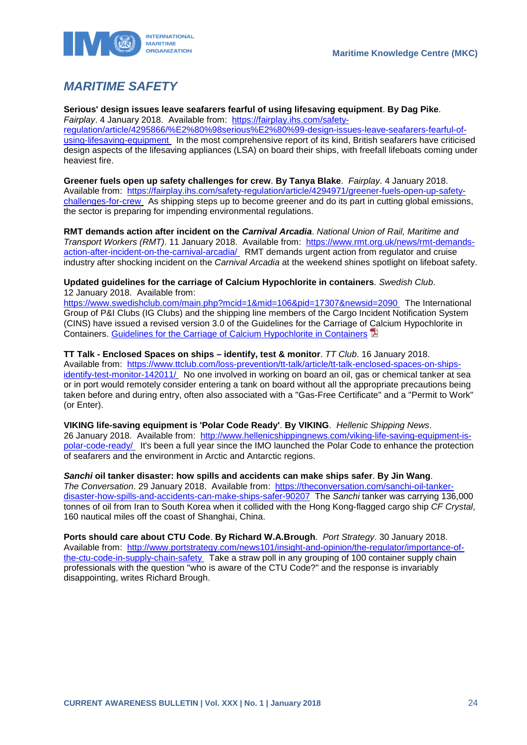

# <span id="page-24-0"></span>*MARITIME SAFETY*

**Serious' design issues leave seafarers fearful of using lifesaving equipment**. **By Dag Pike**. *Fairplay*. 4 January 2018. Available from: [https://fairplay.ihs.com/safety](https://fairplay.ihs.com/safety-regulation/article/4295866/%E2%80%98serious%E2%80%99-design-issues-leave-seafarers-fearful-of-using-lifesaving-equipment)[regulation/article/4295866/%E2%80%98serious%E2%80%99-design-issues-leave-seafarers-fearful-of](https://fairplay.ihs.com/safety-regulation/article/4295866/%E2%80%98serious%E2%80%99-design-issues-leave-seafarers-fearful-of-using-lifesaving-equipment)[using-lifesaving-equipment](https://fairplay.ihs.com/safety-regulation/article/4295866/%E2%80%98serious%E2%80%99-design-issues-leave-seafarers-fearful-of-using-lifesaving-equipment) In the most comprehensive report of its kind, British seafarers have criticised design aspects of the lifesaving appliances (LSA) on board their ships, with freefall lifeboats coming under heaviest fire.

**Greener fuels open up safety challenges for crew**. **By Tanya Blake**. *Fairplay*. 4 January 2018. Available from: [https://fairplay.ihs.com/safety-regulation/article/4294971/greener-fuels-open-up-safety](https://fairplay.ihs.com/safety-regulation/article/4294971/greener-fuels-open-up-safety-challenges-for-crew)[challenges-for-crew](https://fairplay.ihs.com/safety-regulation/article/4294971/greener-fuels-open-up-safety-challenges-for-crew) As shipping steps up to become greener and do its part in cutting global emissions, the sector is preparing for impending environmental regulations.

**RMT demands action after incident on the** *Carnival Arcadia*. *National Union of Rail, Maritime and Transport Workers (RMT)*. 11 January 2018. Available from: [https://www.rmt.org.uk/news/rmt-demands](https://www.rmt.org.uk/news/rmt-demands-action-after-incident-on-the-carnival-arcadia/)[action-after-incident-on-the-carnival-arcadia/](https://www.rmt.org.uk/news/rmt-demands-action-after-incident-on-the-carnival-arcadia/) RMT demands urgent action from regulator and cruise industry after shocking incident on the *Carnival Arcadia* at the weekend shines spotlight on lifeboat safety.

**Updated guidelines for the carriage of Calcium Hypochlorite in containers**. *Swedish Club*. 12 January 2018. Available from:

<https://www.swedishclub.com/main.php?mcid=1&mid=106&pid=17307&newsid=2090> The International Group of P&I Clubs (IG Clubs) and the shipping line members of the Cargo Incident Notification System (CINS) have issued a revised version 3.0 of the Guidelines for the Carriage of Calcium Hypochlorite in Containers. [Guidelines for the Carriage of Calcium Hypochlorite in Containers](https://www.swedishclub.com/media_upload/files/Circulars/2018/Calcium%20Hypochlorite%20Guidelines%20CINS%20IGPI%20-%202018.pdf)<sup>1</sup>

### **TT Talk - Enclosed Spaces on ships – identify, test & monitor**. *TT Club*. 16 January 2018.

Available from: [https://www.ttclub.com/loss-prevention/tt-talk/article/tt-talk-enclosed-spaces-on-ships](https://www.ttclub.com/loss-prevention/tt-talk/article/tt-talk-enclosed-spaces-on-ships-identify-test-monitor-142011/)[identify-test-monitor-142011/](https://www.ttclub.com/loss-prevention/tt-talk/article/tt-talk-enclosed-spaces-on-ships-identify-test-monitor-142011/) No one involved in working on board an oil, gas or chemical tanker at sea or in port would remotely consider entering a tank on board without all the appropriate precautions being taken before and during entry, often also associated with a "Gas-Free Certificate" and a "Permit to Work" (or Enter).

**VIKING life-saving equipment is 'Polar Code Ready'**. **By VIKING**. *Hellenic Shipping News*. 26 January 2018. Available from: [http://www.hellenicshippingnews.com/viking-life-saving-equipment-is](http://www.hellenicshippingnews.com/viking-life-saving-equipment-is-polar-code-ready/)[polar-code-ready/](http://www.hellenicshippingnews.com/viking-life-saving-equipment-is-polar-code-ready/) It's been a full year since the IMO launched the Polar Code to enhance the protection of seafarers and the environment in Arctic and Antarctic regions.

*Sanchi* **oil tanker disaster: how spills and accidents can make ships safer**. **By Jin Wang**. *The Conversation*. 29 January 2018. Available from: [https://theconversation.com/sanchi-oil-tanker](https://theconversation.com/sanchi-oil-tanker-disaster-how-spills-and-accidents-can-make-ships-safer-90207)[disaster-how-spills-and-accidents-can-make-ships-safer-90207](https://theconversation.com/sanchi-oil-tanker-disaster-how-spills-and-accidents-can-make-ships-safer-90207) The *Sanchi* tanker was carrying 136,000 tonnes of oil from Iran to South Korea when it collided with the Hong Kong-flagged cargo ship *CF Crystal*, 160 nautical miles off the coast of Shanghai, China.

**Ports should care about CTU Code**. **By Richard W.A.Brough**. *Port Strategy*. 30 January 2018. Available from: [http://www.portstrategy.com/news101/insight-and-opinion/the-regulator/importance-of](http://www.portstrategy.com/news101/insight-and-opinion/the-regulator/importance-of-the-ctu-code-in-supply-chain-safety)[the-ctu-code-in-supply-chain-safety](http://www.portstrategy.com/news101/insight-and-opinion/the-regulator/importance-of-the-ctu-code-in-supply-chain-safety) Take a straw poll in any grouping of 100 container supply chain professionals with the question "who is aware of the CTU Code?" and the response is invariably disappointing, writes Richard Brough.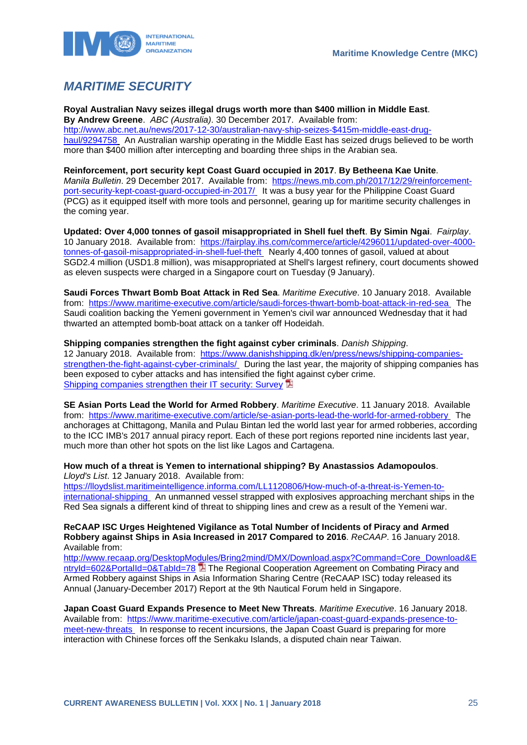

# <span id="page-25-0"></span>*MARITIME SECURITY*

**Royal Australian Navy seizes illegal drugs worth more than \$400 million in Middle East**. **By Andrew Greene**. *ABC (Australia)*. 30 December 2017. Available from: [http://www.abc.net.au/news/2017-12-30/australian-navy-ship-seizes-\\$415m-middle-east-drug](http://www.abc.net.au/news/2017-12-30/australian-navy-ship-seizes-$415m-middle-east-drug-haul/9294758)[haul/9294758](http://www.abc.net.au/news/2017-12-30/australian-navy-ship-seizes-$415m-middle-east-drug-haul/9294758) An Australian warship operating in the Middle East has seized drugs believed to be worth more than \$400 million after intercepting and boarding three ships in the Arabian sea.

#### **Reinforcement, port security kept Coast Guard occupied in 2017**. **By Betheena Kae Unite**.

*Manila Bulletin*. 29 December 2017. Available from: [https://news.mb.com.ph/2017/12/29/reinforcement](https://news.mb.com.ph/2017/12/29/reinforcement-port-security-kept-coast-guard-occupied-in-2017/)[port-security-kept-coast-guard-occupied-in-2017/](https://news.mb.com.ph/2017/12/29/reinforcement-port-security-kept-coast-guard-occupied-in-2017/) It was a busy year for the Philippine Coast Guard (PCG) as it equipped itself with more tools and personnel, gearing up for maritime security challenges in the coming year.

**Updated: Over 4,000 tonnes of gasoil misappropriated in Shell fuel theft**. **By Simin Ngai**. *Fairplay*. 10 January 2018. Available from: [https://fairplay.ihs.com/commerce/article/4296011/updated-over-4000](https://fairplay.ihs.com/commerce/article/4296011/updated-over-4000-tonnes-of-gasoil-misappropriated-in-shell-fuel-theft) [tonnes-of-gasoil-misappropriated-in-shell-fuel-theft](https://fairplay.ihs.com/commerce/article/4296011/updated-over-4000-tonnes-of-gasoil-misappropriated-in-shell-fuel-theft) Nearly 4,400 tonnes of gasoil, valued at about SGD2.4 million (USD1.8 million), was misappropriated at Shell's largest refinery, court documents showed as eleven suspects were charged in a Singapore court on Tuesday (9 January).

**Saudi Forces Thwart Bomb Boat Attack in Red Sea**. *Maritime Executive*. 10 January 2018. Available from: <https://www.maritime-executive.com/article/saudi-forces-thwart-bomb-boat-attack-in-red-sea> The Saudi coalition backing the Yemeni government in Yemen's civil war announced Wednesday that it had thwarted an attempted bomb-boat attack on a tanker off Hodeidah.

### **Shipping companies strengthen the fight against cyber criminals**. *Danish Shipping*.

12 January 2018. Available from: [https://www.danishshipping.dk/en/press/news/shipping-companies](https://www.danishshipping.dk/en/press/news/shipping-companies-strengthen-the-fight-against-cyber-criminals/)[strengthen-the-fight-against-cyber-criminals/](https://www.danishshipping.dk/en/press/news/shipping-companies-strengthen-the-fight-against-cyber-criminals/) During the last year, the majority of shipping companies has been exposed to cyber attacks and has intensified the fight against cyber crime. [Shipping companies strengthen their IT security: Survey](https://www.danishshipping.dk/en/press/news/shipping-companies-strengthen-the-fight-against-cyber-criminals/download/News_Model_News_File/119/ceo-panel_shipping-companies-strengthen-their-it-security.pdf)

**SE Asian Ports Lead the World for Armed Robbery**. *Maritime Executive*. 11 January 2018. Available from: <https://www.maritime-executive.com/article/se-asian-ports-lead-the-world-for-armed-robbery> The anchorages at Chittagong, Manila and Pulau Bintan led the world last year for armed robberies, according to the ICC IMB's 2017 annual piracy report. Each of these port regions reported nine incidents last year, much more than other hot spots on the list like Lagos and Cartagena.

### **How much of a threat is Yemen to international shipping? By Anastassios Adamopoulos**. *Lloyd's List*. 12 January 2018. Available from:

[https://lloydslist.maritimeintelligence.informa.com/LL1120806/How-much-of-a-threat-is-Yemen-to](https://lloydslist.maritimeintelligence.informa.com/LL1120806/How-much-of-a-threat-is-Yemen-to-international-shipping)[international-shipping](https://lloydslist.maritimeintelligence.informa.com/LL1120806/How-much-of-a-threat-is-Yemen-to-international-shipping) An unmanned vessel strapped with explosives approaching merchant ships in the Red Sea signals a different kind of threat to shipping lines and crew as a result of the Yemeni war.

**ReCAAP ISC Urges Heightened Vigilance as Total Number of Incidents of Piracy and Armed Robbery against Ships in Asia Increased in 2017 Compared to 2016**. *ReCAAP*. 16 January 2018. Available from:

[http://www.recaap.org/DesktopModules/Bring2mind/DMX/Download.aspx?Command=Core\\_Download&E](http://www.recaap.org/DesktopModules/Bring2mind/DMX/Download.aspx?Command=Core_Download&EntryId=602&PortalId=0&TabId=78) [ntryId=602&PortalId=0&TabId=78](http://www.recaap.org/DesktopModules/Bring2mind/DMX/Download.aspx?Command=Core_Download&EntryId=602&PortalId=0&TabId=78) The Regional Cooperation Agreement on Combating Piracy and Armed Robbery against Ships in Asia Information Sharing Centre (ReCAAP ISC) today released its Annual (January-December 2017) Report at the 9th Nautical Forum held in Singapore.

**Japan Coast Guard Expands Presence to Meet New Threats**. *Maritime Executive*. 16 January 2018. Available from: [https://www.maritime-executive.com/article/japan-coast-guard-expands-presence-to](https://www.maritime-executive.com/article/japan-coast-guard-expands-presence-to-meet-new-threats)[meet-new-threats](https://www.maritime-executive.com/article/japan-coast-guard-expands-presence-to-meet-new-threats) In response to recent incursions, the Japan Coast Guard is preparing for more interaction with Chinese forces off the Senkaku Islands, a disputed chain near Taiwan.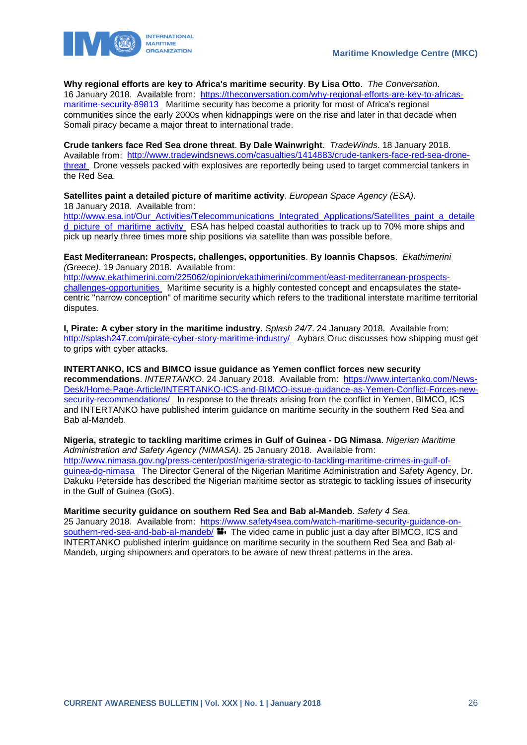

**Why regional efforts are key to Africa's maritime security**. **By Lisa Otto**. *The Conversation*. 16 January 2018. Available from: [https://theconversation.com/why-regional-efforts-are-key-to-africas](https://theconversation.com/why-regional-efforts-are-key-to-africas-maritime-security-89813)[maritime-security-89813](https://theconversation.com/why-regional-efforts-are-key-to-africas-maritime-security-89813) Maritime security has become a priority for most of Africa's regional communities since the early 2000s when kidnappings were on the rise and later in that decade when Somali piracy became a major threat to international trade.

**Crude tankers face Red Sea drone threat**. **By Dale Wainwright**. *TradeWinds*. 18 January 2018. Available from: [http://www.tradewindsnews.com/casualties/1414883/crude-tankers-face-red-sea-drone](http://www.tradewindsnews.com/casualties/1414883/crude-tankers-face-red-sea-drone-threat)[threat](http://www.tradewindsnews.com/casualties/1414883/crude-tankers-face-red-sea-drone-threat) Drone vessels packed with explosives are reportedly being used to target commercial tankers in the Red Sea.

**Satellites paint a detailed picture of maritime activity**. *European Space Agency (ESA)*. 18 January 2018. Available from:

[http://www.esa.int/Our\\_Activities/Telecommunications\\_Integrated\\_Applications/Satellites\\_paint\\_a\\_detaile](http://www.esa.int/Our_Activities/Telecommunications_Integrated_Applications/Satellites_paint_a_detailed_picture_of_maritime_activity) [d\\_picture\\_of\\_maritime\\_activity](http://www.esa.int/Our_Activities/Telecommunications_Integrated_Applications/Satellites_paint_a_detailed_picture_of_maritime_activity) ESA has helped coastal authorities to track up to 70% more ships and pick up nearly three times more ship positions via satellite than was possible before.

**East Mediterranean: Prospects, challenges, opportunities**. **By Ioannis Chapsos**. *Ekathimerini (Greece)*. 19 January 2018. Available from:

[http://www.ekathimerini.com/225062/opinion/ekathimerini/comment/east-mediterranean-prospects](http://www.ekathimerini.com/225062/opinion/ekathimerini/comment/east-mediterranean-prospects-challenges-opportunities)[challenges-opportunities](http://www.ekathimerini.com/225062/opinion/ekathimerini/comment/east-mediterranean-prospects-challenges-opportunities) Maritime security is a highly contested concept and encapsulates the statecentric "narrow conception" of maritime security which refers to the traditional interstate maritime territorial disputes.

**I, Pirate: A cyber story in the maritime industry**. *Splash 24/7*. 24 January 2018. Available from: <http://splash247.com/pirate-cyber-story-maritime-industry/> Aybars Oruc discusses how shipping must get to grips with cyber attacks.

**INTERTANKO, ICS and BIMCO issue guidance as Yemen conflict forces new security recommendations**. *INTERTANKO*. 24 January 2018. Available from: [https://www.intertanko.com/News-](https://www.intertanko.com/News-Desk/Home-Page-Article/INTERTANKO-ICS-and-BIMCO-issue-guidance-as-Yemen-Conflict-Forces-new-security-recommendations/)[Desk/Home-Page-Article/INTERTANKO-ICS-and-BIMCO-issue-guidance-as-Yemen-Conflict-Forces-new](https://www.intertanko.com/News-Desk/Home-Page-Article/INTERTANKO-ICS-and-BIMCO-issue-guidance-as-Yemen-Conflict-Forces-new-security-recommendations/)[security-recommendations/](https://www.intertanko.com/News-Desk/Home-Page-Article/INTERTANKO-ICS-and-BIMCO-issue-guidance-as-Yemen-Conflict-Forces-new-security-recommendations/) In response to the threats arising from the conflict in Yemen, BIMCO, ICS and INTERTANKO have published interim guidance on maritime security in the southern Red Sea and Bab al-Mandeb.

**Nigeria, strategic to tackling maritime crimes in Gulf of Guinea - DG Nimasa**. *Nigerian Maritime Administration and Safety Agency (NIMASA)*. 25 January 2018. Available from: [http://www.nimasa.gov.ng/press-center/post/nigeria-strategic-to-tackling-maritime-crimes-in-gulf-of](http://www.nimasa.gov.ng/press-center/post/nigeria-strategic-to-tackling-maritime-crimes-in-gulf-of-guinea-dg-nimasa)[guinea-dg-nimasa](http://www.nimasa.gov.ng/press-center/post/nigeria-strategic-to-tackling-maritime-crimes-in-gulf-of-guinea-dg-nimasa) The Director General of the Nigerian Maritime Administration and Safety Agency, Dr. Dakuku Peterside has described the Nigerian maritime sector as strategic to tackling issues of insecurity in the Gulf of Guinea (GoG).

**Maritime security guidance on southern Red Sea and Bab al-Mandeb**. *Safety 4 Sea*.

25 January 2018. Available from: [https://www.safety4sea.com/watch-maritime-security-guidance-on](https://www.safety4sea.com/watch-maritime-security-guidance-on-southern-red-sea-and-bab-al-mandeb/)[southern-red-sea-and-bab-al-mandeb/](https://www.safety4sea.com/watch-maritime-security-guidance-on-southern-red-sea-and-bab-al-mandeb/)  $\mathbf{E}$ . The video came in public just a day after BIMCO, ICS and INTERTANKO published interim guidance on maritime security in the southern Red Sea and Bab al-Mandeb, urging shipowners and operators to be aware of new threat patterns in the area.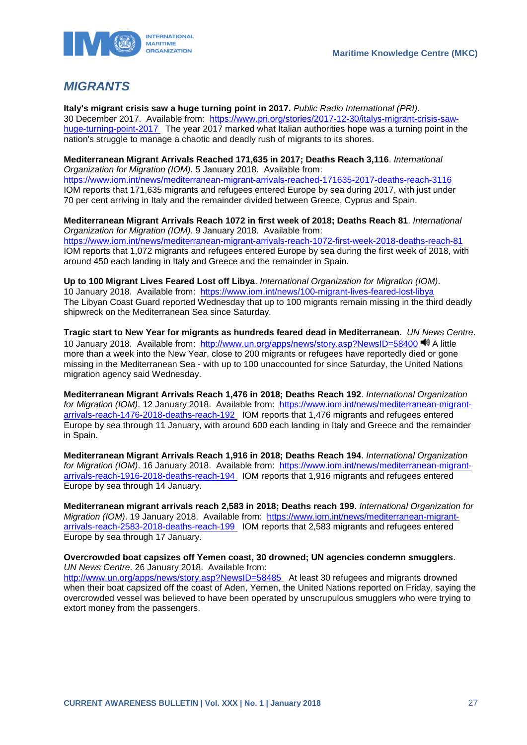

# <span id="page-27-0"></span>*MIGRANTS*

**Italy's migrant crisis saw a huge turning point in 2017.** *Public Radio International (PRI)*. 30 December 2017. Available from: [https://www.pri.org/stories/2017-12-30/italys-migrant-crisis-saw](https://www.pri.org/stories/2017-12-30/italys-migrant-crisis-saw-huge-turning-point-2017)[huge-turning-point-2017](https://www.pri.org/stories/2017-12-30/italys-migrant-crisis-saw-huge-turning-point-2017) The year 2017 marked what Italian authorities hope was a turning point in the nation's struggle to manage a chaotic and deadly rush of migrants to its shores.

**Mediterranean Migrant Arrivals Reached 171,635 in 2017; Deaths Reach 3,116**. *International Organization for Migration (IOM)*. 5 January 2018. Available from:

<https://www.iom.int/news/mediterranean-migrant-arrivals-reached-171635-2017-deaths-reach-3116> IOM reports that 171,635 migrants and refugees entered Europe by sea during 2017, with just under 70 per cent arriving in Italy and the remainder divided between Greece, Cyprus and Spain.

**Mediterranean Migrant Arrivals Reach 1072 in first week of 2018; Deaths Reach 81**. *International Organization for Migration (IOM)*. 9 January 2018. Available from: <https://www.iom.int/news/mediterranean-migrant-arrivals-reach-1072-first-week-2018-deaths-reach-81> IOM reports that 1,072 migrants and refugees entered Europe by sea during the first week of 2018, with around 450 each landing in Italy and Greece and the remainder in Spain.

**Up to 100 Migrant Lives Feared Lost off Libya**. *International Organization for Migration (IOM)*. 10 January 2018. Available from: <https://www.iom.int/news/100-migrant-lives-feared-lost-libya> The Libyan Coast Guard reported Wednesday that up to 100 migrants remain missing in the third deadly shipwreck on the Mediterranean Sea since Saturday.

**Tragic start to New Year for migrants as hundreds feared dead in Mediterranean.** *UN News Centre*. 10 January 2018. Available from: <http://www.un.org/apps/news/story.asp?NewsID=58400>  $\blacktriangleleft$  A little more than a week into the New Year, close to 200 migrants or refugees have reportedly died or gone missing in the Mediterranean Sea - with up to 100 unaccounted for since Saturday, the United Nations migration agency said Wednesday.

**Mediterranean Migrant Arrivals Reach 1,476 in 2018; Deaths Reach 192**. *International Organization for Migration (IOM)*. 12 January 2018. Available from: [https://www.iom.int/news/mediterranean-migrant](https://www.iom.int/news/mediterranean-migrant-arrivals-reach-1476-2018-deaths-reach-192)[arrivals-reach-1476-2018-deaths-reach-192](https://www.iom.int/news/mediterranean-migrant-arrivals-reach-1476-2018-deaths-reach-192) IOM reports that 1,476 migrants and refugees entered Europe by sea through 11 January, with around 600 each landing in Italy and Greece and the remainder in Spain.

**Mediterranean Migrant Arrivals Reach 1,916 in 2018; Deaths Reach 194**. *International Organization for Migration (IOM)*. 16 January 2018. Available from: [https://www.iom.int/news/mediterranean-migrant](https://www.iom.int/news/mediterranean-migrant-arrivals-reach-1916-2018-deaths-reach-194)[arrivals-reach-1916-2018-deaths-reach-194](https://www.iom.int/news/mediterranean-migrant-arrivals-reach-1916-2018-deaths-reach-194) IOM reports that 1,916 migrants and refugees entered Europe by sea through 14 January.

**Mediterranean migrant arrivals reach 2,583 in 2018; Deaths reach 199**. *International Organization for Migration (IOM)*. 19 January 2018. Available from: [https://www.iom.int/news/mediterranean-migrant](https://www.iom.int/news/mediterranean-migrant-arrivals-reach-2583-2018-deaths-reach-199)[arrivals-reach-2583-2018-deaths-reach-199](https://www.iom.int/news/mediterranean-migrant-arrivals-reach-2583-2018-deaths-reach-199) IOM reports that 2,583 migrants and refugees entered Europe by sea through 17 January.

### **Overcrowded boat capsizes off Yemen coast, 30 drowned; UN agencies condemn smugglers**. *UN News Centre*. 26 January 2018. Available from:

<http://www.un.org/apps/news/story.asp?NewsID=58485> At least 30 refugees and migrants drowned when their boat capsized off the coast of Aden, Yemen, the United Nations reported on Friday, saying the overcrowded vessel was believed to have been operated by unscrupulous smugglers who were trying to extort money from the passengers.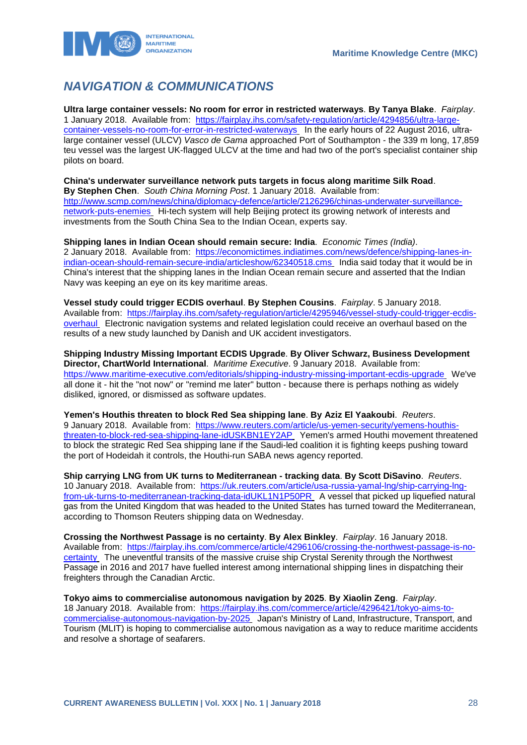

# <span id="page-28-0"></span>*NAVIGATION & COMMUNICATIONS*

**Ultra large container vessels: No room for error in restricted waterways**. **By Tanya Blake**. *Fairplay*. 1 January 2018. Available from: [https://fairplay.ihs.com/safety-regulation/article/4294856/ultra-large](https://fairplay.ihs.com/safety-regulation/article/4294856/ultra-large-container-vessels-no-room-for-error-in-restricted-waterways)[container-vessels-no-room-for-error-in-restricted-waterways](https://fairplay.ihs.com/safety-regulation/article/4294856/ultra-large-container-vessels-no-room-for-error-in-restricted-waterways) In the early hours of 22 August 2016, ultralarge container vessel (ULCV) *Vasco de Gama* approached Port of Southampton - the 339 m long, 17,859 teu vessel was the largest UK-flagged ULCV at the time and had two of the port's specialist container ship pilots on board.

**China's underwater surveillance network puts targets in focus along maritime Silk Road**. **By Stephen Chen**. *South China Morning Post*. 1 January 2018. Available from: [http://www.scmp.com/news/china/diplomacy-defence/article/2126296/chinas-underwater-surveillance](http://www.scmp.com/news/china/diplomacy-defence/article/2126296/chinas-underwater-surveillance-network-puts-enemies)[network-puts-enemies](http://www.scmp.com/news/china/diplomacy-defence/article/2126296/chinas-underwater-surveillance-network-puts-enemies) Hi-tech system will help Beijing protect its growing network of interests and investments from the South China Sea to the Indian Ocean, experts say.

**Shipping lanes in Indian Ocean should remain secure: India**. *Economic Times (India)*. 2 January 2018. Available from: [https://economictimes.indiatimes.com/news/defence/shipping-lanes-in](https://economictimes.indiatimes.com/news/defence/shipping-lanes-in-indian-ocean-should-remain-secure-india/articleshow/62340518.cms)[indian-ocean-should-remain-secure-india/articleshow/62340518.cms](https://economictimes.indiatimes.com/news/defence/shipping-lanes-in-indian-ocean-should-remain-secure-india/articleshow/62340518.cms) India said today that it would be in China's interest that the shipping lanes in the Indian Ocean remain secure and asserted that the Indian Navy was keeping an eye on its key maritime areas.

**Vessel study could trigger ECDIS overhaul**. **By Stephen Cousins**. *Fairplay*. 5 January 2018. Available from: [https://fairplay.ihs.com/safety-regulation/article/4295946/vessel-study-could-trigger-ecdis](https://fairplay.ihs.com/safety-regulation/article/4295946/vessel-study-could-trigger-ecdis-overhaul)[overhaul](https://fairplay.ihs.com/safety-regulation/article/4295946/vessel-study-could-trigger-ecdis-overhaul) Electronic navigation systems and related legislation could receive an overhaul based on the results of a new study launched by Danish and UK accident investigators.

**Shipping Industry Missing Important ECDIS Upgrade**. **By Oliver Schwarz, Business Development Director, ChartWorld International**. *Maritime Executive*. 9 January 2018. Available from: <https://www.maritime-executive.com/editorials/shipping-industry-missing-important-ecdis-upgrade> We've all done it - hit the "not now" or "remind me later" button - because there is perhaps nothing as widely disliked, ignored, or dismissed as software updates.

**Yemen's Houthis threaten to block Red Sea shipping lane**. **By Aziz El Yaakoubi**. *Reuters*. 9 January 2018. Available from: [https://www.reuters.com/article/us-yemen-security/yemens-houthis](https://www.reuters.com/article/us-yemen-security/yemens-houthis-threaten-to-block-red-sea-shipping-lane-idUSKBN1EY2AP)[threaten-to-block-red-sea-shipping-lane-idUSKBN1EY2AP](https://www.reuters.com/article/us-yemen-security/yemens-houthis-threaten-to-block-red-sea-shipping-lane-idUSKBN1EY2AP) Yemen's armed Houthi movement threatened to block the strategic Red Sea shipping lane if the Saudi-led coalition it is fighting keeps pushing toward the port of Hodeidah it controls, the Houthi-run SABA news agency reported.

**Ship carrying LNG from UK turns to Mediterranean - tracking data**. **By Scott DiSavino**. *Reuters*. 10 January 2018. Available from: [https://uk.reuters.com/article/usa-russia-yamal-lng/ship-carrying-lng](https://uk.reuters.com/article/usa-russia-yamal-lng/ship-carrying-lng-from-uk-turns-to-mediterranean-tracking-data-idUKL1N1P50PR)[from-uk-turns-to-mediterranean-tracking-data-idUKL1N1P50PR](https://uk.reuters.com/article/usa-russia-yamal-lng/ship-carrying-lng-from-uk-turns-to-mediterranean-tracking-data-idUKL1N1P50PR) A vessel that picked up liquefied natural gas from the United Kingdom that was headed to the United States has turned toward the Mediterranean, according to Thomson Reuters shipping data on Wednesday.

**Crossing the Northwest Passage is no certainty**. **By Alex Binkley**. *Fairplay*. 16 January 2018. Available from: [https://fairplay.ihs.com/commerce/article/4296106/crossing-the-northwest-passage-is-no](https://fairplay.ihs.com/commerce/article/4296106/crossing-the-northwest-passage-is-no-certainty)[certainty](https://fairplay.ihs.com/commerce/article/4296106/crossing-the-northwest-passage-is-no-certainty) The uneventful transits of the massive cruise ship Crystal Serenity through the Northwest Passage in 2016 and 2017 have fuelled interest among international shipping lines in dispatching their freighters through the Canadian Arctic.

**Tokyo aims to commercialise autonomous navigation by 2025**. **By Xiaolin Zeng**. *Fairplay*. 18 January 2018. Available from: [https://fairplay.ihs.com/commerce/article/4296421/tokyo-aims-to](https://fairplay.ihs.com/commerce/article/4296421/tokyo-aims-to-commercialise-autonomous-navigation-by-2025)[commercialise-autonomous-navigation-by-2025](https://fairplay.ihs.com/commerce/article/4296421/tokyo-aims-to-commercialise-autonomous-navigation-by-2025) Japan's Ministry of Land, Infrastructure, Transport, and Tourism (MLIT) is hoping to commercialise autonomous navigation as a way to reduce maritime accidents and resolve a shortage of seafarers.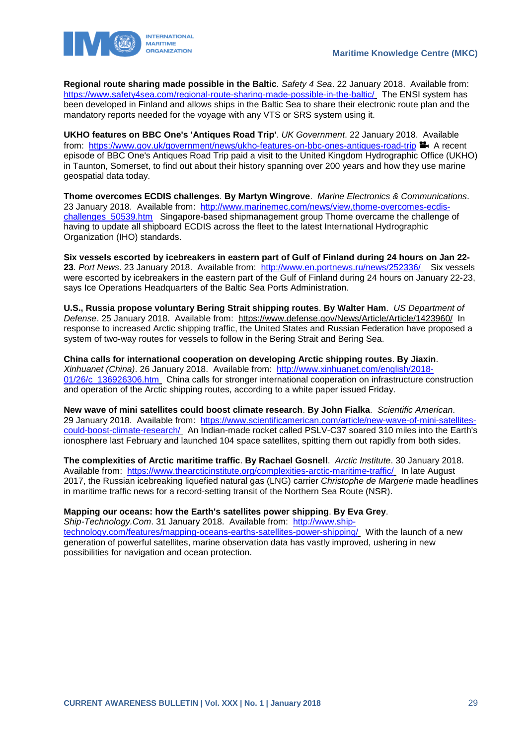

**Regional route sharing made possible in the Baltic**. *Safety 4 Sea*. 22 January 2018. Available from: <https://www.safety4sea.com/regional-route-sharing-made-possible-in-the-baltic/>The ENSI system has been developed in Finland and allows ships in the Baltic Sea to share their electronic route plan and the mandatory reports needed for the voyage with any VTS or SRS system using it.

**UKHO features on BBC One's 'Antiques Road Trip'**. *UK Government*. 22 January 2018. Available from: <https://www.gov.uk/government/news/ukho-features-on-bbc-ones-antiques-road-trip>  $\blacksquare$ . A recent episode of BBC One's Antiques Road Trip paid a visit to the United Kingdom Hydrographic Office (UKHO) in Taunton, Somerset, to find out about their history spanning over 200 years and how they use marine geospatial data today.

**Thome overcomes ECDIS challenges**. **By Martyn Wingrove**. *Marine Electronics & Communications*. 23 January 2018. Available from: [http://www.marinemec.com/news/view,thome-overcomes-ecdis](http://www.marinemec.com/news/view,thome-overcomes-ecdis-challenges_50539.htm)challenges 50539.htm Singapore-based shipmanagement group Thome overcame the challenge of having to update all shipboard ECDIS across the fleet to the latest International Hydrographic Organization (IHO) standards.

**Six vessels escorted by icebreakers in eastern part of Gulf of Finland during 24 hours on Jan 22- 23**. *Port News*. 23 January 2018. Available from: <http://www.en.portnews.ru/news/252336/> Six vessels were escorted by icebreakers in the eastern part of the Gulf of Finland during 24 hours on January 22-23, says Ice Operations Headquarters of the Baltic Sea Ports Administration.

**U.S., Russia propose voluntary Bering Strait shipping routes**. **By Walter Ham**. *US Department of Defense*. 25 January 2018. Available from: https://www.defense.gov/News/Article/Article/1423960/ In response to increased Arctic shipping traffic, the United States and Russian Federation have proposed a system of two-way routes for vessels to follow in the Bering Strait and Bering Sea.

**China calls for international cooperation on developing Arctic shipping routes**. **By Jiaxin**. *Xinhuanet (China)*. 26 January 2018. Available from: [http://www.xinhuanet.com/english/2018-](http://www.xinhuanet.com/english/2018-01/26/c_136926306.htm) [01/26/c\\_136926306.htm](http://www.xinhuanet.com/english/2018-01/26/c_136926306.htm) China calls for stronger international cooperation on infrastructure construction and operation of the Arctic shipping routes, according to a white paper issued Friday.

**New wave of mini satellites could boost climate research**. **By John Fialka**. *Scientific American*. 29 January 2018. Available from: [https://www.scientificamerican.com/article/new-wave-of-mini-satellites](https://www.scientificamerican.com/article/new-wave-of-mini-satellites-could-boost-climate-research/)[could-boost-climate-research/](https://www.scientificamerican.com/article/new-wave-of-mini-satellites-could-boost-climate-research/) An Indian-made rocket called PSLV-C37 soared 310 miles into the Earth's ionosphere last February and launched 104 space satellites, spitting them out rapidly from both sides.

**The complexities of Arctic maritime traffic**. **By Rachael Gosnell**. *Arctic Institute*. 30 January 2018. Available from: <https://www.thearcticinstitute.org/complexities-arctic-maritime-traffic/> In late August 2017, the Russian icebreaking liquefied natural gas (LNG) carrier *Christophe de Margerie* made headlines in maritime traffic news for a record-setting transit of the Northern Sea Route (NSR).

#### **Mapping our oceans: how the Earth's satellites power shipping**. **By Eva Grey**.

*Ship-Technology.Com*. 31 January 2018. Available from: [http://www.ship](http://www.ship-technology.com/features/mapping-oceans-earths-satellites-power-shipping/)[technology.com/features/mapping-oceans-earths-satellites-power-shipping/](http://www.ship-technology.com/features/mapping-oceans-earths-satellites-power-shipping/) With the launch of a new generation of powerful satellites, marine observation data has vastly improved, ushering in new possibilities for navigation and ocean protection.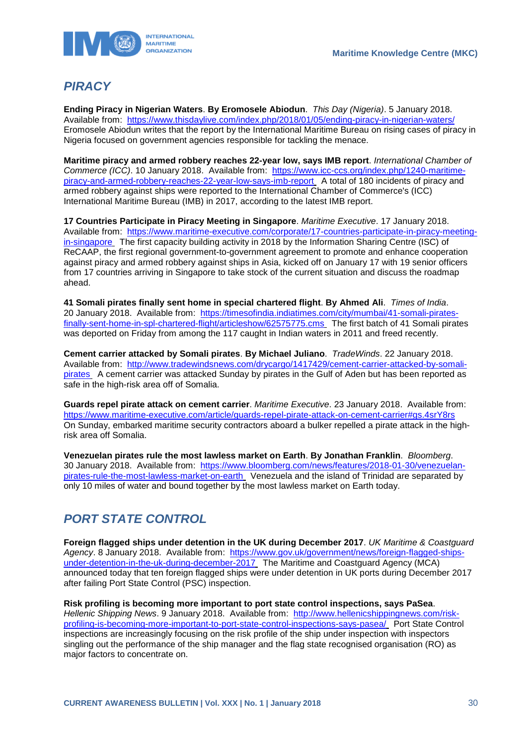

# <span id="page-30-0"></span>*PIRACY*

**Ending Piracy in Nigerian Waters**. **By Eromosele Abiodun**. *This Day (Nigeria)*. 5 January 2018. Available from: <https://www.thisdaylive.com/index.php/2018/01/05/ending-piracy-in-nigerian-waters/> Eromosele Abiodun writes that the report by the International Maritime Bureau on rising cases of piracy in Nigeria focused on government agencies responsible for tackling the menace.

**Maritime piracy and armed robbery reaches 22-year low, says IMB report**. *International Chamber of Commerce (ICC)*. 10 January 2018. Available from: [https://www.icc-ccs.org/index.php/1240-maritime](https://www.icc-ccs.org/index.php/1240-maritime-piracy-and-armed-robbery-reaches-22-year-low-says-imb-report)[piracy-and-armed-robbery-reaches-22-year-low-says-imb-report](https://www.icc-ccs.org/index.php/1240-maritime-piracy-and-armed-robbery-reaches-22-year-low-says-imb-report) A total of 180 incidents of piracy and armed robbery against ships were reported to the International Chamber of Commerce's (ICC) International Maritime Bureau (IMB) in 2017, according to the latest IMB report.

**17 Countries Participate in Piracy Meeting in Singapore**. *Maritime Executive*. 17 January 2018. Available from: [https://www.maritime-executive.com/corporate/17-countries-participate-in-piracy-meeting](https://www.maritime-executive.com/corporate/17-countries-participate-in-piracy-meeting-in-singapore)[in-singapore](https://www.maritime-executive.com/corporate/17-countries-participate-in-piracy-meeting-in-singapore) The first capacity building activity in 2018 by the Information Sharing Centre (ISC) of ReCAAP, the first regional government-to-government agreement to promote and enhance cooperation against piracy and armed robbery against ships in Asia, kicked off on January 17 with 19 senior officers from 17 countries arriving in Singapore to take stock of the current situation and discuss the roadmap ahead.

**41 Somali pirates finally sent home in special chartered flight**. **By Ahmed Ali**. *Times of India*. 20 January 2018. Available from: [https://timesofindia.indiatimes.com/city/mumbai/41-somali-pirates](https://timesofindia.indiatimes.com/city/mumbai/41-somali-pirates-finally-sent-home-in-spl-chartered-flight/articleshow/62575775.cms)[finally-sent-home-in-spl-chartered-flight/articleshow/62575775.cms](https://timesofindia.indiatimes.com/city/mumbai/41-somali-pirates-finally-sent-home-in-spl-chartered-flight/articleshow/62575775.cms) The first batch of 41 Somali pirates was deported on Friday from among the 117 caught in Indian waters in 2011 and freed recently.

**Cement carrier attacked by Somali pirates**. **By Michael Juliano**. *TradeWinds*. 22 January 2018. Available from: [http://www.tradewindsnews.com/drycargo/1417429/cement-carrier-attacked-by-somali](http://www.tradewindsnews.com/drycargo/1417429/cement-carrier-attacked-by-somali-pirates)[pirates](http://www.tradewindsnews.com/drycargo/1417429/cement-carrier-attacked-by-somali-pirates) A cement carrier was attacked Sunday by pirates in the Gulf of Aden but has been reported as safe in the high-risk area off of Somalia.

**Guards repel pirate attack on cement carrier**. *Maritime Executive*. 23 January 2018. Available from: <https://www.maritime-executive.com/article/guards-repel-pirate-attack-on-cement-carrier#gs.4srY8rs> On Sunday, embarked maritime security contractors aboard a bulker repelled a pirate attack in the highrisk area off Somalia.

**Venezuelan pirates rule the most lawless market on Earth**. **By Jonathan Franklin**. *Bloomberg*. 30 January 2018. Available from: [https://www.bloomberg.com/news/features/2018-01-30/venezuelan](https://www.bloomberg.com/news/features/2018-01-30/venezuelan-pirates-rule-the-most-lawless-market-on-earth)[pirates-rule-the-most-lawless-market-on-earth](https://www.bloomberg.com/news/features/2018-01-30/venezuelan-pirates-rule-the-most-lawless-market-on-earth) Venezuela and the island of Trinidad are separated by only 10 miles of water and bound together by the most lawless market on Earth today.

# <span id="page-30-1"></span>*PORT STATE CONTROL*

**Foreign flagged ships under detention in the UK during December 2017**. *UK Maritime & Coastguard*  Agency. 8 January 2018. Available from: [https://www.gov.uk/government/news/foreign-flagged-ships](https://www.gov.uk/government/news/foreign-flagged-ships-under-detention-in-the-uk-during-december-2017)[under-detention-in-the-uk-during-december-2017](https://www.gov.uk/government/news/foreign-flagged-ships-under-detention-in-the-uk-during-december-2017) The Maritime and Coastguard Agency (MCA) announced today that ten foreign flagged ships were under detention in UK ports during December 2017 after failing Port State Control (PSC) inspection.

**Risk profiling is becoming more important to port state control inspections, says PaSea**. *Hellenic Shipping News*. 9 January 2018. Available from: [http://www.hellenicshippingnews.com/risk](http://www.hellenicshippingnews.com/risk-profiling-is-becoming-more-important-to-port-state-control-inspections-says-pasea/)[profiling-is-becoming-more-important-to-port-state-control-inspections-says-pasea/](http://www.hellenicshippingnews.com/risk-profiling-is-becoming-more-important-to-port-state-control-inspections-says-pasea/) Port State Control inspections are increasingly focusing on the risk profile of the ship under inspection with inspectors singling out the performance of the ship manager and the flag state recognised organisation (RO) as major factors to concentrate on.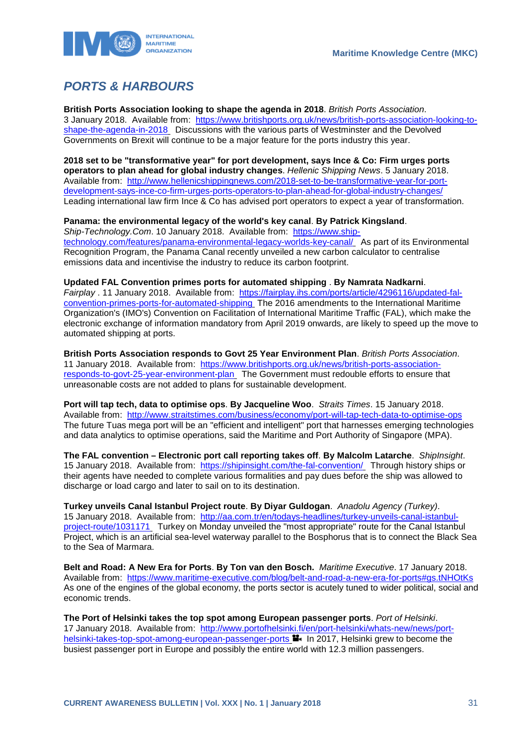

# <span id="page-31-0"></span>*PORTS & HARBOURS*

**British Ports Association looking to shape the agenda in 2018**. *British Ports Association*. 3 January 2018. Available from: [https://www.britishports.org.uk/news/british-ports-association-looking-to](https://www.britishports.org.uk/news/british-ports-association-looking-to-shape-the-agenda-in-2018)[shape-the-agenda-in-2018](https://www.britishports.org.uk/news/british-ports-association-looking-to-shape-the-agenda-in-2018) Discussions with the various parts of Westminster and the Devolved Governments on Brexit will continue to be a major feature for the ports industry this year.

**2018 set to be "transformative year" for port development, says Ince & Co: Firm urges ports operators to plan ahead for global industry changes**. *Hellenic Shipping News*. 5 January 2018. Available from: [http://www.hellenicshippingnews.com/2018-set-to-be-transformative-year-for-port](http://www.hellenicshippingnews.com/2018-set-to-be-transformative-year-for-port-development-says-ince-co-firm-urges-ports-operators-to-plan-ahead-for-global-industry-changes/)[development-says-ince-co-firm-urges-ports-operators-to-plan-ahead-for-global-industry-changes/](http://www.hellenicshippingnews.com/2018-set-to-be-transformative-year-for-port-development-says-ince-co-firm-urges-ports-operators-to-plan-ahead-for-global-industry-changes/) Leading international law firm Ince & Co has advised port operators to expect a year of transformation.

**Panama: the environmental legacy of the world's key canal**. **By Patrick Kingsland**. *Ship-Technology.Com*. 10 January 2018. Available from: [https://www.ship](https://www.ship-technology.com/features/panama-environmental-legacy-worlds-key-canal/)[technology.com/features/panama-environmental-legacy-worlds-key-canal/](https://www.ship-technology.com/features/panama-environmental-legacy-worlds-key-canal/) As part of its Environmental Recognition Program, the Panama Canal recently unveiled a new carbon calculator to centralise emissions data and incentivise the industry to reduce its carbon footprint.

**Updated FAL Convention primes ports for automated shipping** . **By Namrata Nadkarni**. *Fairplay* . 11 January 2018. Available from: [https://fairplay.ihs.com/ports/article/4296116/updated-fal](https://fairplay.ihs.com/ports/article/4296116/updated-fal-convention-primes-ports-for-automated-shipping)[convention-primes-ports-for-automated-shipping](https://fairplay.ihs.com/ports/article/4296116/updated-fal-convention-primes-ports-for-automated-shipping) The 2016 amendments to the International Maritime Organization's (IMO's) Convention on Facilitation of International Maritime Traffic (FAL), which make the electronic exchange of information mandatory from April 2019 onwards, are likely to speed up the move to automated shipping at ports.

**British Ports Association responds to Govt 25 Year Environment Plan**. *British Ports Association*. 11 January 2018. Available from: [https://www.britishports.org.uk/news/british-ports-association](https://www.britishports.org.uk/news/british-ports-association-responds-to-govt-25-year-environment-plan)[responds-to-govt-25-year-environment-plan](https://www.britishports.org.uk/news/british-ports-association-responds-to-govt-25-year-environment-plan) The Government must redouble efforts to ensure that unreasonable costs are not added to plans for sustainable development.

**Port will tap tech, data to optimise ops**. **By Jacqueline Woo**. *Straits Times*. 15 January 2018. Available from: <http://www.straitstimes.com/business/economy/port-will-tap-tech-data-to-optimise-ops> The future Tuas mega port will be an "efficient and intelligent" port that harnesses emerging technologies and data analytics to optimise operations, said the Maritime and Port Authority of Singapore (MPA).

**The FAL convention – Electronic port call reporting takes off**. **By Malcolm Latarche**. *ShipInsight*. 15 January 2018. Available from: <https://shipinsight.com/the-fal-convention/> Through history ships or their agents have needed to complete various formalities and pay dues before the ship was allowed to discharge or load cargo and later to sail on to its destination.

**Turkey unveils Canal Istanbul Project route**. **By Diyar Guldogan**. *Anadolu Agency (Turkey)*. 15 January 2018. Available from: [http://aa.com.tr/en/todays-headlines/turkey-unveils-canal-istanbul](http://aa.com.tr/en/todays-headlines/turkey-unveils-canal-istanbul-project-route/1031171)[project-route/1031171](http://aa.com.tr/en/todays-headlines/turkey-unveils-canal-istanbul-project-route/1031171) Turkey on Monday unveiled the "most appropriate" route for the Canal Istanbul Project, which is an artificial sea-level waterway parallel to the Bosphorus that is to connect the Black Sea to the Sea of Marmara.

**Belt and Road: A New Era for Ports**. **By Ton van den Bosch.** *Maritime Executive*. 17 January 2018. Available from: <https://www.maritime-executive.com/blog/belt-and-road-a-new-era-for-ports#gs.tNHOtKs> As one of the engines of the global economy, the ports sector is acutely tuned to wider political, social and economic trends.

**The Port of Helsinki takes the top spot among European passenger ports**. *Port of Helsinki*. 17 January 2018. Available from: [http://www.portofhelsinki.fi/en/port-helsinki/whats-new/news/port](http://www.portofhelsinki.fi/en/port-helsinki/whats-new/news/port-helsinki-takes-top-spot-among-european-passenger-ports)[helsinki-takes-top-spot-among-european-passenger-ports](http://www.portofhelsinki.fi/en/port-helsinki/whats-new/news/port-helsinki-takes-top-spot-among-european-passenger-ports)  $\mathbf{E}$ . In 2017, Helsinki grew to become the busiest passenger port in Europe and possibly the entire world with 12.3 million passengers.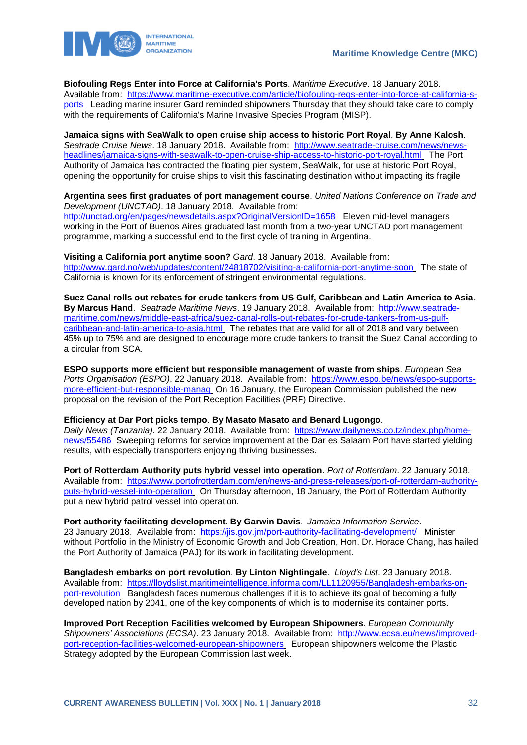

**Biofouling Regs Enter into Force at California's Ports**. *Maritime Executive*. 18 January 2018. Available from: [https://www.maritime-executive.com/article/biofouling-regs-enter-into-force-at-california-s](https://www.maritime-executive.com/article/biofouling-regs-enter-into-force-at-california-s-ports)[ports](https://www.maritime-executive.com/article/biofouling-regs-enter-into-force-at-california-s-ports) Leading marine insurer Gard reminded shipowners Thursday that they should take care to comply with the requirements of California's Marine Invasive Species Program (MISP).

**Jamaica signs with SeaWalk to open cruise ship access to historic Port Royal**. **By Anne Kalosh**. *Seatrade Cruise News*. 18 January 2018. Available from: [http://www.seatrade-cruise.com/news/news](http://www.seatrade-cruise.com/news/news-headlines/jamaica-signs-with-seawalk-to-open-cruise-ship-access-to-historic-port-royal.html)[headlines/jamaica-signs-with-seawalk-to-open-cruise-ship-access-to-historic-port-royal.html](http://www.seatrade-cruise.com/news/news-headlines/jamaica-signs-with-seawalk-to-open-cruise-ship-access-to-historic-port-royal.html) The Port Authority of Jamaica has contracted the floating pier system, SeaWalk, for use at historic Port Royal, opening the opportunity for cruise ships to visit this fascinating destination without impacting its fragile

**Argentina sees first graduates of port management course**. *United Nations Conference on Trade and Development (UNCTAD)*. 18 January 2018. Available from:

<http://unctad.org/en/pages/newsdetails.aspx?OriginalVersionID=1658> Eleven mid-level managers working in the Port of Buenos Aires graduated last month from a two-year UNCTAD port management programme, marking a successful end to the first cycle of training in Argentina.

**Visiting a California port anytime soon?** *Gard*. 18 January 2018. Available from: <http://www.gard.no/web/updates/content/24818702/visiting-a-california-port-anytime-soon> The state of California is known for its enforcement of stringent environmental regulations.

**Suez Canal rolls out rebates for crude tankers from US Gulf, Caribbean and Latin America to Asia**. **By Marcus Hand**. *Seatrade Maritime News*. 19 January 2018. Available from: [http://www.seatrade](http://www.seatrade-maritime.com/news/middle-east-africa/suez-canal-rolls-out-rebates-for-crude-tankers-from-us-gulf-caribbean-and-latin-america-to-asia.html)[maritime.com/news/middle-east-africa/suez-canal-rolls-out-rebates-for-crude-tankers-from-us-gulf](http://www.seatrade-maritime.com/news/middle-east-africa/suez-canal-rolls-out-rebates-for-crude-tankers-from-us-gulf-caribbean-and-latin-america-to-asia.html)[caribbean-and-latin-america-to-asia.html](http://www.seatrade-maritime.com/news/middle-east-africa/suez-canal-rolls-out-rebates-for-crude-tankers-from-us-gulf-caribbean-and-latin-america-to-asia.html) The rebates that are valid for all of 2018 and vary between 45% up to 75% and are designed to encourage more crude tankers to transit the Suez Canal according to a circular from SCA.

**ESPO supports more efficient but responsible management of waste from ships**. *European Sea Ports Organisation (ESPO)*. 22 January 2018. Available from: [https://www.espo.be/news/espo-supports](https://www.espo.be/news/espo-supports-more-efficient-but-responsible-manag)[more-efficient-but-responsible-manag](https://www.espo.be/news/espo-supports-more-efficient-but-responsible-manag) On 16 January, the European Commission published the new proposal on the revision of the Port Reception Facilities (PRF) Directive.

### **Efficiency at Dar Port picks tempo**. **By Masato Masato and Benard Lugongo**.

*Daily News (Tanzania)*. 22 January 2018. Available from: [https://www.dailynews.co.tz/index.php/home](https://www.dailynews.co.tz/index.php/home-news/55486)[news/55486](https://www.dailynews.co.tz/index.php/home-news/55486) Sweeping reforms for service improvement at the Dar es Salaam Port have started yielding results, with especially transporters enjoying thriving businesses.

**Port of Rotterdam Authority puts hybrid vessel into operation**. *Port of Rotterdam*. 22 January 2018. Available from: [https://www.portofrotterdam.com/en/news-and-press-releases/port-of-rotterdam-authority](https://www.portofrotterdam.com/en/news-and-press-releases/port-of-rotterdam-authority-puts-hybrid-vessel-into-operation)[puts-hybrid-vessel-into-operation](https://www.portofrotterdam.com/en/news-and-press-releases/port-of-rotterdam-authority-puts-hybrid-vessel-into-operation) On Thursday afternoon, 18 January, the Port of Rotterdam Authority put a new hybrid patrol vessel into operation.

**Port authority facilitating development**. **By Garwin Davis**. *Jamaica Information Service*. 23 January 2018. Available from: <https://jis.gov.jm/port-authority-facilitating-development/> Minister without Portfolio in the Ministry of Economic Growth and Job Creation, Hon. Dr. Horace Chang, has hailed the Port Authority of Jamaica (PAJ) for its work in facilitating development.

**Bangladesh embarks on port revolution**. **By Linton Nightingale**. *Lloyd's List*. 23 January 2018. Available from: [https://lloydslist.maritimeintelligence.informa.com/LL1120955/Bangladesh-embarks-on](https://lloydslist.maritimeintelligence.informa.com/LL1120955/Bangladesh-embarks-on-port-revolution)[port-revolution](https://lloydslist.maritimeintelligence.informa.com/LL1120955/Bangladesh-embarks-on-port-revolution) Bangladesh faces numerous challenges if it is to achieve its goal of becoming a fully developed nation by 2041, one of the key components of which is to modernise its container ports.

**Improved Port Reception Facilities welcomed by European Shipowners**. *European Community Shipowners' Associations (ECSA)*. 23 January 2018. Available from: [http://www.ecsa.eu/news/improved](http://www.ecsa.eu/news/improved-port-reception-facilities-welcomed-european-shipowners)[port-reception-facilities-welcomed-european-shipowners](http://www.ecsa.eu/news/improved-port-reception-facilities-welcomed-european-shipowners) European shipowners welcome the Plastic Strategy adopted by the European Commission last week.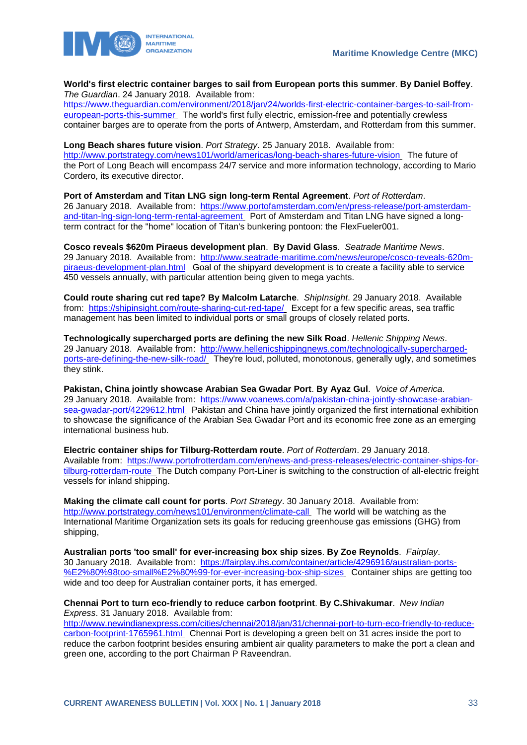

**World's first electric container barges to sail from European ports this summer**. **By Daniel Boffey**. *The Guardian*. 24 January 2018. Available from:

[https://www.theguardian.com/environment/2018/jan/24/worlds-first-electric-container-barges-to-sail-from](https://www.theguardian.com/environment/2018/jan/24/worlds-first-electric-container-barges-to-sail-from-european-ports-this-summer)[european-ports-this-summer](https://www.theguardian.com/environment/2018/jan/24/worlds-first-electric-container-barges-to-sail-from-european-ports-this-summer) The world's first fully electric, emission-free and potentially crewless container barges are to operate from the ports of Antwerp, Amsterdam, and Rotterdam from this summer.

**Long Beach shares future vision**. *Port Strategy*. 25 January 2018. Available from:

<http://www.portstrategy.com/news101/world/americas/long-beach-shares-future-vision> The future of the Port of Long Beach will encompass 24/7 service and more information technology, according to Mario Cordero, its executive director.

**Port of Amsterdam and Titan LNG sign long-term Rental Agreement**. *Port of Rotterdam*. 26 January 2018. Available from: [https://www.portofamsterdam.com/en/press-release/port-amsterdam](https://www.portofamsterdam.com/en/press-release/port-amsterdam-and-titan-lng-sign-long-term-rental-agreement)[and-titan-lng-sign-long-term-rental-agreement](https://www.portofamsterdam.com/en/press-release/port-amsterdam-and-titan-lng-sign-long-term-rental-agreement) Port of Amsterdam and Titan LNG have signed a longterm contract for the "home" location of Titan's bunkering pontoon: the FlexFueler001.

**Cosco reveals \$620m Piraeus development plan**. **By David Glass**. *Seatrade Maritime News*. 29 January 2018. Available from: [http://www.seatrade-maritime.com/news/europe/cosco-reveals-620m](http://www.seatrade-maritime.com/news/europe/cosco-reveals-620m-piraeus-development-plan.html)[piraeus-development-plan.html](http://www.seatrade-maritime.com/news/europe/cosco-reveals-620m-piraeus-development-plan.html) Goal of the shipyard development is to create a facility able to service 450 vessels annually, with particular attention being given to mega yachts.

**Could route sharing cut red tape? By Malcolm Latarche**. *ShipInsight*. 29 January 2018. Available from: <https://shipinsight.com/route-sharing-cut-red-tape/> Except for a few specific areas, sea traffic management has been limited to individual ports or small groups of closely related ports.

**Technologically supercharged ports are defining the new Silk Road**. *Hellenic Shipping News*. 29 January 2018. Available from: [http://www.hellenicshippingnews.com/technologically-supercharged](http://www.hellenicshippingnews.com/technologically-supercharged-ports-are-defining-the-new-silk-road/)[ports-are-defining-the-new-silk-road/](http://www.hellenicshippingnews.com/technologically-supercharged-ports-are-defining-the-new-silk-road/) They're loud, polluted, monotonous, generally ugly, and sometimes they stink.

**Pakistan, China jointly showcase Arabian Sea Gwadar Port**. **By Ayaz Gul**. *Voice of America*. 29 January 2018. Available from: [https://www.voanews.com/a/pakistan-china-jointly-showcase-arabian](https://www.voanews.com/a/pakistan-china-jointly-showcase-arabian-sea-gwadar-port/4229612.html)[sea-gwadar-port/4229612.html](https://www.voanews.com/a/pakistan-china-jointly-showcase-arabian-sea-gwadar-port/4229612.html) Pakistan and China have jointly organized the first international exhibition to showcase the significance of the Arabian Sea Gwadar Port and its economic free zone as an emerging international business hub.

**Electric container ships for Tilburg-Rotterdam route**. *Port of Rotterdam*. 29 January 2018. Available from: [https://www.portofrotterdam.com/en/news-and-press-releases/electric-container-ships-for](https://www.portofrotterdam.com/en/news-and-press-releases/electric-container-ships-for-tilburg-rotterdam-route)[tilburg-rotterdam-route](https://www.portofrotterdam.com/en/news-and-press-releases/electric-container-ships-for-tilburg-rotterdam-route) The Dutch company Port-Liner is switching to the construction of all-electric freight vessels for inland shipping.

**Making the climate call count for ports**. *Port Strategy*. 30 January 2018. Available from: <http://www.portstrategy.com/news101/environment/climate-call> The world will be watching as the International Maritime Organization sets its goals for reducing greenhouse gas emissions (GHG) from shipping,

**Australian ports 'too small' for ever-increasing box ship sizes**. **By Zoe Reynolds**. *Fairplay*. 30 January 2018. Available from: [https://fairplay.ihs.com/container/article/4296916/australian-ports-](https://fairplay.ihs.com/container/article/4296916/australian-ports-%E2%80%98too-small%E2%80%99-for-ever-increasing-box-ship-sizes) [%E2%80%98too-small%E2%80%99-for-ever-increasing-box-ship-sizes](https://fairplay.ihs.com/container/article/4296916/australian-ports-%E2%80%98too-small%E2%80%99-for-ever-increasing-box-ship-sizes) Container ships are getting too wide and too deep for Australian container ports, it has emerged.

**Chennai Port to turn eco-friendly to reduce carbon footprint**. **By C.Shivakumar**. *New Indian Express*. 31 January 2018. Available from:

[http://www.newindianexpress.com/cities/chennai/2018/jan/31/chennai-port-to-turn-eco-friendly-to-reduce](http://www.newindianexpress.com/cities/chennai/2018/jan/31/chennai-port-to-turn-eco-friendly-to-reduce-carbon-footprint-1765961.html)[carbon-footprint-1765961.html](http://www.newindianexpress.com/cities/chennai/2018/jan/31/chennai-port-to-turn-eco-friendly-to-reduce-carbon-footprint-1765961.html) Chennai Port is developing a green belt on 31 acres inside the port to reduce the carbon footprint besides ensuring ambient air quality parameters to make the port a clean and green one, according to the port Chairman P Raveendran.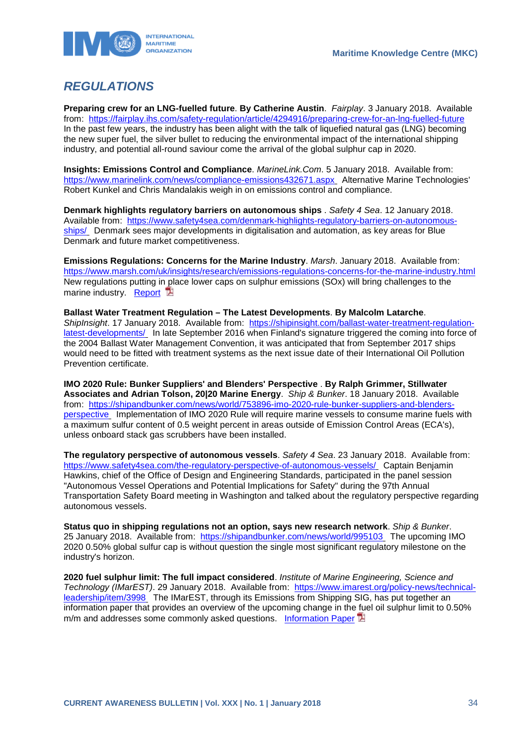

# <span id="page-34-0"></span>*REGULATIONS*

**Preparing crew for an LNG-fuelled future**. **By Catherine Austin**. *Fairplay*. 3 January 2018. Available from: <https://fairplay.ihs.com/safety-regulation/article/4294916/preparing-crew-for-an-lng-fuelled-future> In the past few years, the industry has been alight with the talk of liquefied natural gas (LNG) becoming the new super fuel, the silver bullet to reducing the environmental impact of the international shipping industry, and potential all-round saviour come the arrival of the global sulphur cap in 2020.

**Insights: Emissions Control and Compliance**. *MarineLink.Com*. 5 January 2018. Available from: <https://www.marinelink.com/news/compliance-emissions432671.aspx> Alternative Marine Technologies' Robert Kunkel and Chris Mandalakis weigh in on emissions control and compliance.

**Denmark highlights regulatory barriers on autonomous ships** . *Safety 4 Sea*. 12 January 2018. Available from: [https://www.safety4sea.com/denmark-highlights-regulatory-barriers-on-autonomous](https://www.safety4sea.com/denmark-highlights-regulatory-barriers-on-autonomous-ships/)[ships/](https://www.safety4sea.com/denmark-highlights-regulatory-barriers-on-autonomous-ships/) Denmark sees major developments in digitalisation and automation, as key areas for Blue Denmark and future market competitiveness.

**Emissions Regulations: Concerns for the Marine Industry**. *Marsh*. January 2018. Available from: <https://www.marsh.com/uk/insights/research/emissions-regulations-concerns-for-the-marine-industry.html> New regulations putting in place lower caps on sulphur emissions (SOx) will bring challenges to the marine industry. Report

**Ballast Water Treatment Regulation – The Latest Developments**. **By Malcolm Latarche**. *ShipInsight*. 17 January 2018. Available from: [https://shipinsight.com/ballast-water-treatment-regulation](https://shipinsight.com/ballast-water-treatment-regulation-latest-developments/)[latest-developments/](https://shipinsight.com/ballast-water-treatment-regulation-latest-developments/) In late September 2016 when Finland's signature triggered the coming into force of the 2004 Ballast Water Management Convention, it was anticipated that from September 2017 ships would need to be fitted with treatment systems as the next issue date of their International Oil Pollution Prevention certificate.

**IMO 2020 Rule: Bunker Suppliers' and Blenders' Perspective** . **By Ralph Grimmer, Stillwater Associates and Adrian Tolson, 20|20 Marine Energy**. *Ship & Bunker*. 18 January 2018. Available from: [https://shipandbunker.com/news/world/753896-imo-2020-rule-bunker-suppliers-and-blenders](https://shipandbunker.com/news/world/753896-imo-2020-rule-bunker-suppliers-and-blenders-perspective)[perspective](https://shipandbunker.com/news/world/753896-imo-2020-rule-bunker-suppliers-and-blenders-perspective) Implementation of IMO 2020 Rule will require marine vessels to consume marine fuels with a maximum sulfur content of 0.5 weight percent in areas outside of Emission Control Areas (ECA's), unless onboard stack gas scrubbers have been installed.

**The regulatory perspective of autonomous vessels**. *Safety 4 Sea*. 23 January 2018. Available from: <https://www.safety4sea.com/the-regulatory-perspective-of-autonomous-vessels/> Captain Benjamin Hawkins, chief of the Office of Design and Engineering Standards, participated in the panel session "Autonomous Vessel Operations and Potential Implications for Safety" during the 97th Annual Transportation Safety Board meeting in Washington and talked about the regulatory perspective regarding autonomous vessels.

**Status quo in shipping regulations not an option, says new research network**. *Ship & Bunker*. 25 January 2018. Available from: <https://shipandbunker.com/news/world/995103> The upcoming IMO 2020 0.50% global sulfur cap is without question the single most significant regulatory milestone on the industry's horizon.

**2020 fuel sulphur limit: The full impact considered**. *Institute of Marine Engineering, Science and Technology (IMarEST)*. 29 January 2018. Available from: [https://www.imarest.org/policy-news/technical](https://www.imarest.org/policy-news/technical-leadership/item/3998)[leadership/item/3998](https://www.imarest.org/policy-news/technical-leadership/item/3998) The IMarEST, through its Emissions from Shipping SIG, has put together an information paper that provides an overview of the upcoming change in the fuel oil sulphur limit to 0.50% m/m and addresses some commonly asked questions. [Information Paper](https://www.imarest.org/policy-news/technical-leadership/item/download/666_d671ff430e290963e6c115bb9ed6697a)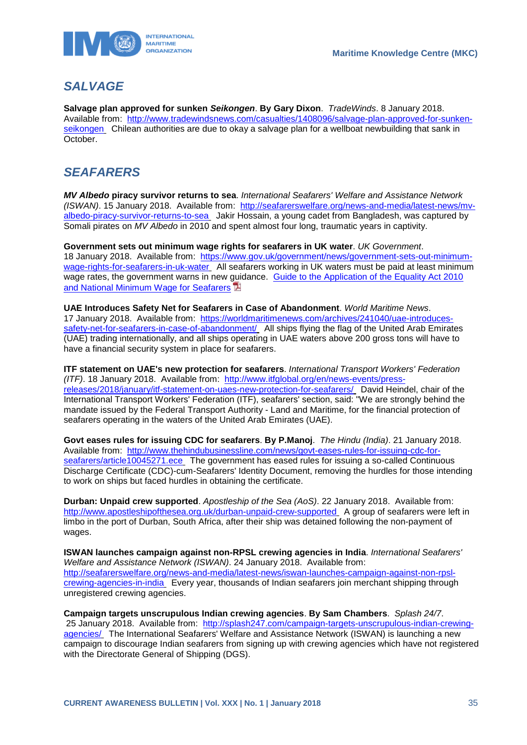

# <span id="page-35-0"></span>*SALVAGE*

**Salvage plan approved for sunken** *Seikongen*. **By Gary Dixon**. *TradeWinds*. 8 January 2018. Available from: [http://www.tradewindsnews.com/casualties/1408096/salvage-plan-approved-for-sunken](http://www.tradewindsnews.com/casualties/1408096/salvage-plan-approved-for-sunken-seikongen)[seikongen](http://www.tradewindsnews.com/casualties/1408096/salvage-plan-approved-for-sunken-seikongen) Chilean authorities are due to okay a salvage plan for a wellboat newbuilding that sank in October.

# <span id="page-35-1"></span>*SEAFARERS*

*MV Albedo* **piracy survivor returns to sea**. *International Seafarers' Welfare and Assistance Network (ISWAN)*. 15 January 2018. Available from: [http://seafarerswelfare.org/news-and-media/latest-news/mv](http://seafarerswelfare.org/news-and-media/latest-news/mv-albedo-piracy-survivor-returns-to-sea)[albedo-piracy-survivor-returns-to-sea](http://seafarerswelfare.org/news-and-media/latest-news/mv-albedo-piracy-survivor-returns-to-sea) Jakir Hossain, a young cadet from Bangladesh, was captured by Somali pirates on *MV Albedo* in 2010 and spent almost four long, traumatic years in captivity.

**Government sets out minimum wage rights for seafarers in UK water**. *UK Government*. 18 January 2018. Available from: [https://www.gov.uk/government/news/government-sets-out-minimum](https://www.gov.uk/government/news/government-sets-out-minimum-wage-rights-for-seafarers-in-uk-water)[wage-rights-for-seafarers-in-uk-water](https://www.gov.uk/government/news/government-sets-out-minimum-wage-rights-for-seafarers-in-uk-water) All seafarers working in UK waters must be paid at least minimum wage rates, the government warns in new guidance. [Guide to the Application of the Equality Act 2010](https://www.gov.uk/government/uploads/system/uploads/attachment_data/file/674596/seafarers-employment-rights-minimum-wage.pdf)  [and National Minimum Wage for Seafarers](https://www.gov.uk/government/uploads/system/uploads/attachment_data/file/674596/seafarers-employment-rights-minimum-wage.pdf)

**UAE Introduces Safety Net for Seafarers in Case of Abandonment**. *World Maritime News*. 17 January 2018. Available from: [https://worldmaritimenews.com/archives/241040/uae-introduces](https://worldmaritimenews.com/archives/241040/uae-introduces-safety-net-for-seafarers-in-case-of-abandonment/)[safety-net-for-seafarers-in-case-of-abandonment/](https://worldmaritimenews.com/archives/241040/uae-introduces-safety-net-for-seafarers-in-case-of-abandonment/) All ships flying the flag of the United Arab Emirates (UAE) trading internationally, and all ships operating in UAE waters above 200 gross tons will have to have a financial security system in place for seafarers.

**ITF statement on UAE's new protection for seafarers**. *International Transport Workers' Federation (ITF)*. 18 January 2018. Available from: [http://www.itfglobal.org/en/news-events/press](http://www.itfglobal.org/en/news-events/press-releases/2018/january/itf-statement-on-uaes-new-protection-for-seafarers/)[releases/2018/january/itf-statement-on-uaes-new-protection-for-seafarers/](http://www.itfglobal.org/en/news-events/press-releases/2018/january/itf-statement-on-uaes-new-protection-for-seafarers/) David Heindel, chair of the International Transport Workers' Federation (ITF), seafarers' section, said: "We are strongly behind the mandate issued by the Federal Transport Authority - Land and Maritime, for the financial protection of seafarers operating in the waters of the United Arab Emirates (UAE).

**Govt eases rules for issuing CDC for seafarers**. **By P.Manoj**. *The Hindu (India)*. 21 January 2018. Available from: [http://www.thehindubusinessline.com/news/govt-eases-rules-for-issuing-cdc-for](http://www.thehindubusinessline.com/news/govt-eases-rules-for-issuing-cdc-for-seafarers/article10045271.ece)[seafarers/article10045271.ece](http://www.thehindubusinessline.com/news/govt-eases-rules-for-issuing-cdc-for-seafarers/article10045271.ece) The government has eased rules for issuing a so-called Continuous Discharge Certificate (CDC)-cum-Seafarers' Identity Document, removing the hurdles for those intending to work on ships but faced hurdles in obtaining the certificate.

**Durban: Unpaid crew supported**. *Apostleship of the Sea (AoS)*. 22 January 2018. Available from: <http://www.apostleshipofthesea.org.uk/durban-unpaid-crew-supported> A group of seafarers were left in limbo in the port of Durban, South Africa, after their ship was detained following the non-payment of wages.

**ISWAN launches campaign against non-RPSL crewing agencies in India**. *International Seafarers' Welfare and Assistance Network (ISWAN)*. 24 January 2018. Available from: [http://seafarerswelfare.org/news-and-media/latest-news/iswan-launches-campaign-against-non-rpsl](http://seafarerswelfare.org/news-and-media/latest-news/iswan-launches-campaign-against-non-rpsl-crewing-agencies-in-india)[crewing-agencies-in-india](http://seafarerswelfare.org/news-and-media/latest-news/iswan-launches-campaign-against-non-rpsl-crewing-agencies-in-india) Every year, thousands of Indian seafarers join merchant shipping through unregistered crewing agencies.

**Campaign targets unscrupulous Indian crewing agencies**. **By Sam Chambers**. *Splash 24/7*. 25 January 2018. Available from: [http://splash247.com/campaign-targets-unscrupulous-indian-crewing](http://splash247.com/campaign-targets-unscrupulous-indian-crewing-agencies/)[agencies/](http://splash247.com/campaign-targets-unscrupulous-indian-crewing-agencies/) The International Seafarers' Welfare and Assistance Network (ISWAN) is launching a new campaign to discourage Indian seafarers from signing up with crewing agencies which have not registered with the Directorate General of Shipping (DGS).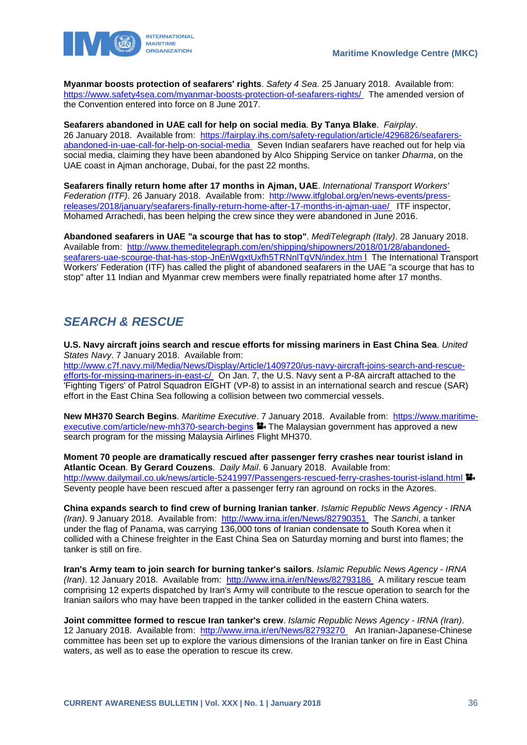

**Myanmar boosts protection of seafarers' rights**. *Safety 4 Sea*. 25 January 2018. Available from: <https://www.safety4sea.com/myanmar-boosts-protection-of-seafarers-rights/> The amended version of the Convention entered into force on 8 June 2017.

**Seafarers abandoned in UAE call for help on social media**. **By Tanya Blake**. *Fairplay*.

26 January 2018. Available from: [https://fairplay.ihs.com/safety-regulation/article/4296826/seafarers](https://fairplay.ihs.com/safety-regulation/article/4296826/seafarers-abandoned-in-uae-call-for-help-on-social-media)[abandoned-in-uae-call-for-help-on-social-media](https://fairplay.ihs.com/safety-regulation/article/4296826/seafarers-abandoned-in-uae-call-for-help-on-social-media) Seven Indian seafarers have reached out for help via social media, claiming they have been abandoned by Alco Shipping Service on tanker *Dharma*, on the UAE coast in Ajman anchorage, Dubai, for the past 22 months.

**Seafarers finally return home after 17 months in Ajman, UAE**. *International Transport Workers' Federation (ITF)*. 26 January 2018. Available from: [http://www.itfglobal.org/en/news-events/press](http://www.itfglobal.org/en/news-events/press-releases/2018/january/seafarers-finally-return-home-after-17-months-in-ajman-uae/)[releases/2018/january/seafarers-finally-return-home-after-17-months-in-ajman-uae/](http://www.itfglobal.org/en/news-events/press-releases/2018/january/seafarers-finally-return-home-after-17-months-in-ajman-uae/) ITF inspector, Mohamed Arrachedi, has been helping the crew since they were abandoned in June 2016.

**Abandoned seafarers in UAE "a scourge that has to stop"**. *MediTelegraph (Italy)*. 28 January 2018. Available from: [http://www.themeditelegraph.com/en/shipping/shipowners/2018/01/28/abandoned](http://www.themeditelegraph.com/en/shipping/shipowners/2018/01/28/abandoned-seafarers-uae-scourge-that-has-stop-JnEnWgxtUxfh5TRNnlTqVN/index.htm)[seafarers-uae-scourge-that-has-stop-JnEnWgxtUxfh5TRNnlTqVN/index.htm](http://www.themeditelegraph.com/en/shipping/shipowners/2018/01/28/abandoned-seafarers-uae-scourge-that-has-stop-JnEnWgxtUxfh5TRNnlTqVN/index.htm) l The International Transport Workers' Federation (ITF) has called the plight of abandoned seafarers in the UAE "a scourge that has to stop" after 11 Indian and Myanmar crew members were finally repatriated home after 17 months.

# <span id="page-36-0"></span>*SEARCH & RESCUE*

**U.S. Navy aircraft joins search and rescue efforts for missing mariners in East China Sea**. *United States Navy*. 7 January 2018. Available from:

[http://www.c7f.navy.mil/Media/News/Display/Article/1409720/us-navy-aircraft-joins-search-and-rescue](http://www.c7f.navy.mil/Media/News/Display/Article/1409720/us-navy-aircraft-joins-search-and-rescue-efforts-for-missing-mariners-in-east-c/)[efforts-for-missing-mariners-in-east-c/](http://www.c7f.navy.mil/Media/News/Display/Article/1409720/us-navy-aircraft-joins-search-and-rescue-efforts-for-missing-mariners-in-east-c/) On Jan. 7, the U.S. Navy sent a P-8A aircraft attached to the 'Fighting Tigers' of Patrol Squadron EIGHT (VP-8) to assist in an international search and rescue (SAR) effort in the East China Sea following a collision between two commercial vessels.

**New MH370 Search Begins**. *Maritime Executive*. 7 January 2018. Available from: [https://www.maritime](https://www.maritime-executive.com/article/new-mh370-search-begins)[executive.com/article/new-mh370-search-begins](https://www.maritime-executive.com/article/new-mh370-search-begins)  $\blacksquare$  The Malaysian government has approved a new search program for the missing Malaysia Airlines Flight MH370.

**Moment 70 people are dramatically rescued after passenger ferry crashes near tourist island in Atlantic Ocean**. **By Gerard Couzens**. *Daily Mail*. 6 January 2018. Available from: <http://www.dailymail.co.uk/news/article-5241997/Passengers-rescued-ferry-crashes-tourist-island.html> Seventy people have been rescued after a passenger ferry ran aground on rocks in the Azores.

**China expands search to find crew of burning Iranian tanker**. *Islamic Republic News Agency - IRNA (Iran)*. 9 January 2018. Available from: <http://www.irna.ir/en/News/82790351> The *Sanchi*, a tanker under the flag of Panama, was carrying 136,000 tons of Iranian condensate to South Korea when it collided with a Chinese freighter in the East China Sea on Saturday morning and burst into flames; the tanker is still on fire.

**Iran's Army team to join search for burning tanker's sailors**. *Islamic Republic News Agency - IRNA (Iran)*. 12 January 2018. Available from: <http://www.irna.ir/en/News/82793186> A military rescue team comprising 12 experts dispatched by Iran's Army will contribute to the rescue operation to search for the Iranian sailors who may have been trapped in the tanker collided in the eastern China waters.

**Joint committee formed to rescue Iran tanker's crew**. *Islamic Republic News Agency - IRNA (Iran)*. 12 January 2018. Available from: <http://www.irna.ir/en/News/82793270> An Iranian-Japanese-Chinese committee has been set up to explore the various dimensions of the Iranian tanker on fire in East China waters, as well as to ease the operation to rescue its crew.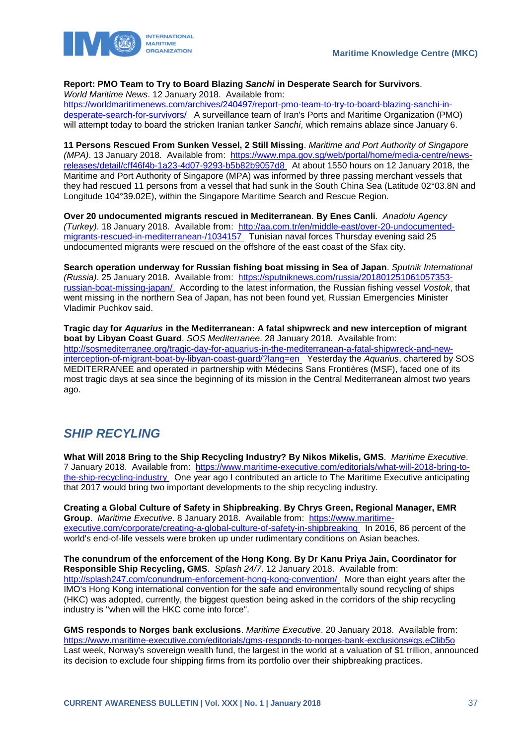

### **Report: PMO Team to Try to Board Blazing** *Sanchi* **in Desperate Search for Survivors**.

*World Maritime News*. 12 January 2018. Available from: [https://worldmaritimenews.com/archives/240497/report-pmo-team-to-try-to-board-blazing-sanchi-in](https://worldmaritimenews.com/archives/240497/report-pmo-team-to-try-to-board-blazing-sanchi-in-desperate-search-for-survivors/)[desperate-search-for-survivors/](https://worldmaritimenews.com/archives/240497/report-pmo-team-to-try-to-board-blazing-sanchi-in-desperate-search-for-survivors/) A surveillance team of Iran's Ports and Maritime Organization (PMO) will attempt today to board the stricken Iranian tanker *Sanchi*, which remains ablaze since January 6.

**11 Persons Rescued From Sunken Vessel, 2 Still Missing**. *Maritime and Port Authority of Singapore (MPA)*. 13 January 2018. Available from: [https://www.mpa.gov.sg/web/portal/home/media-centre/news](https://www.mpa.gov.sg/web/portal/home/media-centre/news-releases/detail/cff46f4b-1a23-4d07-9293-b5b82b9057d8)[releases/detail/cff46f4b-1a23-4d07-9293-b5b82b9057d8](https://www.mpa.gov.sg/web/portal/home/media-centre/news-releases/detail/cff46f4b-1a23-4d07-9293-b5b82b9057d8) At about 1550 hours on 12 January 2018, the Maritime and Port Authority of Singapore (MPA) was informed by three passing merchant vessels that they had rescued 11 persons from a vessel that had sunk in the South China Sea (Latitude 02°03.8N and Longitude 104°39.02E), within the Singapore Maritime Search and Rescue Region.

**Over 20 undocumented migrants rescued in Mediterranean**. **By Enes Canli**. *Anadolu Agency (Turkey)*. 18 January 2018. Available from: [http://aa.com.tr/en/middle-east/over-20-undocumented](http://aa.com.tr/en/middle-east/over-20-undocumented-migrants-rescued-in-mediterranean-/1034157)[migrants-rescued-in-mediterranean-/1034157](http://aa.com.tr/en/middle-east/over-20-undocumented-migrants-rescued-in-mediterranean-/1034157) Tunisian naval forces Thursday evening said 25 undocumented migrants were rescued on the offshore of the east coast of the Sfax city.

**Search operation underway for Russian fishing boat missing in Sea of Japan**. *Sputnik International (Russia)*. 25 January 2018. Available from: [https://sputniknews.com/russia/201801251061057353](https://sputniknews.com/russia/201801251061057353-russian-boat-missing-japan/) [russian-boat-missing-japan/](https://sputniknews.com/russia/201801251061057353-russian-boat-missing-japan/) According to the latest information, the Russian fishing vessel *Vostok*, that went missing in the northern Sea of Japan, has not been found yet, Russian Emergencies Minister Vladimir Puchkov said.

**Tragic day for** *Aquarius* **in the Mediterranean: A fatal shipwreck and new interception of migrant boat by Libyan Coast Guard**. *SOS Mediterranee*. 28 January 2018. Available from: [http://sosmediterranee.org/tragic-day-for-aquarius-in-the-mediterranean-a-fatal-shipwreck-and-new](http://sosmediterranee.org/tragic-day-for-aquarius-in-the-mediterranean-a-fatal-shipwreck-and-new-interception-of-migrant-boat-by-libyan-coast-guard/?lang=en)[interception-of-migrant-boat-by-libyan-coast-guard/?lang=en](http://sosmediterranee.org/tragic-day-for-aquarius-in-the-mediterranean-a-fatal-shipwreck-and-new-interception-of-migrant-boat-by-libyan-coast-guard/?lang=en) Yesterday the *Aquarius*, chartered by SOS MEDITERRANEE and operated in partnership with Médecins Sans Frontières (MSF), faced one of its most tragic days at sea since the beginning of its mission in the Central Mediterranean almost two years ago.

# <span id="page-37-0"></span>*SHIP RECYLING*

**What Will 2018 Bring to the Ship Recycling Industry? By Nikos Mikelis, GMS**. *Maritime Executive*. 7 January 2018. Available from: [https://www.maritime-executive.com/editorials/what-will-2018-bring-to](https://www.maritime-executive.com/editorials/what-will-2018-bring-to-the-ship-recycling-industry)[the-ship-recycling-industry](https://www.maritime-executive.com/editorials/what-will-2018-bring-to-the-ship-recycling-industry) One year ago I contributed an article to The Maritime Executive anticipating that 2017 would bring two important developments to the ship recycling industry.

**Creating a Global Culture of Safety in Shipbreaking**. **By Chrys Green, Regional Manager, EMR Group**. *Maritime Executive*. 8 January 2018. Available from: [https://www.maritime](https://www.maritime-executive.com/corporate/creating-a-global-culture-of-safety-in-shipbreaking)[executive.com/corporate/creating-a-global-culture-of-safety-in-shipbreaking](https://www.maritime-executive.com/corporate/creating-a-global-culture-of-safety-in-shipbreaking) In 2016, 86 percent of the world's end-of-life vessels were broken up under rudimentary conditions on Asian beaches.

**The conundrum of the enforcement of the Hong Kong**. **By Dr Kanu Priya Jain, Coordinator for Responsible Ship Recycling, GMS**. *Splash 24/7*. 12 January 2018. Available from: <http://splash247.com/conundrum-enforcement-hong-kong-convention/> More than eight years after the IMO's Hong Kong international convention for the safe and environmentally sound recycling of ships (HKC) was adopted, currently, the biggest question being asked in the corridors of the ship recycling industry is "when will the HKC come into force".

**GMS responds to Norges bank exclusions**. *Maritime Executive*. 20 January 2018. Available from: <https://www.maritime-executive.com/editorials/gms-responds-to-norges-bank-exclusions#gs.eClib5o> Last week, Norway's sovereign wealth fund, the largest in the world at a valuation of \$1 trillion, announced its decision to exclude four shipping firms from its portfolio over their shipbreaking practices.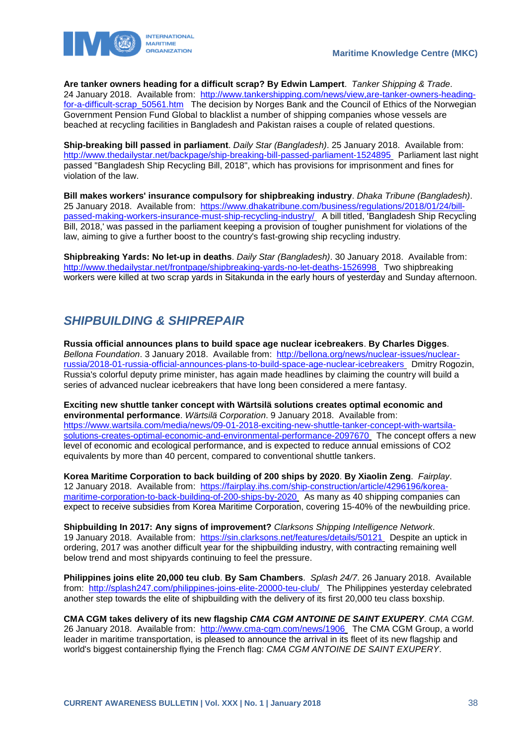

**Are tanker owners heading for a difficult scrap? By Edwin Lampert**. *Tanker Shipping & Trade*. 24 January 2018. Available from: [http://www.tankershipping.com/news/view,are-tanker-owners-heading](http://www.tankershipping.com/news/view,are-tanker-owners-heading-for-a-difficult-scrap_50561.htm)[for-a-difficult-scrap\\_50561.htm](http://www.tankershipping.com/news/view,are-tanker-owners-heading-for-a-difficult-scrap_50561.htm) The decision by Norges Bank and the Council of Ethics of the Norwegian Government Pension Fund Global to blacklist a number of shipping companies whose vessels are beached at recycling facilities in Bangladesh and Pakistan raises a couple of related questions.

**Ship-breaking bill passed in parliament**. *Daily Star (Bangladesh)*. 25 January 2018. Available from: <http://www.thedailystar.net/backpage/ship-breaking-bill-passed-parliament-1524895> Parliament last night passed "Bangladesh Ship Recycling Bill, 2018", which has provisions for imprisonment and fines for violation of the law.

**Bill makes workers' insurance compulsory for shipbreaking industry**. *Dhaka Tribune (Bangladesh)*. 25 January 2018. Available from: [https://www.dhakatribune.com/business/regulations/2018/01/24/bill](https://www.dhakatribune.com/business/regulations/2018/01/24/bill-passed-making-workers-insurance-must-ship-recycling-industry/)[passed-making-workers-insurance-must-ship-recycling-industry/](https://www.dhakatribune.com/business/regulations/2018/01/24/bill-passed-making-workers-insurance-must-ship-recycling-industry/) A bill titled, 'Bangladesh Ship Recycling Bill, 2018,' was passed in the parliament keeping a provision of tougher punishment for violations of the law, aiming to give a further boost to the country's fast-growing ship recycling industry.

**Shipbreaking Yards: No let-up in deaths**. *Daily Star (Bangladesh)*. 30 January 2018. Available from: <http://www.thedailystar.net/frontpage/shipbreaking-yards-no-let-deaths-1526998> Two shipbreaking workers were killed at two scrap yards in Sitakunda in the early hours of yesterday and Sunday afternoon.

# <span id="page-38-0"></span>*SHIPBUILDING & SHIPREPAIR*

**Russia official announces plans to build space age nuclear icebreakers**. **By Charles Digges**. *Bellona Foundation*. 3 January 2018. Available from: [http://bellona.org/news/nuclear-issues/nuclear](http://bellona.org/news/nuclear-issues/nuclear-russia/2018-01-russia-official-announces-plans-to-build-space-age-nuclear-icebreakers)[russia/2018-01-russia-official-announces-plans-to-build-space-age-nuclear-icebreakers](http://bellona.org/news/nuclear-issues/nuclear-russia/2018-01-russia-official-announces-plans-to-build-space-age-nuclear-icebreakers) Dmitry Rogozin, Russia's colorful deputy prime minister, has again made headlines by claiming the country will build a series of advanced nuclear icebreakers that have long been considered a mere fantasy.

**Exciting new shuttle tanker concept with Wärtsilä solutions creates optimal economic and environmental performance**. *Wärtsilä Corporation*. 9 January 2018. Available from: [https://www.wartsila.com/media/news/09-01-2018-exciting-new-shuttle-tanker-concept-with-wartsila](https://www.wartsila.com/media/news/09-01-2018-exciting-new-shuttle-tanker-concept-with-wartsila-solutions-creates-optimal-economic-and-environmental-performance-2097670)[solutions-creates-optimal-economic-and-environmental-performance-2097670](https://www.wartsila.com/media/news/09-01-2018-exciting-new-shuttle-tanker-concept-with-wartsila-solutions-creates-optimal-economic-and-environmental-performance-2097670) The concept offers a new level of economic and ecological performance, and is expected to reduce annual emissions of CO2 equivalents by more than 40 percent, compared to conventional shuttle tankers.

**Korea Maritime Corporation to back building of 200 ships by 2020**. **By Xiaolin Zeng**. *Fairplay*. 12 January 2018. Available from: [https://fairplay.ihs.com/ship-construction/article/4296196/korea](https://fairplay.ihs.com/ship-construction/article/4296196/korea-maritime-corporation-to-back-building-of-200-ships-by-2020)[maritime-corporation-to-back-building-of-200-ships-by-2020](https://fairplay.ihs.com/ship-construction/article/4296196/korea-maritime-corporation-to-back-building-of-200-ships-by-2020) As many as 40 shipping companies can expect to receive subsidies from Korea Maritime Corporation, covering 15-40% of the newbuilding price.

**Shipbuilding In 2017: Any signs of improvement?** *Clarksons Shipping Intelligence Network*. 19 January 2018. Available from: <https://sin.clarksons.net/features/details/50121> Despite an uptick in ordering, 2017 was another difficult year for the shipbuilding industry, with contracting remaining well below trend and most shipyards continuing to feel the pressure.

**Philippines joins elite 20,000 teu club**. **By Sam Chambers**. *Splash 24/7*. 26 January 2018. Available from: <http://splash247.com/philippines-joins-elite-20000-teu-club/> The Philippines yesterday celebrated another step towards the elite of shipbuilding with the delivery of its first 20,000 teu class boxship.

**CMA CGM takes delivery of its new flagship** *CMA CGM ANTOINE DE SAINT EXUPERY*. *CMA CGM*. 26 January 2018. Available from: <http://www.cma-cgm.com/news/1906> The CMA CGM Group, a world leader in maritime transportation, is pleased to announce the arrival in its fleet of its new flagship and world's biggest containership flying the French flag: *CMA CGM ANTOINE DE SAINT EXUPERY*.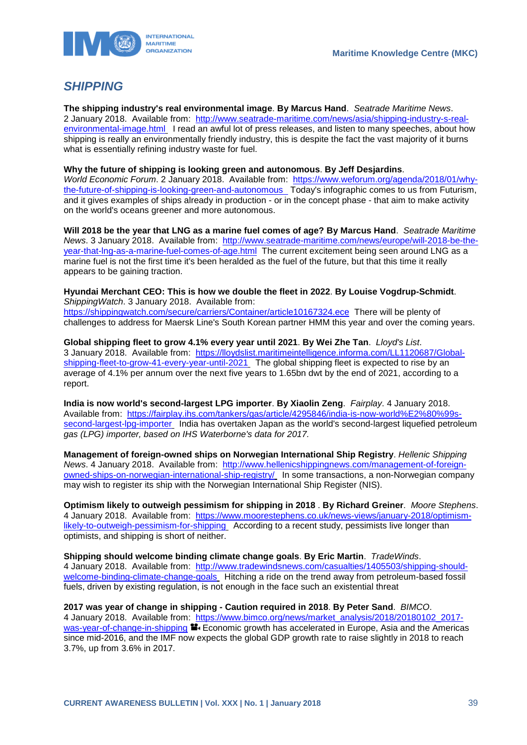

# <span id="page-39-0"></span>*SHIPPING*

**The shipping industry's real environmental image**. **By Marcus Hand**. *Seatrade Maritime News*. 2 January 2018. Available from: [http://www.seatrade-maritime.com/news/asia/shipping-industry-s-real](http://www.seatrade-maritime.com/news/asia/shipping-industry-s-real-environmental-image.html)[environmental-image.html](http://www.seatrade-maritime.com/news/asia/shipping-industry-s-real-environmental-image.html) I read an awful lot of press releases, and listen to many speeches, about how shipping is really an environmentally friendly industry, this is despite the fact the vast majority of it burns what is essentially refining industry waste for fuel.

### **Why the future of shipping is looking green and autonomous**. **By Jeff Desjardins**.

*World Economic Forum*. 2 January 2018. Available from: [https://www.weforum.org/agenda/2018/01/why](https://www.weforum.org/agenda/2018/01/why-the-future-of-shipping-is-looking-green-and-autonomous)[the-future-of-shipping-is-looking-green-and-autonomous](https://www.weforum.org/agenda/2018/01/why-the-future-of-shipping-is-looking-green-and-autonomous) Today's infographic comes to us from Futurism, and it gives examples of ships already in production - or in the concept phase - that aim to make activity on the world's oceans greener and more autonomous.

**Will 2018 be the year that LNG as a marine fuel comes of age? By Marcus Hand**. *Seatrade Maritime News*. 3 January 2018. Available from: [http://www.seatrade-maritime.com/news/europe/will-2018-be-the](http://www.seatrade-maritime.com/news/europe/will-2018-be-the-year-that-lng-as-a-marine-fuel-comes-of-age.html)[year-that-lng-as-a-marine-fuel-comes-of-age.html](http://www.seatrade-maritime.com/news/europe/will-2018-be-the-year-that-lng-as-a-marine-fuel-comes-of-age.html) The current excitement being seen around LNG as a marine fuel is not the first time it's been heralded as the fuel of the future, but that this time it really appears to be gaining traction.

**Hyundai Merchant CEO: This is how we double the fleet in 2022**. **By Louise Vogdrup-Schmidt**. *ShippingWatch*. 3 January 2018. Available from: <https://shippingwatch.com/secure/carriers/Container/article10167324.ece>There will be plenty of challenges to address for Maersk Line's South Korean partner HMM this year and over the coming years.

**Global shipping fleet to grow 4.1% every year until 2021**. **By Wei Zhe Tan**. *Lloyd's List*. 3 January 2018. Available from: [https://lloydslist.maritimeintelligence.informa.com/LL1120687/Global](https://lloydslist.maritimeintelligence.informa.com/LL1120687/Global-shipping-fleet-to-grow-41-every-year-until-2021)[shipping-fleet-to-grow-41-every-year-until-2021](https://lloydslist.maritimeintelligence.informa.com/LL1120687/Global-shipping-fleet-to-grow-41-every-year-until-2021) The global shipping fleet is expected to rise by an average of 4.1% per annum over the next five years to 1.65bn dwt by the end of 2021, according to a report.

**India is now world's second-largest LPG importer**. **By Xiaolin Zeng**. *Fairplay*. 4 January 2018. Available from: [https://fairplay.ihs.com/tankers/gas/article/4295846/india-is-now-world%E2%80%99s](https://fairplay.ihs.com/tankers/gas/article/4295846/india-is-now-world%E2%80%99s-second-largest-lpg-importer)[second-largest-lpg-importer](https://fairplay.ihs.com/tankers/gas/article/4295846/india-is-now-world%E2%80%99s-second-largest-lpg-importer) India has overtaken Japan as the world's second-largest liquefied petroleum *gas (LPG) importer, based on IHS Waterborne's data for 2017.* 

**Management of foreign-owned ships on Norwegian International Ship Registry**. *Hellenic Shipping News*. 4 January 2018. Available from: [http://www.hellenicshippingnews.com/management-of-foreign](http://www.hellenicshippingnews.com/management-of-foreign-owned-ships-on-norwegian-international-ship-registry/)[owned-ships-on-norwegian-international-ship-registry/](http://www.hellenicshippingnews.com/management-of-foreign-owned-ships-on-norwegian-international-ship-registry/) In some transactions, a non-Norwegian company may wish to register its ship with the Norwegian International Ship Register (NIS).

**Optimism likely to outweigh pessimism for shipping in 2018** . **By Richard Greiner**. *Moore Stephens*. 4 January 2018. Available from: [https://www.moorestephens.co.uk/news-views/january-2018/optimism](https://www.moorestephens.co.uk/news-views/january-2018/optimism-likely-to-outweigh-pessimism-for-shipping)[likely-to-outweigh-pessimism-for-shipping](https://www.moorestephens.co.uk/news-views/january-2018/optimism-likely-to-outweigh-pessimism-for-shipping) According to a recent study, pessimists live longer than optimists, and shipping is short of neither.

**Shipping should welcome binding climate change goals**. **By Eric Martin**. *TradeWinds*. 4 January 2018. Available from: [http://www.tradewindsnews.com/casualties/1405503/shipping-should](http://www.tradewindsnews.com/casualties/1405503/shipping-should-welcome-binding-climate-change-goals)[welcome-binding-climate-change-goals](http://www.tradewindsnews.com/casualties/1405503/shipping-should-welcome-binding-climate-change-goals) Hitching a ride on the trend away from petroleum-based fossil fuels, driven by existing regulation, is not enough in the face such an existential threat

**2017 was year of change in shipping - Caution required in 2018**. **By Peter Sand**. *BIMCO*. 4 January 2018. Available from: [https://www.bimco.org/news/market\\_analysis/2018/20180102\\_2017](https://www.bimco.org/news/market_analysis/2018/20180102_2017-was-year-of-change-in-shipping) [was-year-of-change-in-shipping](https://www.bimco.org/news/market_analysis/2018/20180102_2017-was-year-of-change-in-shipping)  $\mathbb{E}_{A}$  Economic growth has accelerated in Europe, Asia and the Americas since mid-2016, and the IMF now expects the global GDP growth rate to raise slightly in 2018 to reach 3.7%, up from 3.6% in 2017.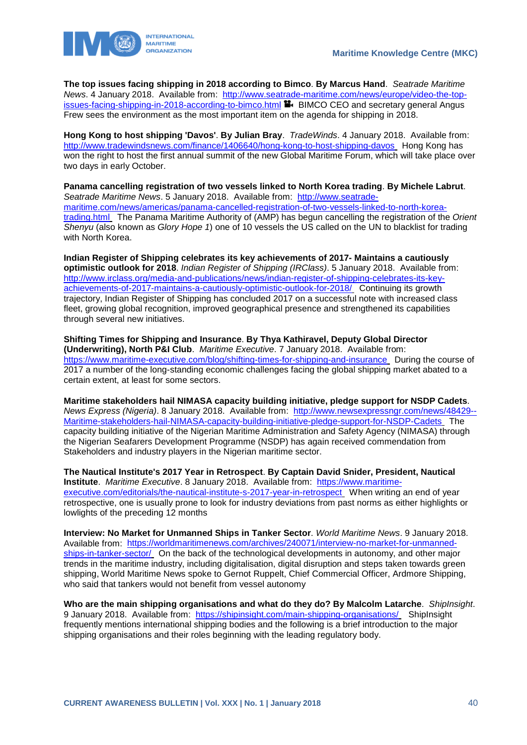

**The top issues facing shipping in 2018 according to Bimco**. **By Marcus Hand**. *Seatrade Maritime News*. 4 January 2018. Available from: [http://www.seatrade-maritime.com/news/europe/video-the-top](http://www.seatrade-maritime.com/news/europe/video-the-top-issues-facing-shipping-in-2018-according-to-bimco.html)[issues-facing-shipping-in-2018-according-to-bimco.html](http://www.seatrade-maritime.com/news/europe/video-the-top-issues-facing-shipping-in-2018-according-to-bimco.html) BIMCO CEO and secretary general Angus Frew sees the environment as the most important item on the agenda for shipping in 2018.

**Hong Kong to host shipping 'Davos'**. **By Julian Bray**. *TradeWinds*. 4 January 2018. Available from: <http://www.tradewindsnews.com/finance/1406640/hong-kong-to-host-shipping-davos> Hong Kong has won the right to host the first annual summit of the new Global Maritime Forum, which will take place over two days in early October.

**Panama cancelling registration of two vessels linked to North Korea trading**. **By Michele Labrut**. *Seatrade Maritime News*. 5 January 2018. Available from: [http://www.seatrade](http://www.seatrade-maritime.com/news/americas/panama-cancelled-registration-of-two-vessels-linked-to-north-korea-trading.html)[maritime.com/news/americas/panama-cancelled-registration-of-two-vessels-linked-to-north-korea](http://www.seatrade-maritime.com/news/americas/panama-cancelled-registration-of-two-vessels-linked-to-north-korea-trading.html)[trading.html](http://www.seatrade-maritime.com/news/americas/panama-cancelled-registration-of-two-vessels-linked-to-north-korea-trading.html) The Panama Maritime Authority of (AMP) has begun cancelling the registration of the *Orient Shenyu* (also known as *Glory Hope 1*) one of 10 vessels the US called on the UN to blacklist for trading with North Korea.

**Indian Register of Shipping celebrates its key achievements of 2017- Maintains a cautiously optimistic outlook for 2018**. *Indian Register of Shipping (IRClass)*. 5 January 2018. Available from: [http://www.irclass.org/media-and-publications/news/indian-register-of-shipping-celebrates-its-key](http://www.irclass.org/media-and-publications/news/indian-register-of-shipping-celebrates-its-key-achievements-of-2017-maintains-a-cautiously-optimistic-outlook-for-2018/)[achievements-of-2017-maintains-a-cautiously-optimistic-outlook-for-2018/](http://www.irclass.org/media-and-publications/news/indian-register-of-shipping-celebrates-its-key-achievements-of-2017-maintains-a-cautiously-optimistic-outlook-for-2018/) Continuing its growth trajectory, Indian Register of Shipping has concluded 2017 on a successful note with increased class fleet, growing global recognition, improved geographical presence and strengthened its capabilities through several new initiatives.

**Shifting Times for Shipping and Insurance**. **By Thya Kathiravel, Deputy Global Director (Underwriting), North P&I Club**. *Maritime Executive*. 7 January 2018. Available from: <https://www.maritime-executive.com/blog/shifting-times-for-shipping-and-insurance> During the course of 2017 a number of the long-standing economic challenges facing the global shipping market abated to a certain extent, at least for some sectors.

**Maritime stakeholders hail NIMASA capacity building initiative, pledge support for NSDP Cadets**. *News Express (Nigeria)*. 8 January 2018. Available from: [http://www.newsexpressngr.com/news/48429--](http://www.newsexpressngr.com/news/48429--Maritime-stakeholders-hail-NIMASA-capacity-building-initiative-pledge-support-for-NSDP-Cadets) [Maritime-stakeholders-hail-NIMASA-capacity-building-initiative-pledge-support-for-NSDP-Cadets](http://www.newsexpressngr.com/news/48429--Maritime-stakeholders-hail-NIMASA-capacity-building-initiative-pledge-support-for-NSDP-Cadets) The capacity building initiative of the Nigerian Maritime Administration and Safety Agency (NIMASA) through the Nigerian Seafarers Development Programme (NSDP) has again received commendation from Stakeholders and industry players in the Nigerian maritime sector.

**The Nautical Institute's 2017 Year in Retrospect**. **By Captain David Snider, President, Nautical Institute**. *Maritime Executive*. 8 January 2018. Available from: [https://www.maritime](https://www.maritime-executive.com/editorials/the-nautical-institute-s-2017-year-in-retrospect)[executive.com/editorials/the-nautical-institute-s-2017-year-in-retrospect](https://www.maritime-executive.com/editorials/the-nautical-institute-s-2017-year-in-retrospect) When writing an end of year retrospective, one is usually prone to look for industry deviations from past norms as either highlights or lowlights of the preceding 12 months

**Interview: No Market for Unmanned Ships in Tanker Sector**. *World Maritime News*. 9 January 2018. Available from: [https://worldmaritimenews.com/archives/240071/interview-no-market-for-unmanned](https://worldmaritimenews.com/archives/240071/interview-no-market-for-unmanned-ships-in-tanker-sector/)[ships-in-tanker-sector/](https://worldmaritimenews.com/archives/240071/interview-no-market-for-unmanned-ships-in-tanker-sector/) On the back of the technological developments in autonomy, and other major trends in the maritime industry, including digitalisation, digital disruption and steps taken towards green shipping, World Maritime News spoke to Gernot Ruppelt, Chief Commercial Officer, Ardmore Shipping, who said that tankers would not benefit from vessel autonomy

**Who are the main shipping organisations and what do they do? By Malcolm Latarche**. *ShipInsight*. 9 January 2018. Available from: <https://shipinsight.com/main-shipping-organisations/> ShipInsight frequently mentions international shipping bodies and the following is a brief introduction to the major shipping organisations and their roles beginning with the leading regulatory body.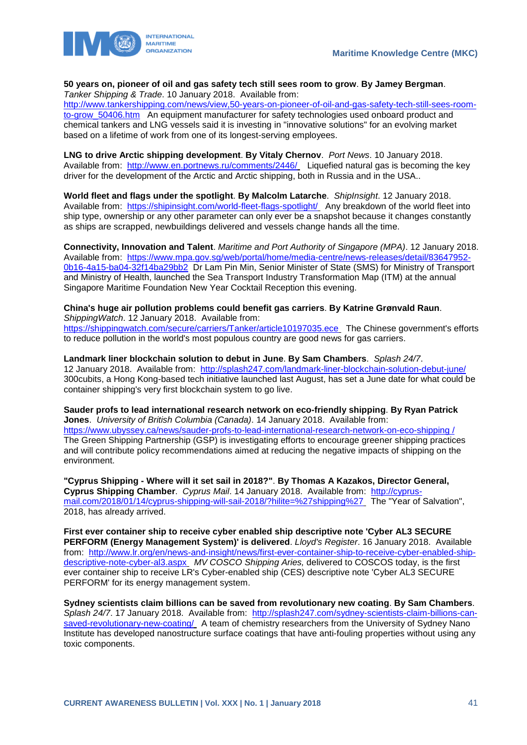

#### **50 years on, pioneer of oil and gas safety tech still sees room to grow**. **By Jamey Bergman**. *Tanker Shipping & Trade*. 10 January 2018. Available from:

[http://www.tankershipping.com/news/view,50-years-on-pioneer-of-oil-and-gas-safety-tech-still-sees-room](http://www.tankershipping.com/news/view,50-years-on-pioneer-of-oil-and-gas-safety-tech-still-sees-room-to-grow_50406.htm)to-grow 50406.htm An equipment manufacturer for safety technologies used onboard product and chemical tankers and LNG vessels said it is investing in "innovative solutions" for an evolving market based on a lifetime of work from one of its longest-serving employees.

**LNG to drive Arctic shipping development**. **By Vitaly Chernov**. *Port News*. 10 January 2018. Available from: <http://www.en.portnews.ru/comments/2446/> Liquefied natural gas is becoming the key driver for the development of the Arctic and Arctic shipping, both in Russia and in the USA..

**World fleet and flags under the spotlight**. **By Malcolm Latarche**. *ShipInsight*. 12 January 2018. Available from: <https://shipinsight.com/world-fleet-flags-spotlight/> Any breakdown of the world fleet into ship type, ownership or any other parameter can only ever be a snapshot because it changes constantly as ships are scrapped, newbuildings delivered and vessels change hands all the time.

**Connectivity, Innovation and Talent**. *Maritime and Port Authority of Singapore (MPA)*. 12 January 2018. Available from: [https://www.mpa.gov.sg/web/portal/home/media-centre/news-releases/detail/83647952-](https://www.mpa.gov.sg/web/portal/home/media-centre/news-releases/detail/83647952-0b16-4a15-ba04-32f14ba29bb2) [0b16-4a15-ba04-32f14ba29bb2](https://www.mpa.gov.sg/web/portal/home/media-centre/news-releases/detail/83647952-0b16-4a15-ba04-32f14ba29bb2) Dr Lam Pin Min, Senior Minister of State (SMS) for Ministry of Transport and Ministry of Health, launched the Sea Transport Industry Transformation Map (ITM) at the annual Singapore Maritime Foundation New Year Cocktail Reception this evening.

#### **China's huge air pollution problems could benefit gas carriers**. **By Katrine Grønvald Raun**. *ShippingWatch*. 12 January 2018. Available from:

<https://shippingwatch.com/secure/carriers/Tanker/article10197035.ece> The Chinese government's efforts to reduce pollution in the world's most populous country are good news for gas carriers.

#### **Landmark liner blockchain solution to debut in June**. **By Sam Chambers**. *Splash 24/7*. 12 January 2018. Available from: <http://splash247.com/landmark-liner-blockchain-solution-debut-june/> 300cubits, a Hong Kong-based tech initiative launched last August, has set a June date for what could be container shipping's very first blockchain system to go live.

**Sauder profs to lead international research network on eco-friendly shipping**. **By Ryan Patrick Jones**. *University of British Columbia (Canada)*. 14 January 2018. Available from: [https://www.ubyssey.ca/news/sauder-profs-to-lead-international-research-network-on-eco-shipping /](https://www.ubyssey.ca/news/sauder-profs-to-lead-international-research-network-on-eco-shipping%20/) The Green Shipping Partnership (GSP) is investigating efforts to encourage greener shipping practices and will contribute policy recommendations aimed at reducing the negative impacts of shipping on the environment.

**"Cyprus Shipping - Where will it set sail in 2018?"**. **By Thomas A Kazakos, Director General, Cyprus Shipping Chamber**. *Cyprus Mail*. 14 January 2018. Available from: [http://cyprus](http://cyprus-mail.com/2018/01/14/cyprus-shipping-will-sail-2018/?hilite=%27shipping%27)[mail.com/2018/01/14/cyprus-shipping-will-sail-2018/?hilite=%27shipping%27](http://cyprus-mail.com/2018/01/14/cyprus-shipping-will-sail-2018/?hilite=%27shipping%27) The "Year of Salvation", 2018, has already arrived.

**First ever container ship to receive cyber enabled ship descriptive note 'Cyber AL3 SECURE PERFORM (Energy Management System)' is delivered**. *Lloyd's Register*. 16 January 2018. Available from: [http://www.lr.org/en/news-and-insight/news/first-ever-container-ship-to-receive-cyber-enabled-ship](http://www.lr.org/en/news-and-insight/news/first-ever-container-ship-to-receive-cyber-enabled-ship-descriptive-note-cyber-al3.aspx)[descriptive-note-cyber-al3.aspx](http://www.lr.org/en/news-and-insight/news/first-ever-container-ship-to-receive-cyber-enabled-ship-descriptive-note-cyber-al3.aspx) *MV COSCO Shipping Aries,* delivered to COSCOS today, is the first ever container ship to receive LR's Cyber-enabled ship (CES) descriptive note 'Cyber AL3 SECURE PERFORM' for its energy management system.

**Sydney scientists claim billions can be saved from revolutionary new coating**. **By Sam Chambers**. *Splash 24/7*. 17 January 2018. Available from: [http://splash247.com/sydney-scientists-claim-billions-can](http://splash247.com/sydney-scientists-claim-billions-can-saved-revolutionary-new-coating/)[saved-revolutionary-new-coating/](http://splash247.com/sydney-scientists-claim-billions-can-saved-revolutionary-new-coating/) A team of chemistry researchers from the University of Sydney Nano Institute has developed nanostructure surface coatings that have anti-fouling properties without using any toxic components.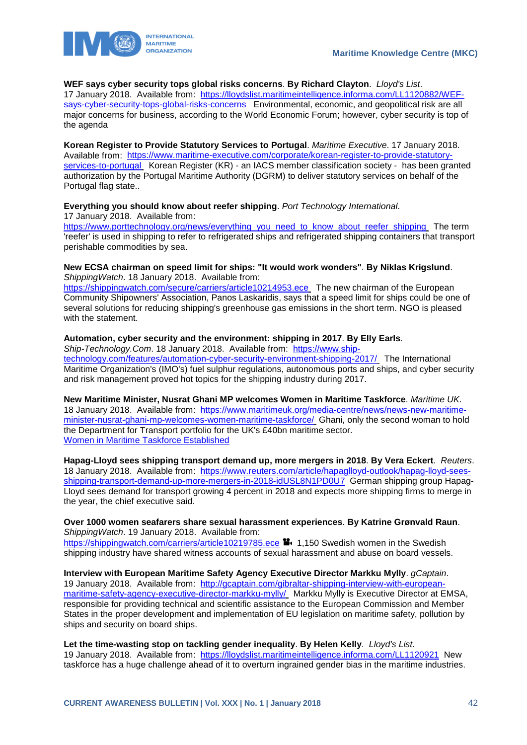

### **WEF says cyber security tops global risks concerns**. **By Richard Clayton**. *Lloyd's List*.

17 January 2018. Available from: [https://lloydslist.maritimeintelligence.informa.com/LL1120882/WEF](https://lloydslist.maritimeintelligence.informa.com/LL1120882/WEF-says-cyber-security-tops-global-risks-concerns)[says-cyber-security-tops-global-risks-concerns](https://lloydslist.maritimeintelligence.informa.com/LL1120882/WEF-says-cyber-security-tops-global-risks-concerns) Environmental, economic, and geopolitical risk are all major concerns for business, according to the World Economic Forum; however, cyber security is top of the agenda

**Korean Register to Provide Statutory Services to Portugal**. *Maritime Executive*. 17 January 2018. Available from: [https://www.maritime-executive.com/corporate/korean-register-to-provide-statutory](https://www.maritime-executive.com/corporate/korean-register-to-provide-statutory-services-to-portugal)[services-to-portugal](https://www.maritime-executive.com/corporate/korean-register-to-provide-statutory-services-to-portugal) Korean Register (KR) - an IACS member classification society - has been granted authorization by the Portugal Maritime Authority (DGRM) to deliver statutory services on behalf of the Portugal flag state..

#### **Everything you should know about reefer shipping**. *Port Technology International*. 17 January 2018. Available from:

[https://www.porttechnology.org/news/everything\\_you\\_need\\_to\\_know\\_about\\_reefer\\_shipping](https://www.porttechnology.org/news/everything_you_need_to_know_about_reefer_shipping) The term 'reefer' is used in shipping to refer to refrigerated ships and refrigerated shipping containers that transport perishable commodities by sea.

### **New ECSA chairman on speed limit for ships: "It would work wonders"**. **By Niklas Krigslund**. *ShippingWatch*. 18 January 2018. Available from:

<https://shippingwatch.com/secure/carriers/article10214953.ece> The new chairman of the European Community Shipowners' Association, Panos Laskaridis, says that a speed limit for ships could be one of several solutions for reducing shipping's greenhouse gas emissions in the short term. NGO is pleased with the statement.

# **Automation, cyber security and the environment: shipping in 2017**. **By Elly Earls**.

*Ship-Technology.Com*. 18 January 2018. Available from: [https://www.ship](https://www.ship-technology.com/features/automation-cyber-security-environment-shipping-2017/)[technology.com/features/automation-cyber-security-environment-shipping-2017/](https://www.ship-technology.com/features/automation-cyber-security-environment-shipping-2017/) The International Maritime Organization's (IMO's) fuel sulphur regulations, autonomous ports and ships, and cyber security and risk management proved hot topics for the shipping industry during 2017.

**New Maritime Minister, Nusrat Ghani MP welcomes Women in Maritime Taskforce**. *Maritime UK*. 18 January 2018. Available from: [https://www.maritimeuk.org/media-centre/news/news-new-maritime](https://www.maritimeuk.org/media-centre/news/news-new-maritime-minister-nusrat-ghani-mp-welcomes-women-maritime-taskforce/)[minister-nusrat-ghani-mp-welcomes-women-maritime-taskforce/](https://www.maritimeuk.org/media-centre/news/news-new-maritime-minister-nusrat-ghani-mp-welcomes-women-maritime-taskforce/) Ghani, only the second woman to hold the Department for Transport portfolio for the UK's £40bn maritime sector. [Women in Maritime Taskforce Established](https://www.maritimeuk.org/media-centre/news/women-maritime-taskforce-established/) 

**Hapag-Lloyd sees shipping transport demand up, more mergers in 2018**. **By Vera Eckert**. *Reuters*. 18 January 2018. Available from: [https://www.reuters.com/article/hapaglloyd-outlook/hapag-lloyd-sees](https://www.reuters.com/article/hapaglloyd-outlook/hapag-lloyd-sees-shipping-transport-demand-up-more-mergers-in-2018-idUSL8N1PD0U7)[shipping-transport-demand-up-more-mergers-in-2018-idUSL8N1PD0U7](https://www.reuters.com/article/hapaglloyd-outlook/hapag-lloyd-sees-shipping-transport-demand-up-more-mergers-in-2018-idUSL8N1PD0U7) German shipping group Hapag-Lloyd sees demand for transport growing 4 percent in 2018 and expects more shipping firms to merge in the year, the chief executive said.

#### **Over 1000 women seafarers share sexual harassment experiences**. **By Katrine Grønvald Raun**. *ShippingWatch*. 19 January 2018. Available from:

<https://shippingwatch.com/carriers/article10219785.ece> <sup>1</sup>,150 Swedish women in the Swedish shipping industry have shared witness accounts of sexual harassment and abuse on board vessels.

**Interview with European Maritime Safety Agency Executive Director Markku Mylly**. *gCaptain*. 19 January 2018. Available from: [http://gcaptain.com/gibraltar-shipping-interview-with-european](http://gcaptain.com/gibraltar-shipping-interview-with-european-maritime-safety-agency-executive-director-markku-mylly/)[maritime-safety-agency-executive-director-markku-mylly/](http://gcaptain.com/gibraltar-shipping-interview-with-european-maritime-safety-agency-executive-director-markku-mylly/) Markku Mylly is Executive Director at EMSA, responsible for providing technical and scientific assistance to the European Commission and Member States in the proper development and implementation of EU legislation on maritime safety, pollution by ships and security on board ships.

**Let the time-wasting stop on tackling gender inequality**. **By Helen Kelly**. *Lloyd's List*. 19 January 2018. Available from: <https://lloydslist.maritimeintelligence.informa.com/LL1120921>New taskforce has a huge challenge ahead of it to overturn ingrained gender bias in the maritime industries.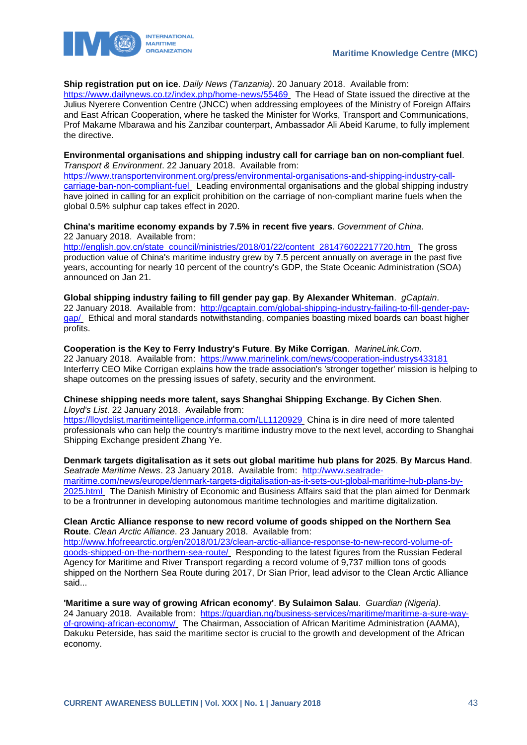

**Ship registration put on ice**. *Daily News (Tanzania)*. 20 January 2018. Available from:

<https://www.dailynews.co.tz/index.php/home-news/55469> The Head of State issued the directive at the Julius Nyerere Convention Centre (JNCC) when addressing employees of the Ministry of Foreign Affairs and East African Cooperation, where he tasked the Minister for Works, Transport and Communications, Prof Makame Mbarawa and his Zanzibar counterpart, Ambassador Ali Abeid Karume, to fully implement the directive.

#### **Environmental organisations and shipping industry call for carriage ban on non-compliant fuel**. *Transport & Environment*. 22 January 2018. Available from:

[https://www.transportenvironment.org/press/environmental-organisations-and-shipping-industry-call](https://www.transportenvironment.org/press/environmental-organisations-and-shipping-industry-call-carriage-ban-non-compliant-fuel)[carriage-ban-non-compliant-fuel](https://www.transportenvironment.org/press/environmental-organisations-and-shipping-industry-call-carriage-ban-non-compliant-fuel) Leading environmental organisations and the global shipping industry have joined in calling for an explicit prohibition on the carriage of non-compliant marine fuels when the global 0.5% sulphur cap takes effect in 2020.

#### **China's maritime economy expands by 7.5% in recent five years**. *Government of China*. 22 January 2018. Available from:

[http://english.gov.cn/state\\_council/ministries/2018/01/22/content\\_281476022217720.htm](http://english.gov.cn/state_council/ministries/2018/01/22/content_281476022217720.htm) The gross production value of China's maritime industry grew by 7.5 percent annually on average in the past five years, accounting for nearly 10 percent of the country's GDP, the State Oceanic Administration (SOA) announced on Jan 21.

**Global shipping industry failing to fill gender pay gap**. **By Alexander Whiteman**. *gCaptain*. 22 January 2018. Available from: [http://gcaptain.com/global-shipping-industry-failing-to-fill-gender-pay](http://gcaptain.com/global-shipping-industry-failing-to-fill-gender-pay-gap/)[gap/](http://gcaptain.com/global-shipping-industry-failing-to-fill-gender-pay-gap/) Ethical and moral standards notwithstanding, companies boasting mixed boards can boast higher profits.

# **Cooperation is the Key to Ferry Industry's Future**. **By Mike Corrigan**. *MarineLink.Com*.

22 January 2018. Available from: <https://www.marinelink.com/news/cooperation-industrys433181> Interferry CEO Mike Corrigan explains how the trade association's 'stronger together' mission is helping to shape outcomes on the pressing issues of safety, security and the environment.

**Chinese shipping needs more talent, says Shanghai Shipping Exchange**. **By Cichen Shen**. *Lloyd's List*. 22 January 2018. Available from:

<https://lloydslist.maritimeintelligence.informa.com/LL1120929> China is in dire need of more talented professionals who can help the country's maritime industry move to the next level, according to Shanghai Shipping Exchange president Zhang Ye.

#### **Denmark targets digitalisation as it sets out global maritime hub plans for 2025**. **By Marcus Hand**. *Seatrade Maritime News*. 23 January 2018. Available from: [http://www.seatrade-](http://www.seatrade-maritime.com/news/europe/denmark-targets-digitalisation-as-it-sets-out-global-maritime-hub-plans-by-2025.html)

[maritime.com/news/europe/denmark-targets-digitalisation-as-it-sets-out-global-maritime-hub-plans-by-](http://www.seatrade-maritime.com/news/europe/denmark-targets-digitalisation-as-it-sets-out-global-maritime-hub-plans-by-2025.html)[2025.html](http://www.seatrade-maritime.com/news/europe/denmark-targets-digitalisation-as-it-sets-out-global-maritime-hub-plans-by-2025.html) The Danish Ministry of Economic and Business Affairs said that the plan aimed for Denmark to be a frontrunner in developing autonomous maritime technologies and maritime digitalization.

### **Clean Arctic Alliance response to new record volume of goods shipped on the Northern Sea Route**. *Clean Arctic Alliance*. 23 January 2018. Available from:

[http://www.hfofreearctic.org/en/2018/01/23/clean-arctic-alliance-response-to-new-record-volume-of](http://www.hfofreearctic.org/en/2018/01/23/clean-arctic-alliance-response-to-new-record-volume-of-goods-shipped-on-the-northern-sea-route/)[goods-shipped-on-the-northern-sea-route/](http://www.hfofreearctic.org/en/2018/01/23/clean-arctic-alliance-response-to-new-record-volume-of-goods-shipped-on-the-northern-sea-route/) Responding to the latest figures from the Russian Federal Agency for Maritime and River Transport regarding a record volume of 9,737 million tons of goods shipped on the Northern Sea Route during 2017, Dr Sian Prior, lead advisor to the Clean Arctic Alliance said...

**'Maritime a sure way of growing African economy'**. **By Sulaimon Salau**. *Guardian (Nigeria)*. 24 January 2018. Available from: [https://guardian.ng/business-services/maritime/maritime-a-sure-way](https://guardian.ng/business-services/maritime/maritime-a-sure-way-of-growing-african-economy/)[of-growing-african-economy/](https://guardian.ng/business-services/maritime/maritime-a-sure-way-of-growing-african-economy/) The Chairman, Association of African Maritime Administration (AAMA), Dakuku Peterside, has said the maritime sector is crucial to the growth and development of the African economy.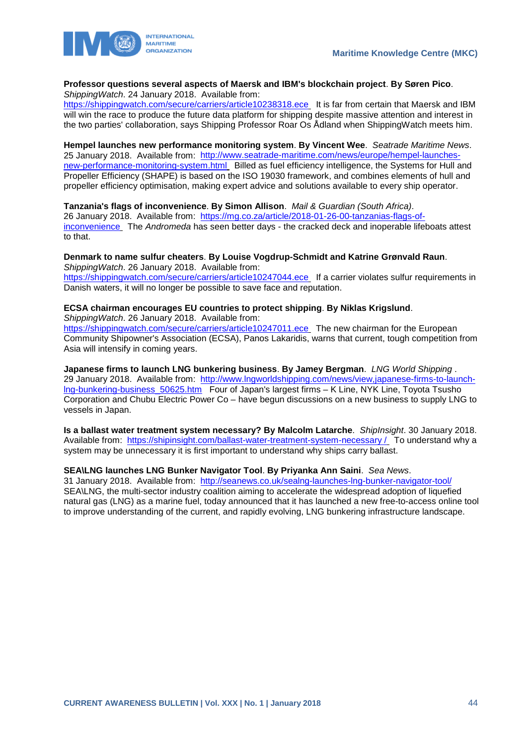

#### **Professor questions several aspects of Maersk and IBM's blockchain project**. **By Søren Pico**. *ShippingWatch*. 24 January 2018. Available from:

<https://shippingwatch.com/secure/carriers/article10238318.ece> It is far from certain that Maersk and IBM will win the race to produce the future data platform for shipping despite massive attention and interest in the two parties' collaboration, says Shipping Professor Roar Os Ådland when ShippingWatch meets him.

**Hempel launches new performance monitoring system**. **By Vincent Wee**. *Seatrade Maritime News*. 25 January 2018. Available from: [http://www.seatrade-maritime.com/news/europe/hempel-launches](http://www.seatrade-maritime.com/news/europe/hempel-launches-new-performance-monitoring-system.html)[new-performance-monitoring-system.html](http://www.seatrade-maritime.com/news/europe/hempel-launches-new-performance-monitoring-system.html) Billed as fuel efficiency intelligence, the Systems for Hull and Propeller Efficiency (SHAPE) is based on the ISO 19030 framework, and combines elements of hull and propeller efficiency optimisation, making expert advice and solutions available to every ship operator.

### **Tanzania's flags of inconvenience**. **By Simon Allison**. *Mail & Guardian (South Africa)*. 26 January 2018. Available from: [https://mg.co.za/article/2018-01-26-00-tanzanias-flags-of](https://mg.co.za/article/2018-01-26-00-tanzanias-flags-of-inconvenience)[inconvenience](https://mg.co.za/article/2018-01-26-00-tanzanias-flags-of-inconvenience) The *Andromeda* has seen better days - the cracked deck and inoperable lifeboats attest to that.

# **Denmark to name sulfur cheaters**. **By Louise Vogdrup-Schmidt and Katrine Grønvald Raun**.

*ShippingWatch*. 26 January 2018. Available from: <https://shippingwatch.com/secure/carriers/article10247044.ece> If a carrier violates sulfur requirements in Danish waters, it will no longer be possible to save face and reputation.

#### **ECSA chairman encourages EU countries to protect shipping**. **By Niklas Krigslund**. *ShippingWatch*. 26 January 2018. Available from:

<https://shippingwatch.com/secure/carriers/article10247011.ece> The new chairman for the European Community Shipowner's Association (ECSA), Panos Lakaridis, warns that current, tough competition from Asia will intensify in coming years.

**Japanese firms to launch LNG bunkering business**. **By Jamey Bergman**. *LNG World Shipping* . 29 January 2018. Available from: [http://www.lngworldshipping.com/news/view,japanese-firms-to-launch](http://www.lngworldshipping.com/news/view,japanese-firms-to-launch-lng-bunkering-business_50625.htm)[lng-bunkering-business\\_50625.htm](http://www.lngworldshipping.com/news/view,japanese-firms-to-launch-lng-bunkering-business_50625.htm) Four of Japan's largest firms – K Line, NYK Line, Toyota Tsusho Corporation and Chubu Electric Power Co – have begun discussions on a new business to supply LNG to vessels in Japan.

**Is a ballast water treatment system necessary? By Malcolm Latarche**. *ShipInsight*. 30 January 2018. Available from: [https://shipinsight.com/ballast-water-treatment-system-necessary /](https://shipinsight.com/ballast-water-treatment-system-necessary%20/) To understand why a system may be unnecessary it is first important to understand why ships carry ballast.

### **SEA\LNG launches LNG Bunker Navigator Tool**. **By Priyanka Ann Saini**. *Sea News*.

31 January 2018. Available from: <http://seanews.co.uk/sealng-launches-lng-bunker-navigator-tool/> SEA\LNG, the multi-sector industry coalition aiming to accelerate the widespread adoption of liquefied natural gas (LNG) as a marine fuel, today announced that it has launched a new free-to-access online tool to improve understanding of the current, and rapidly evolving, LNG bunkering infrastructure landscape.